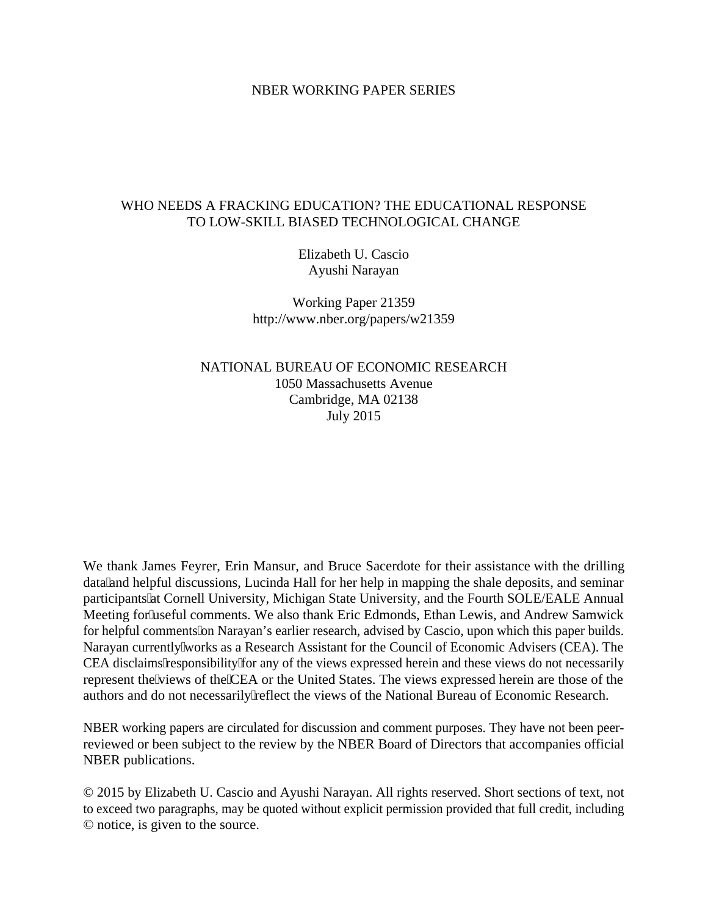### NBER WORKING PAPER SERIES

## WHO NEEDS A FRACKING EDUCATION? THE EDUCATIONAL RESPONSE TO LOW-SKILL BIASED TECHNOLOGICAL CHANGE

Elizabeth U. Cascio Ayushi Narayan

Working Paper 21359 http://www.nber.org/papers/w21359

NATIONAL BUREAU OF ECONOMIC RESEARCH 1050 Massachusetts Avenue Cambridge, MA 02138 July 2015

We thank James Feyrer, Erin Mansur, and Bruce Sacerdote for their assistance with the drilling data" and helpful discussions, Lucinda Hall for her help in mapping the shale deposits, and seminar participants" at Cornell University, Michigan State University, and the Fourth SOLE/EALE Annual Meeting for useful comments. We also thank Eric Edmonds, Ethan Lewis, and Andrew Samwick for helpful comments on Narayan's earlier research, advised by Cascio, upon which this paper builds. Narayan currently 'works as a Research Assistant for the Council of Economic Advisers (CEA). The CEA disclaims responsibility for any of the views expressed herein and these views do not necessarily represent the 'views of the 'CEA or the United States. The views expressed herein are those of the authors and do not necessarily reflect the views of the National Bureau of Economic Research.

NBER working papers are circulated for discussion and comment purposes. They have not been peerreviewed or been subject to the review by the NBER Board of Directors that accompanies official NBER publications.

© 2015 by Elizabeth U. Cascio and Ayushi Narayan. All rights reserved. Short sections of text, not to exceed two paragraphs, may be quoted without explicit permission provided that full credit, including © notice, is given to the source.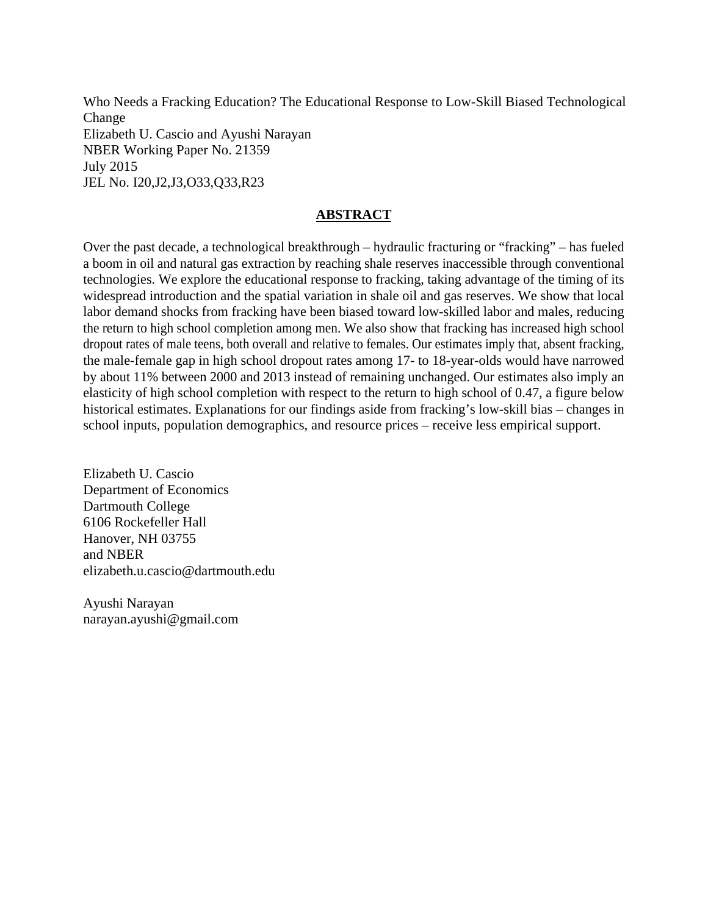Who Needs a Fracking Education? The Educational Response to Low-Skill Biased Technological Change Elizabeth U. Cascio and Ayushi Narayan NBER Working Paper No. 21359 July 2015 JEL No. I20,J2,J3,O33,Q33,R23

# **ABSTRACT**

Over the past decade, a technological breakthrough – hydraulic fracturing or "fracking" – has fueled a boom in oil and natural gas extraction by reaching shale reserves inaccessible through conventional technologies. We explore the educational response to fracking, taking advantage of the timing of its widespread introduction and the spatial variation in shale oil and gas reserves. We show that local labor demand shocks from fracking have been biased toward low-skilled labor and males, reducing the return to high school completion among men. We also show that fracking has increased high school dropout rates of male teens, both overall and relative to females. Our estimates imply that, absent fracking, the male-female gap in high school dropout rates among 17- to 18-year-olds would have narrowed by about 11% between 2000 and 2013 instead of remaining unchanged. Our estimates also imply an elasticity of high school completion with respect to the return to high school of 0.47, a figure below historical estimates. Explanations for our findings aside from fracking's low-skill bias – changes in school inputs, population demographics, and resource prices – receive less empirical support.

Elizabeth U. Cascio Department of Economics Dartmouth College 6106 Rockefeller Hall Hanover, NH 03755 and NBER elizabeth.u.cascio@dartmouth.edu

Ayushi Narayan narayan.ayushi@gmail.com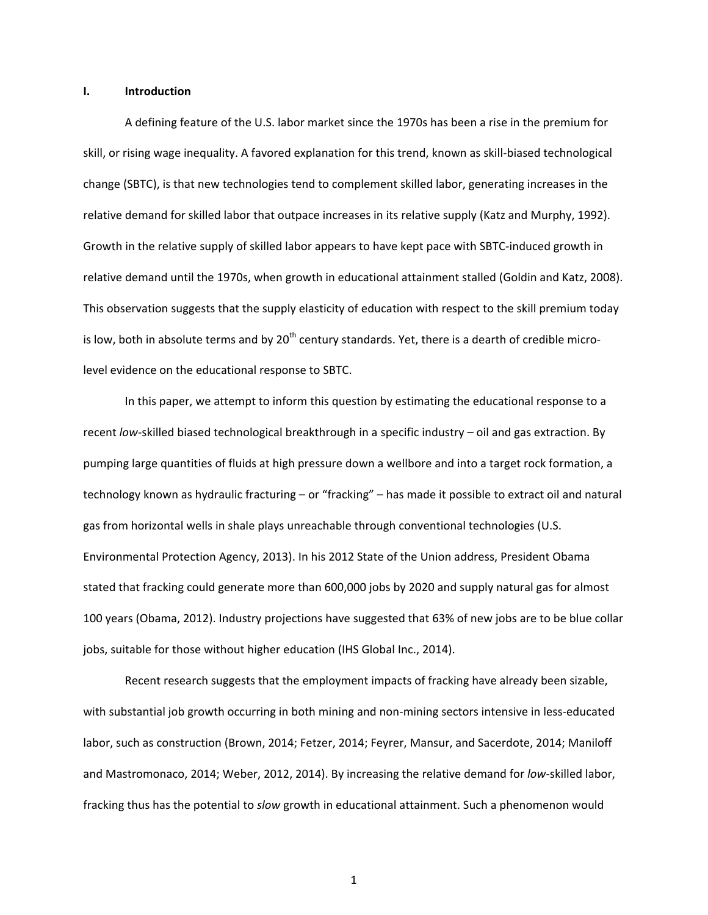#### **I. Introduction**

A defining feature of the U.S. labor market since the 1970s has been a rise in the premium for skill, or rising wage inequality. A favored explanation for this trend, known as skill-biased technological change (SBTC), is that new technologies tend to complement skilled labor, generating increases in the relative demand for skilled labor that outpace increases in its relative supply (Katz and Murphy, 1992). Growth in the relative supply of skilled labor appears to have kept pace with SBTC-induced growth in relative demand until the 1970s, when growth in educational attainment stalled (Goldin and Katz, 2008). This observation suggests that the supply elasticity of education with respect to the skill premium today is low, both in absolute terms and by 20<sup>th</sup> century standards. Yet, there is a dearth of credible microlevel evidence on the educational response to SBTC.

In this paper, we attempt to inform this question by estimating the educational response to a recent *low*-skilled biased technological breakthrough in a specific industry – oil and gas extraction. By pumping large quantities of fluids at high pressure down a wellbore and into a target rock formation, a technology known as hydraulic fracturing – or "fracking" – has made it possible to extract oil and natural gas from horizontal wells in shale plays unreachable through conventional technologies (U.S. Environmental Protection Agency, 2013). In his 2012 State of the Union address, President Obama stated that fracking could generate more than 600,000 jobs by 2020 and supply natural gas for almost 100 years (Obama, 2012). Industry projections have suggested that 63% of new jobs are to be blue collar jobs, suitable for those without higher education (IHS Global Inc., 2014).

Recent research suggests that the employment impacts of fracking have already been sizable, with substantial job growth occurring in both mining and non-mining sectors intensive in less-educated labor, such as construction (Brown, 2014; Fetzer, 2014; Feyrer, Mansur, and Sacerdote, 2014; Maniloff and Mastromonaco, 2014; Weber, 2012, 2014). By increasing the relative demand for *low*-skilled labor, fracking thus has the potential to *slow* growth in educational attainment. Such a phenomenon would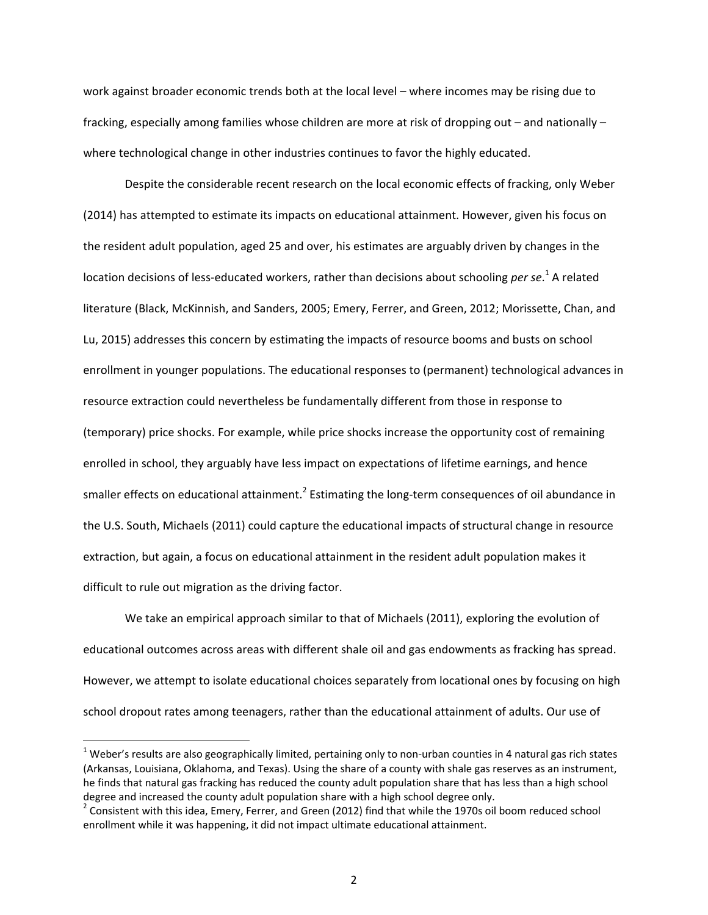work against broader economic trends both at the local level – where incomes may be rising due to fracking, especially among families whose children are more at risk of dropping out – and nationally – where technological change in other industries continues to favor the highly educated.

Despite the considerable recent research on the local economic effects of fracking, only Weber (2014) has attempted to estimate its impacts on educational attainment. However, given his focus on the resident adult population, aged 25 and over, his estimates are arguably driven by changes in the location decisions of less-educated workers, rather than decisions about schooling *per se*.<sup>1</sup> A related literature (Black, McKinnish, and Sanders, 2005; Emery, Ferrer, and Green, 2012; Morissette, Chan, and Lu, 2015) addresses this concern by estimating the impacts of resource booms and busts on school enrollment in younger populations. The educational responses to (permanent) technological advances in resource extraction could nevertheless be fundamentally different from those in response to (temporary) price shocks. For example, while price shocks increase the opportunity cost of remaining enrolled in school, they arguably have less impact on expectations of lifetime earnings, and hence smaller effects on educational attainment.<sup>2</sup> Estimating the long-term consequences of oil abundance in the U.S. South, Michaels (2011) could capture the educational impacts of structural change in resource extraction, but again, a focus on educational attainment in the resident adult population makes it difficult to rule out migration as the driving factor.

We take an empirical approach similar to that of Michaels (2011), exploring the evolution of educational outcomes across areas with different shale oil and gas endowments as fracking has spread. However, we attempt to isolate educational choices separately from locational ones by focusing on high school dropout rates among teenagers, rather than the educational attainment of adults. Our use of

 $^1$  Weber's results are also geographically limited, pertaining only to non-urban counties in 4 natural gas rich states (Arkansas, Louisiana, Oklahoma, and Texas). Using the share of a county with shale gas reserves as an instrument, he finds that natural gas fracking has reduced the county adult population share that has less than a high school degree and increased the county adult population share with a high school degree only.

 $^2$  Consistent with this idea, Emery, Ferrer, and Green (2012) find that while the 1970s oil boom reduced school enrollment while it was happening, it did not impact ultimate educational attainment.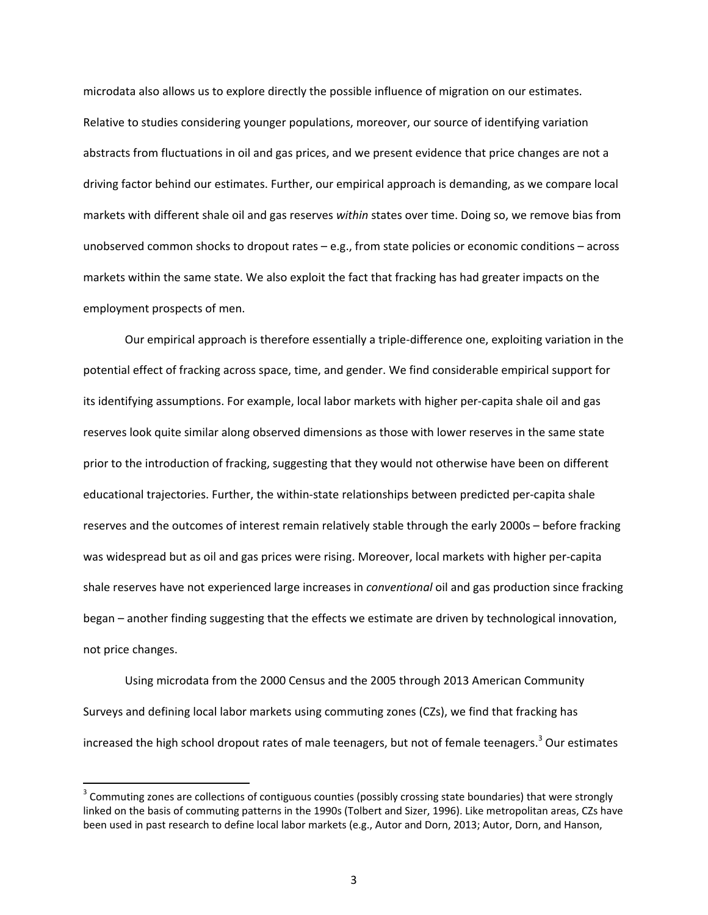microdata also allows us to explore directly the possible influence of migration on our estimates. Relative to studies considering younger populations, moreover, our source of identifying variation abstracts from fluctuations in oil and gas prices, and we present evidence that price changes are not a driving factor behind our estimates. Further, our empirical approach is demanding, as we compare local markets with different shale oil and gas reserves *within* states over time. Doing so, we remove bias from unobserved common shocks to dropout rates – e.g., from state policies or economic conditions – across markets within the same state. We also exploit the fact that fracking has had greater impacts on the employment prospects of men.

Our empirical approach is therefore essentially a triple-difference one, exploiting variation in the potential effect of fracking across space, time, and gender. We find considerable empirical support for its identifying assumptions. For example, local labor markets with higher per-capita shale oil and gas reserves look quite similar along observed dimensions as those with lower reserves in the same state prior to the introduction of fracking, suggesting that they would not otherwise have been on different educational trajectories. Further, the within-state relationships between predicted per-capita shale reserves and the outcomes of interest remain relatively stable through the early 2000s – before fracking was widespread but as oil and gas prices were rising. Moreover, local markets with higher per-capita shale reserves have not experienced large increases in *conventional* oil and gas production since fracking began – another finding suggesting that the effects we estimate are driven by technological innovation, not price changes.

Using microdata from the 2000 Census and the 2005 through 2013 American Community Surveys and defining local labor markets using commuting zones (CZs), we find that fracking has increased the high school dropout rates of male teenagers, but not of female teenagers.<sup>3</sup> Our estimates

 $\overline{\phantom{a}}$ 

 $3$  Commuting zones are collections of contiguous counties (possibly crossing state boundaries) that were strongly linked on the basis of commuting patterns in the 1990s (Tolbert and Sizer, 1996). Like metropolitan areas, CZs have been used in past research to define local labor markets (e.g., Autor and Dorn, 2013; Autor, Dorn, and Hanson,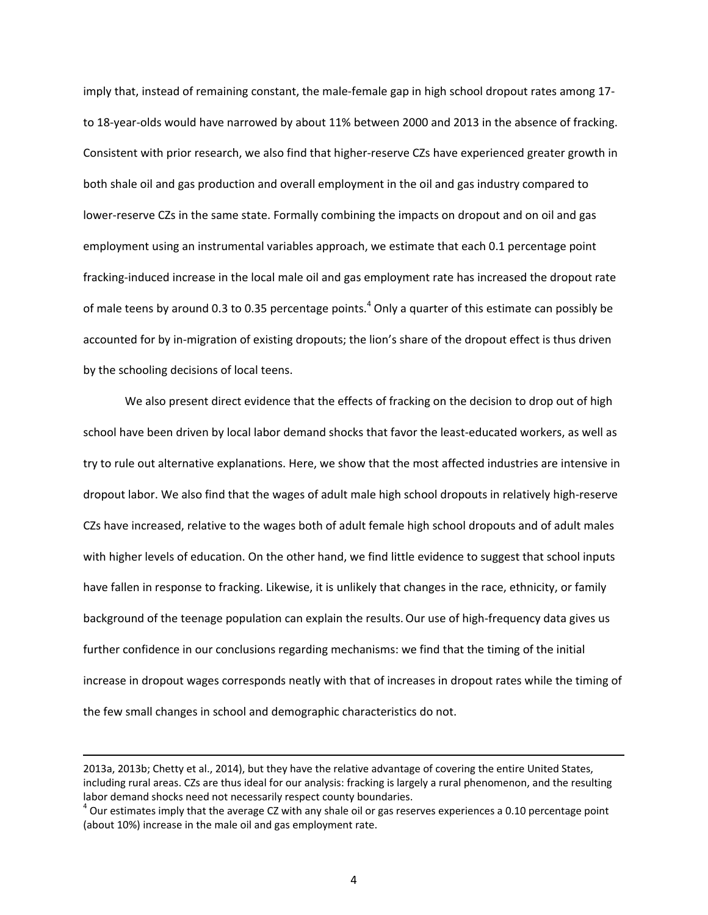imply that, instead of remaining constant, the male-female gap in high school dropout rates among 17 to 18-year-olds would have narrowed by about 11% between 2000 and 2013 in the absence of fracking. Consistent with prior research, we also find that higher-reserve CZs have experienced greater growth in both shale oil and gas production and overall employment in the oil and gas industry compared to lower-reserve CZs in the same state. Formally combining the impacts on dropout and on oil and gas employment using an instrumental variables approach, we estimate that each 0.1 percentage point fracking-induced increase in the local male oil and gas employment rate has increased the dropout rate of male teens by around 0.3 to 0.35 percentage points.<sup>4</sup> Only a quarter of this estimate can possibly be accounted for by in-migration of existing dropouts; the lion's share of the dropout effect is thus driven by the schooling decisions of local teens.

We also present direct evidence that the effects of fracking on the decision to drop out of high school have been driven by local labor demand shocks that favor the least-educated workers, as well as try to rule out alternative explanations. Here, we show that the most affected industries are intensive in dropout labor. We also find that the wages of adult male high school dropouts in relatively high-reserve CZs have increased, relative to the wages both of adult female high school dropouts and of adult males with higher levels of education. On the other hand, we find little evidence to suggest that school inputs have fallen in response to fracking. Likewise, it is unlikely that changes in the race, ethnicity, or family background of the teenage population can explain the results.Our use of high-frequency data gives us further confidence in our conclusions regarding mechanisms: we find that the timing of the initial increase in dropout wages corresponds neatly with that of increases in dropout rates while the timing of the few small changes in school and demographic characteristics do not.

 $\overline{\phantom{a}}$ 

<sup>2013</sup>a, 2013b; Chetty et al., 2014), but they have the relative advantage of covering the entire United States, including rural areas. CZs are thus ideal for our analysis: fracking is largely a rural phenomenon, and the resulting labor demand shocks need not necessarily respect county boundaries.

 $^4$  Our estimates imply that the average CZ with any shale oil or gas reserves experiences a 0.10 percentage point (about 10%) increase in the male oil and gas employment rate.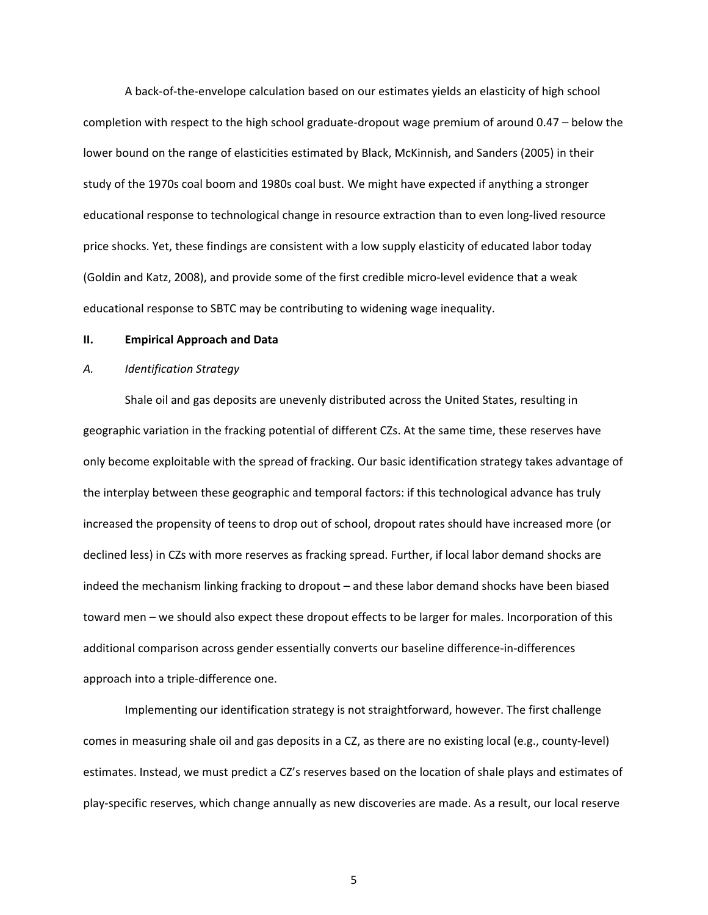A back-of-the-envelope calculation based on our estimates yields an elasticity of high school completion with respect to the high school graduate-dropout wage premium of around 0.47 – below the lower bound on the range of elasticities estimated by Black, McKinnish, and Sanders (2005) in their study of the 1970s coal boom and 1980s coal bust. We might have expected if anything a stronger educational response to technological change in resource extraction than to even long-lived resource price shocks. Yet, these findings are consistent with a low supply elasticity of educated labor today (Goldin and Katz, 2008), and provide some of the first credible micro-level evidence that a weak educational response to SBTC may be contributing to widening wage inequality.

#### **II. Empirical Approach and Data**

#### *A. Identification Strategy*

Shale oil and gas deposits are unevenly distributed across the United States, resulting in geographic variation in the fracking potential of different CZs. At the same time, these reserves have only become exploitable with the spread of fracking. Our basic identification strategy takes advantage of the interplay between these geographic and temporal factors: if this technological advance has truly increased the propensity of teens to drop out of school, dropout rates should have increased more (or declined less) in CZs with more reserves as fracking spread. Further, if local labor demand shocks are indeed the mechanism linking fracking to dropout – and these labor demand shocks have been biased toward men – we should also expect these dropout effects to be larger for males. Incorporation of this additional comparison across gender essentially converts our baseline difference-in-differences approach into a triple-difference one.

Implementing our identification strategy is not straightforward, however. The first challenge comes in measuring shale oil and gas deposits in a CZ, as there are no existing local (e.g., county-level) estimates. Instead, we must predict a CZ's reserves based on the location of shale plays and estimates of play-specific reserves, which change annually as new discoveries are made. As a result, our local reserve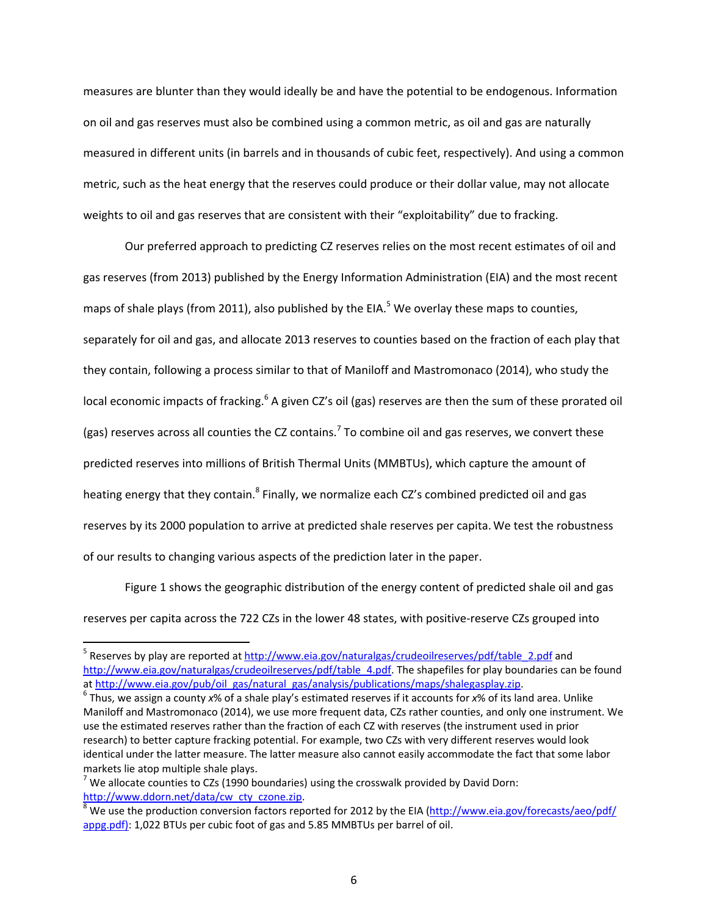measures are blunter than they would ideally be and have the potential to be endogenous. Information on oil and gas reserves must also be combined using a common metric, as oil and gas are naturally measured in different units (in barrels and in thousands of cubic feet, respectively). And using a common metric, such as the heat energy that the reserves could produce or their dollar value, may not allocate weights to oil and gas reserves that are consistent with their "exploitability" due to fracking.

Our preferred approach to predicting CZ reserves relies on the most recent estimates of oil and gas reserves (from 2013) published by the Energy Information Administration (EIA) and the most recent maps of shale plays (from 2011), also published by the EIA.<sup>5</sup> We overlay these maps to counties, separately for oil and gas, and allocate 2013 reserves to counties based on the fraction of each play that they contain, following a process similar to that of Maniloff and Mastromonaco (2014), who study the local economic impacts of fracking.<sup>6</sup> A given CZ's oil (gas) reserves are then the sum of these prorated oil (gas) reserves across all counties the CZ contains.<sup>7</sup> To combine oil and gas reserves, we convert these predicted reserves into millions of British Thermal Units (MMBTUs), which capture the amount of heating energy that they contain.<sup>8</sup> Finally, we normalize each CZ's combined predicted oil and gas reserves by its 2000 population to arrive at predicted shale reserves per capita.We test the robustness of our results to changing various aspects of the prediction later in the paper.

 Figure 1 shows the geographic distribution of the energy content of predicted shale oil and gas reserves per capita across the 722 CZs in the lower 48 states, with positive-reserve CZs grouped into

<sup>&</sup>lt;sup>5</sup> Reserves by play are reported at http://www.eia.gov/naturalgas/crudeoilreserves/pdf/table\_2.pdf and http://www.eia.gov/naturalgas/crudeoilreserves/pdf/table\_4.pdf. The shapefiles for play boundaries can be found at http://www.eia.gov/pub/oil\_gas/natural\_gas/analysis/publications/maps/shalegasplay.zip.

Thus, we assign a county *x*% of a shale play's estimated reserves if it accounts for *x*% of its land area. Unlike Maniloff and Mastromonaco (2014), we use more frequent data, CZs rather counties, and only one instrument. We use the estimated reserves rather than the fraction of each CZ with reserves (the instrument used in prior research) to better capture fracking potential. For example, two CZs with very different reserves would look identical under the latter measure. The latter measure also cannot easily accommodate the fact that some labor markets lie atop multiple shale plays.

 $^7$  We allocate counties to CZs (1990 boundaries) using the crosswalk provided by David Dorn: http://www.ddorn.net/data/cw\_cty\_czone.zip.

<sup>&</sup>lt;sup>8</sup> We use the production conversion factors reported for 2012 by the EIA (http://www.eia.gov/forecasts/aeo/pdf/ appg.pdf): 1,022 BTUs per cubic foot of gas and 5.85 MMBTUs per barrel of oil.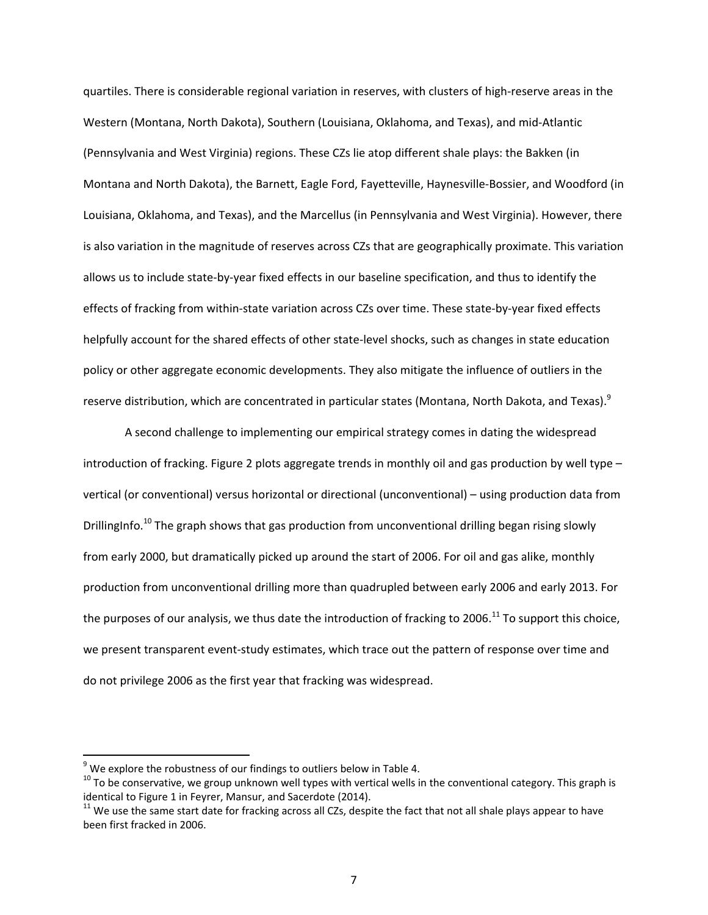quartiles. There is considerable regional variation in reserves, with clusters of high-reserve areas in the Western (Montana, North Dakota), Southern (Louisiana, Oklahoma, and Texas), and mid-Atlantic (Pennsylvania and West Virginia) regions. These CZs lie atop different shale plays: the Bakken (in Montana and North Dakota), the Barnett, Eagle Ford, Fayetteville, Haynesville-Bossier, and Woodford (in Louisiana, Oklahoma, and Texas), and the Marcellus (in Pennsylvania and West Virginia). However, there is also variation in the magnitude of reserves across CZs that are geographically proximate. This variation allows us to include state-by-year fixed effects in our baseline specification, and thus to identify the effects of fracking from within-state variation across CZs over time. These state-by-year fixed effects helpfully account for the shared effects of other state-level shocks, such as changes in state education policy or other aggregate economic developments. They also mitigate the influence of outliers in the reserve distribution, which are concentrated in particular states (Montana, North Dakota, and Texas).<sup>9</sup>

A second challenge to implementing our empirical strategy comes in dating the widespread introduction of fracking. Figure 2 plots aggregate trends in monthly oil and gas production by well type – vertical (or conventional) versus horizontal or directional (unconventional) – using production data from DrillingInfo.<sup>10</sup> The graph shows that gas production from unconventional drilling began rising slowly from early 2000, but dramatically picked up around the start of 2006. For oil and gas alike, monthly production from unconventional drilling more than quadrupled between early 2006 and early 2013. For the purposes of our analysis, we thus date the introduction of fracking to 2006.<sup>11</sup> To support this choice, we present transparent event-study estimates, which trace out the pattern of response over time and do not privilege 2006 as the first year that fracking was widespread.

 $9$  We explore the robustness of our findings to outliers below in Table 4.

 $10$  To be conservative, we group unknown well types with vertical wells in the conventional category. This graph is identical to Figure 1 in Feyrer, Mansur, and Sacerdote (2014).

 $11$  We use the same start date for fracking across all CZs, despite the fact that not all shale plays appear to have been first fracked in 2006.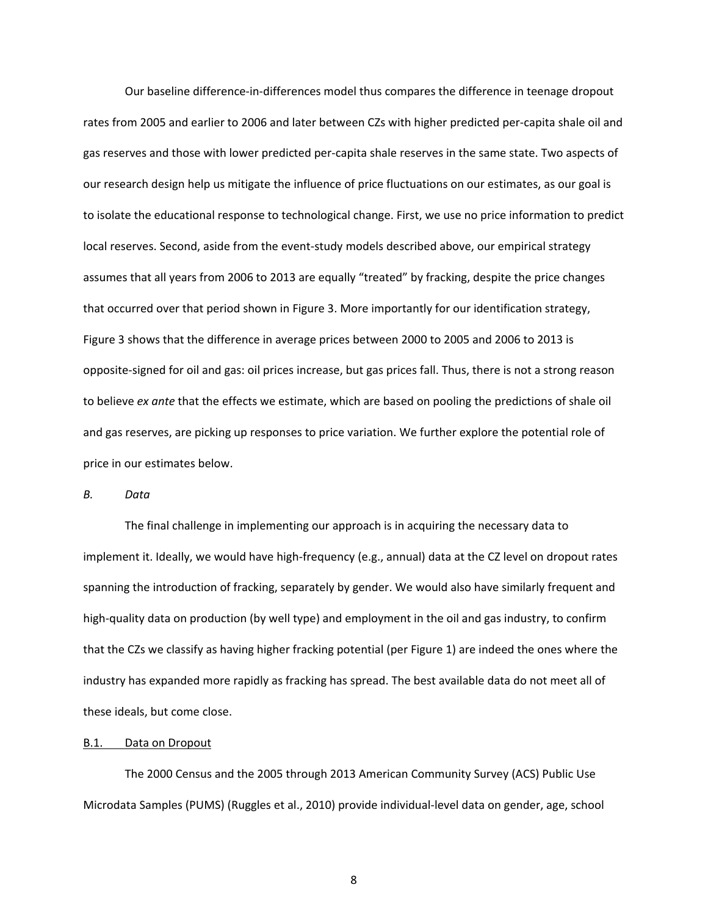Our baseline difference-in-differences model thus compares the difference in teenage dropout rates from 2005 and earlier to 2006 and later between CZs with higher predicted per-capita shale oil and gas reserves and those with lower predicted per-capita shale reserves in the same state. Two aspects of our research design help us mitigate the influence of price fluctuations on our estimates, as our goal is to isolate the educational response to technological change. First, we use no price information to predict local reserves. Second, aside from the event-study models described above, our empirical strategy assumes that all years from 2006 to 2013 are equally "treated" by fracking, despite the price changes that occurred over that period shown in Figure 3. More importantly for our identification strategy, Figure 3 shows that the difference in average prices between 2000 to 2005 and 2006 to 2013 is opposite-signed for oil and gas: oil prices increase, but gas prices fall. Thus, there is not a strong reason to believe *ex ante* that the effects we estimate, which are based on pooling the predictions of shale oil and gas reserves, are picking up responses to price variation. We further explore the potential role of price in our estimates below.

*B. Data* 

 The final challenge in implementing our approach is in acquiring the necessary data to implement it. Ideally, we would have high-frequency (e.g., annual) data at the CZ level on dropout rates spanning the introduction of fracking, separately by gender. We would also have similarly frequent and high-quality data on production (by well type) and employment in the oil and gas industry, to confirm that the CZs we classify as having higher fracking potential (per Figure 1) are indeed the ones where the industry has expanded more rapidly as fracking has spread. The best available data do not meet all of these ideals, but come close.

### B.1. Data on Dropout

The 2000 Census and the 2005 through 2013 American Community Survey (ACS) Public Use Microdata Samples (PUMS) (Ruggles et al., 2010) provide individual-level data on gender, age, school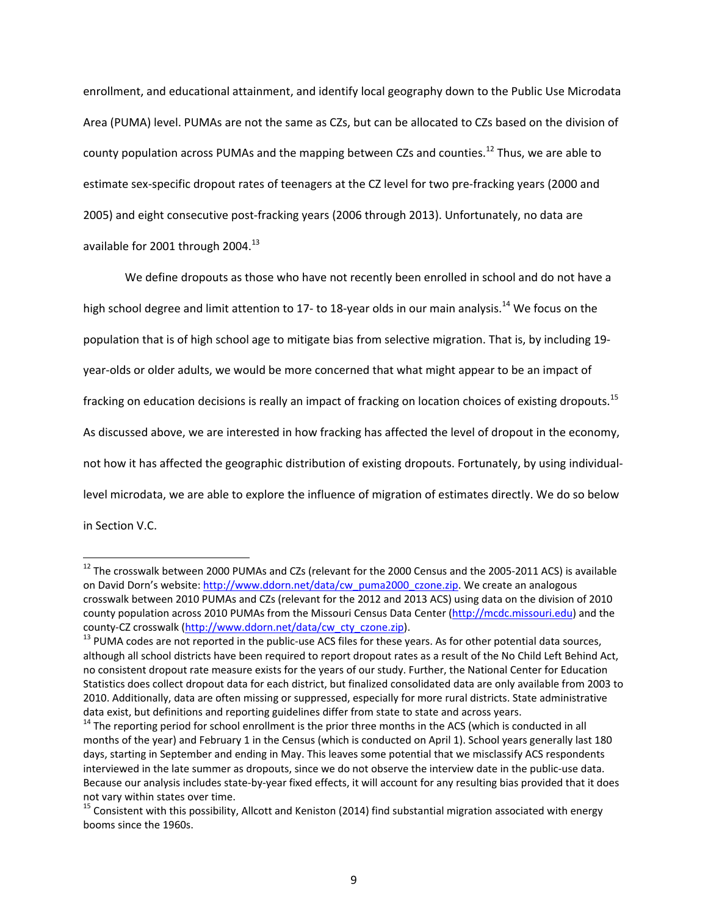enrollment, and educational attainment, and identify local geography down to the Public Use Microdata Area (PUMA) level. PUMAs are not the same as CZs, but can be allocated to CZs based on the division of county population across PUMAs and the mapping between CZs and counties.<sup>12</sup> Thus, we are able to estimate sex-specific dropout rates of teenagers at the CZ level for two pre-fracking years (2000 and 2005) and eight consecutive post-fracking years (2006 through 2013). Unfortunately, no data are available for 2001 through 2004.<sup>13</sup>

We define dropouts as those who have not recently been enrolled in school and do not have a high school degree and limit attention to 17- to 18-year olds in our main analysis.<sup>14</sup> We focus on the population that is of high school age to mitigate bias from selective migration. That is, by including 19 year-olds or older adults, we would be more concerned that what might appear to be an impact of fracking on education decisions is really an impact of fracking on location choices of existing dropouts.<sup>15</sup> As discussed above, we are interested in how fracking has affected the level of dropout in the economy, not how it has affected the geographic distribution of existing dropouts. Fortunately, by using individuallevel microdata, we are able to explore the influence of migration of estimates directly. We do so below in Section V.C.

 $\overline{\phantom{a}}$ 

<sup>&</sup>lt;sup>12</sup> The crosswalk between 2000 PUMAs and CZs (relevant for the 2000 Census and the 2005-2011 ACS) is available on David Dorn's website: http://www.ddorn.net/data/cw\_puma2000\_czone.zip. We create an analogous crosswalk between 2010 PUMAs and CZs (relevant for the 2012 and 2013 ACS) using data on the division of 2010 county population across 2010 PUMAs from the Missouri Census Data Center (http://mcdc.missouri.edu) and the county-CZ crosswalk (http://www.ddorn.net/data/cw cty czone.zip).

<sup>&</sup>lt;sup>13</sup> PUMA codes are not reported in the public-use ACS files for these years. As for other potential data sources, although all school districts have been required to report dropout rates as a result of the No Child Left Behind Act, no consistent dropout rate measure exists for the years of our study. Further, the National Center for Education Statistics does collect dropout data for each district, but finalized consolidated data are only available from 2003 to 2010. Additionally, data are often missing or suppressed, especially for more rural districts. State administrative data exist, but definitions and reporting guidelines differ from state to state and across years.

<sup>&</sup>lt;sup>14</sup> The reporting period for school enrollment is the prior three months in the ACS (which is conducted in all months of the year) and February 1 in the Census (which is conducted on April 1). School years generally last 180 days, starting in September and ending in May. This leaves some potential that we misclassify ACS respondents interviewed in the late summer as dropouts, since we do not observe the interview date in the public-use data. Because our analysis includes state-by-year fixed effects, it will account for any resulting bias provided that it does not vary within states over time.

 $15$  Consistent with this possibility, Allcott and Keniston (2014) find substantial migration associated with energy booms since the 1960s.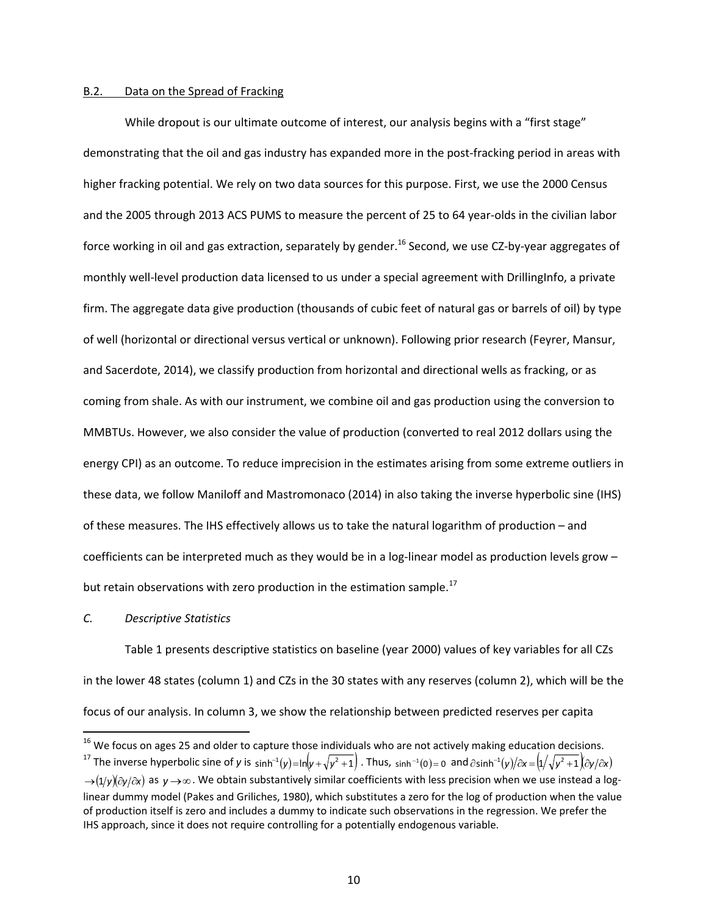#### B.2. Data on the Spread of Fracking

While dropout is our ultimate outcome of interest, our analysis begins with a "first stage" demonstrating that the oil and gas industry has expanded more in the post-fracking period in areas with higher fracking potential. We rely on two data sources for this purpose. First, we use the 2000 Census and the 2005 through 2013 ACS PUMS to measure the percent of 25 to 64 year-olds in the civilian labor force working in oil and gas extraction, separately by gender.<sup>16</sup> Second, we use CZ-by-year aggregates of monthly well-level production data licensed to us under a special agreement with DrillingInfo, a private firm. The aggregate data give production (thousands of cubic feet of natural gas or barrels of oil) by type of well (horizontal or directional versus vertical or unknown). Following prior research (Feyrer, Mansur, and Sacerdote, 2014), we classify production from horizontal and directional wells as fracking, or as coming from shale. As with our instrument, we combine oil and gas production using the conversion to MMBTUs. However, we also consider the value of production (converted to real 2012 dollars using the energy CPI) as an outcome. To reduce imprecision in the estimates arising from some extreme outliers in these data, we follow Maniloff and Mastromonaco (2014) in also taking the inverse hyperbolic sine (IHS) of these measures. The IHS effectively allows us to take the natural logarithm of production – and coefficients can be interpreted much as they would be in a log-linear model as production levels grow – but retain observations with zero production in the estimation sample.<sup>17</sup>

#### *C. Descriptive Statistics*

 $\overline{\phantom{a}}$ 

 Table 1 presents descriptive statistics on baseline (year 2000) values of key variables for all CZs in the lower 48 states (column 1) and CZs in the 30 states with any reserves (column 2), which will be the focus of our analysis. In column 3, we show the relationship between predicted reserves per capita

<sup>&</sup>lt;sup>16</sup> We focus on ages 25 and older to capture those individuals who are not actively making education decisions.<br><sup>17</sup> The inverse hyperbolic sine of y is  $sinh^{-1}(y)=ln(y+\sqrt{y^2+1})$ . Thus,  $sinh^{-1}(0)=0$  and  $\partial sinh^{-1}(y)/\partial x = (1/\sqrt{y^2+1$ 

 $\rightarrow$ (1/y)( $\partial y/\partial x$ ) as  $y\rightarrow\infty$ . We obtain substantively similar coefficients with less precision when we use instead a loglinear dummy model (Pakes and Griliches, 1980), which substitutes a zero for the log of production when the value of production itself is zero and includes a dummy to indicate such observations in the regression. We prefer the IHS approach, since it does not require controlling for a potentially endogenous variable.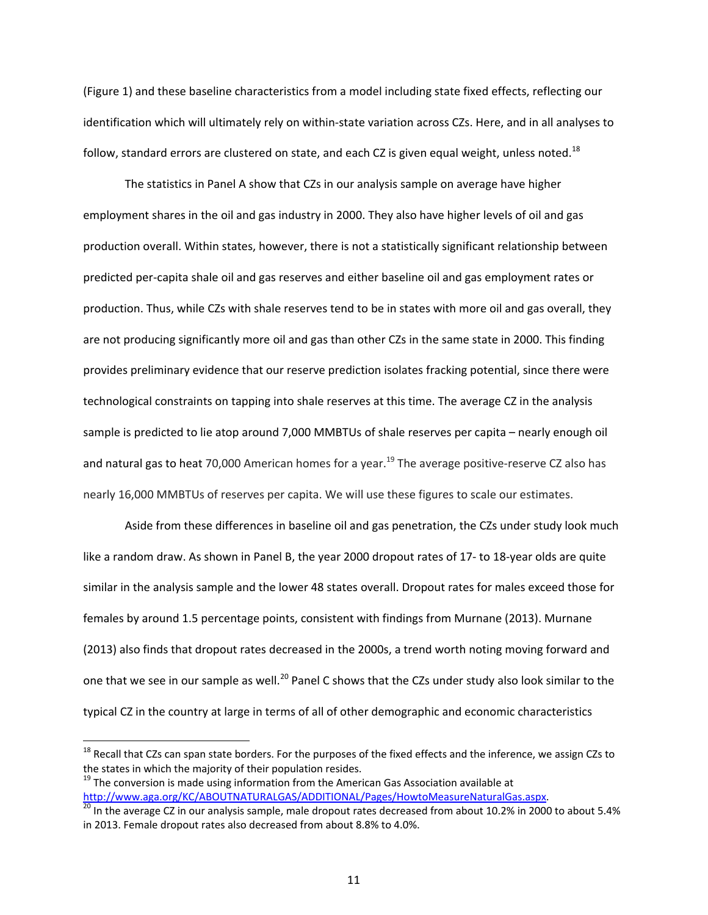(Figure 1) and these baseline characteristics from a model including state fixed effects, reflecting our identification which will ultimately rely on within-state variation across CZs. Here, and in all analyses to follow, standard errors are clustered on state, and each CZ is given equal weight, unless noted.<sup>18</sup>

 The statistics in Panel A show that CZs in our analysis sample on average have higher employment shares in the oil and gas industry in 2000. They also have higher levels of oil and gas production overall. Within states, however, there is not a statistically significant relationship between predicted per-capita shale oil and gas reserves and either baseline oil and gas employment rates or production. Thus, while CZs with shale reserves tend to be in states with more oil and gas overall, they are not producing significantly more oil and gas than other CZs in the same state in 2000. This finding provides preliminary evidence that our reserve prediction isolates fracking potential, since there were technological constraints on tapping into shale reserves at this time. The average CZ in the analysis sample is predicted to lie atop around 7,000 MMBTUs of shale reserves per capita – nearly enough oil and natural gas to heat 70,000 American homes for a year.<sup>19</sup> The average positive-reserve CZ also has nearly 16,000 MMBTUs of reserves per capita. We will use these figures to scale our estimates.

 Aside from these differences in baseline oil and gas penetration, the CZs under study look much like a random draw. As shown in Panel B, the year 2000 dropout rates of 17- to 18-year olds are quite similar in the analysis sample and the lower 48 states overall. Dropout rates for males exceed those for females by around 1.5 percentage points, consistent with findings from Murnane (2013). Murnane (2013) also finds that dropout rates decreased in the 2000s, a trend worth noting moving forward and one that we see in our sample as well.<sup>20</sup> Panel C shows that the CZs under study also look similar to the typical CZ in the country at large in terms of all of other demographic and economic characteristics

<sup>&</sup>lt;sup>18</sup> Recall that CZs can span state borders. For the purposes of the fixed effects and the inference, we assign CZs to the states in which the majority of their population resides.

<sup>&</sup>lt;sup>19</sup> The conversion is made using information from the American Gas Association available at http://www.aga.org/KC/ABOUTNATURALGAS/ADDITIONAL/Pages/HowtoMeasureNaturalGas.aspx.<br><sup>20</sup> In the average CZ in our analysis sample, male dropout rates decreased from about 10.2% in 2000 to about 5.4%

in 2013. Female dropout rates also decreased from about 8.8% to 4.0%.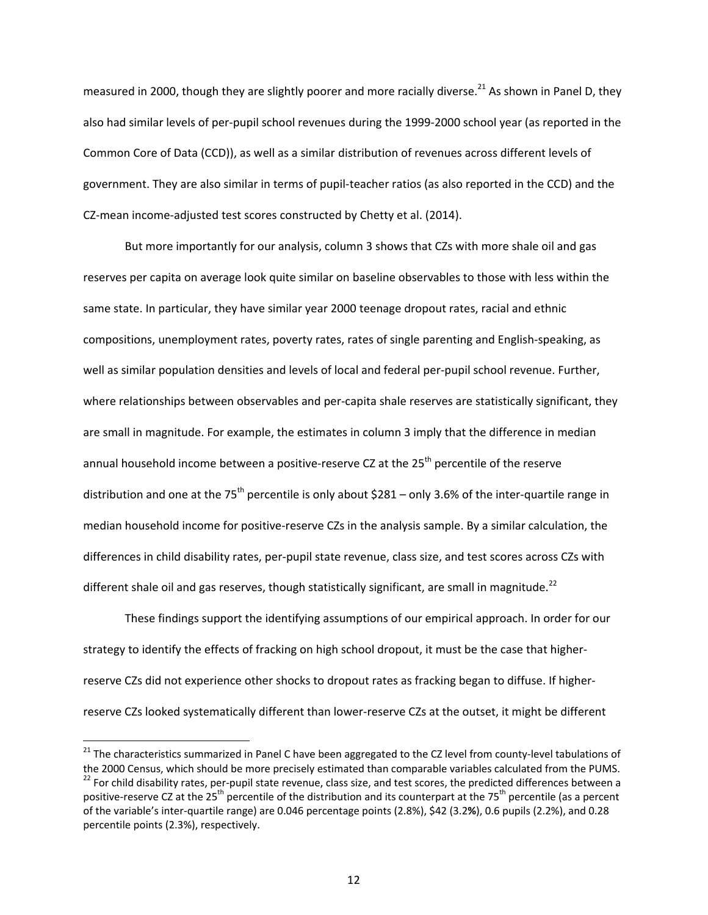measured in 2000, though they are slightly poorer and more racially diverse.<sup>21</sup> As shown in Panel D, they also had similar levels of per-pupil school revenues during the 1999-2000 school year (as reported in the Common Core of Data (CCD)), as well as a similar distribution of revenues across different levels of government. They are also similar in terms of pupil-teacher ratios (as also reported in the CCD) and the CZ-mean income-adjusted test scores constructed by Chetty et al. (2014).

But more importantly for our analysis, column 3 shows that CZs with more shale oil and gas reserves per capita on average look quite similar on baseline observables to those with less within the same state. In particular, they have similar year 2000 teenage dropout rates, racial and ethnic compositions, unemployment rates, poverty rates, rates of single parenting and English-speaking, as well as similar population densities and levels of local and federal per-pupil school revenue. Further, where relationships between observables and per-capita shale reserves are statistically significant, they are small in magnitude. For example, the estimates in column 3 imply that the difference in median annual household income between a positive-reserve CZ at the  $25<sup>th</sup>$  percentile of the reserve distribution and one at the 75<sup>th</sup> percentile is only about \$281 – only 3.6% of the inter-quartile range in median household income for positive-reserve CZs in the analysis sample. By a similar calculation, the differences in child disability rates, per-pupil state revenue, class size, and test scores across CZs with different shale oil and gas reserves, though statistically significant, are small in magnitude.<sup>22</sup>

These findings support the identifying assumptions of our empirical approach. In order for our strategy to identify the effects of fracking on high school dropout, it must be the case that higherreserve CZs did not experience other shocks to dropout rates as fracking began to diffuse. If higherreserve CZs looked systematically different than lower-reserve CZs at the outset, it might be different

<sup>&</sup>lt;sup>21</sup> The characteristics summarized in Panel C have been aggregated to the CZ level from county-level tabulations of the 2000 Census, which should be more precisely estimated than comparable variables calculated from the PUMS.<br><sup>22</sup> For child disability rates, per-pupil state revenue, class size, and test scores, the predicted differences positive-reserve CZ at the 25<sup>th</sup> percentile of the distribution and its counterpart at the 75<sup>th</sup> percentile (as a percent of the variable's inter-quartile range) are 0.046 percentage points (2.8%), \$42 (3.2**%**), 0.6 pupils (2.2%), and 0.28 percentile points (2.3%), respectively.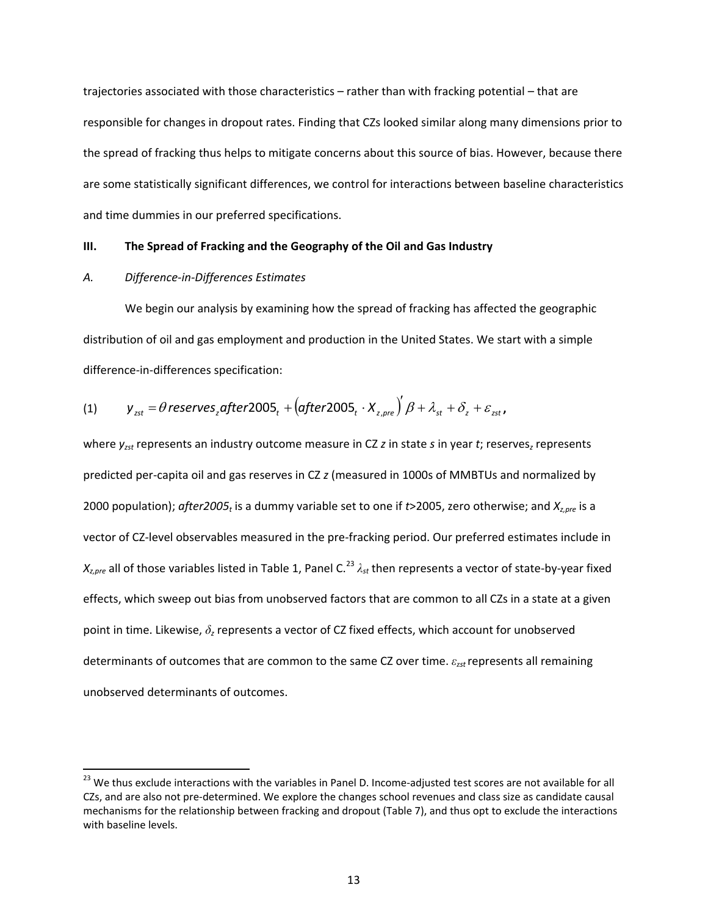trajectories associated with those characteristics – rather than with fracking potential – that are responsible for changes in dropout rates. Finding that CZs looked similar along many dimensions prior to the spread of fracking thus helps to mitigate concerns about this source of bias. However, because there are some statistically significant differences, we control for interactions between baseline characteristics and time dummies in our preferred specifications.

#### **III. The Spread of Fracking and the Geography of the Oil and Gas Industry**

#### *A. Difference-in-Differences Estimates*

 $\overline{a}$ 

We begin our analysis by examining how the spread of fracking has affected the geographic distribution of oil and gas employment and production in the United States. We start with a simple difference-in-differences specification:

(1) 
$$
y_{zst} = \theta
$$
 reserves<sub>z</sub>after2005<sub>t</sub> + (after2005<sub>t</sub> · X<sub>z,pre</sub>)'  $\beta + \lambda_{st} + \delta_z + \varepsilon_{zst}$ ,

where *yzst* represents an industry outcome measure in CZ *z* in state *s* in year *t*; reserves*z* represents predicted per-capita oil and gas reserves in CZ *z* (measured in 1000s of MMBTUs and normalized by 2000 population); *after2005<sub>t</sub>* is a dummy variable set to one if *t*>2005, zero otherwise; and  $X_{z,pre}$  is a vector of CZ-level observables measured in the pre-fracking period. Our preferred estimates include in *X<sub>z,pre</sub>* all of those variables listed in Table 1, Panel C.<sup>23</sup> λ<sub>st</sub> then represents a vector of state-by-year fixed effects, which sweep out bias from unobserved factors that are common to all CZs in a state at a given point in time. Likewise, *δz* represents a vector of CZ fixed effects, which account for unobserved determinants of outcomes that are common to the same CZ over time. *ε<sup>z</sup>st* represents all remaining unobserved determinants of outcomes.

 $^{23}$  We thus exclude interactions with the variables in Panel D. Income-adjusted test scores are not available for all CZs, and are also not pre-determined. We explore the changes school revenues and class size as candidate causal mechanisms for the relationship between fracking and dropout (Table 7), and thus opt to exclude the interactions with baseline levels.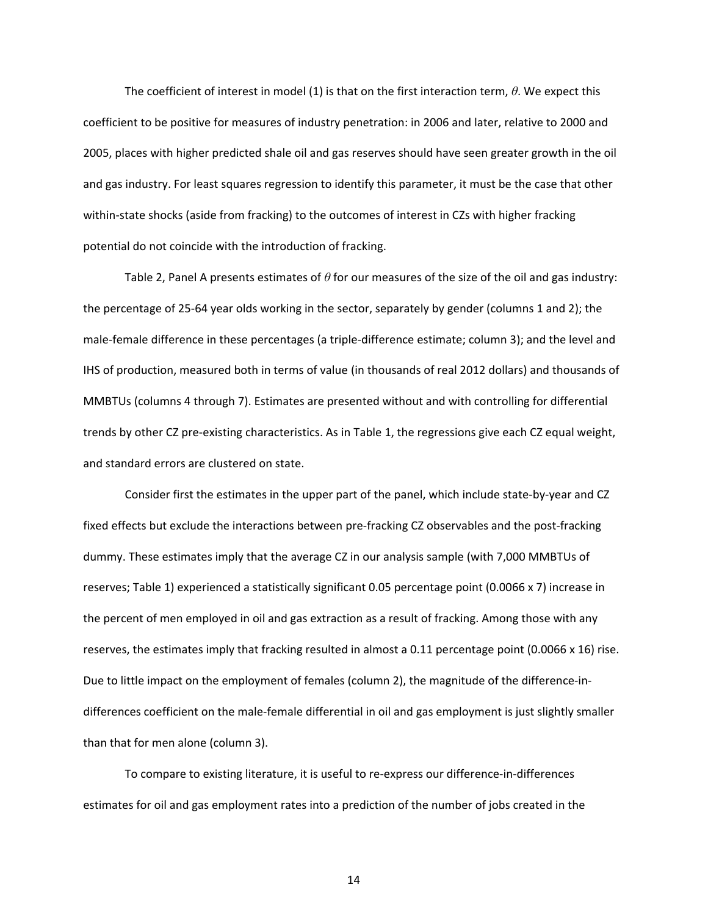The coefficient of interest in model (1) is that on the first interaction term, *θ*. We expect this coefficient to be positive for measures of industry penetration: in 2006 and later, relative to 2000 and 2005, places with higher predicted shale oil and gas reserves should have seen greater growth in the oil and gas industry. For least squares regression to identify this parameter, it must be the case that other within-state shocks (aside from fracking) to the outcomes of interest in CZs with higher fracking potential do not coincide with the introduction of fracking.

 Table 2, Panel A presents estimates of *θ* for our measures of the size of the oil and gas industry: the percentage of 25-64 year olds working in the sector, separately by gender (columns 1 and 2); the male-female difference in these percentages (a triple-difference estimate; column 3); and the level and IHS of production, measured both in terms of value (in thousands of real 2012 dollars) and thousands of MMBTUs (columns 4 through 7). Estimates are presented without and with controlling for differential trends by other CZ pre-existing characteristics. As in Table 1, the regressions give each CZ equal weight, and standard errors are clustered on state.

 Consider first the estimates in the upper part of the panel, which include state-by-year and CZ fixed effects but exclude the interactions between pre-fracking CZ observables and the post-fracking dummy. These estimates imply that the average CZ in our analysis sample (with 7,000 MMBTUs of reserves; Table 1) experienced a statistically significant 0.05 percentage point (0.0066 x 7) increase in the percent of men employed in oil and gas extraction as a result of fracking. Among those with any reserves, the estimates imply that fracking resulted in almost a 0.11 percentage point (0.0066 x 16) rise. Due to little impact on the employment of females (column 2), the magnitude of the difference-indifferences coefficient on the male-female differential in oil and gas employment is just slightly smaller than that for men alone (column 3).

To compare to existing literature, it is useful to re-express our difference-in-differences estimates for oil and gas employment rates into a prediction of the number of jobs created in the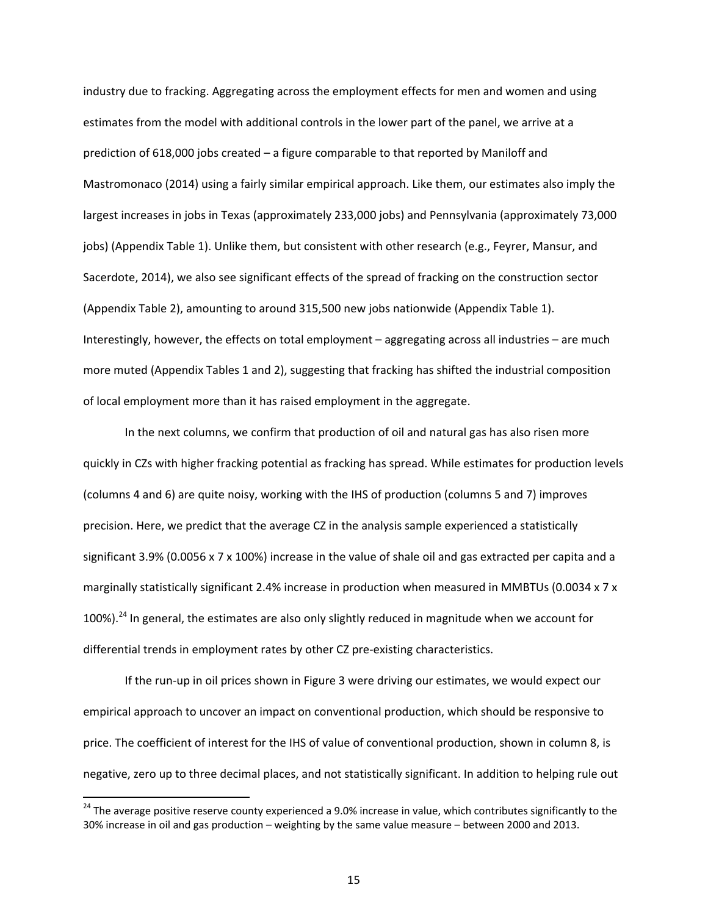industry due to fracking. Aggregating across the employment effects for men and women and using estimates from the model with additional controls in the lower part of the panel, we arrive at a prediction of 618,000 jobs created – a figure comparable to that reported by Maniloff and Mastromonaco (2014) using a fairly similar empirical approach. Like them, our estimates also imply the largest increases in jobs in Texas (approximately 233,000 jobs) and Pennsylvania (approximately 73,000 jobs) (Appendix Table 1). Unlike them, but consistent with other research (e.g., Feyrer, Mansur, and Sacerdote, 2014), we also see significant effects of the spread of fracking on the construction sector (Appendix Table 2), amounting to around 315,500 new jobs nationwide (Appendix Table 1). Interestingly, however, the effects on total employment – aggregating across all industries – are much more muted (Appendix Tables 1 and 2), suggesting that fracking has shifted the industrial composition of local employment more than it has raised employment in the aggregate.

In the next columns, we confirm that production of oil and natural gas has also risen more quickly in CZs with higher fracking potential as fracking has spread. While estimates for production levels (columns 4 and 6) are quite noisy, working with the IHS of production (columns 5 and 7) improves precision. Here, we predict that the average CZ in the analysis sample experienced a statistically significant 3.9% (0.0056 x 7 x 100%) increase in the value of shale oil and gas extracted per capita and a marginally statistically significant 2.4% increase in production when measured in MMBTUs (0.0034 x 7 x 100%).<sup>24</sup> In general, the estimates are also only slightly reduced in magnitude when we account for differential trends in employment rates by other CZ pre-existing characteristics.

If the run-up in oil prices shown in Figure 3 were driving our estimates, we would expect our empirical approach to uncover an impact on conventional production, which should be responsive to price. The coefficient of interest for the IHS of value of conventional production, shown in column 8, is negative, zero up to three decimal places, and not statistically significant. In addition to helping rule out

 $\overline{a}$ 

<sup>&</sup>lt;sup>24</sup> The average positive reserve county experienced a 9.0% increase in value, which contributes significantly to the 30% increase in oil and gas production – weighting by the same value measure – between 2000 and 2013.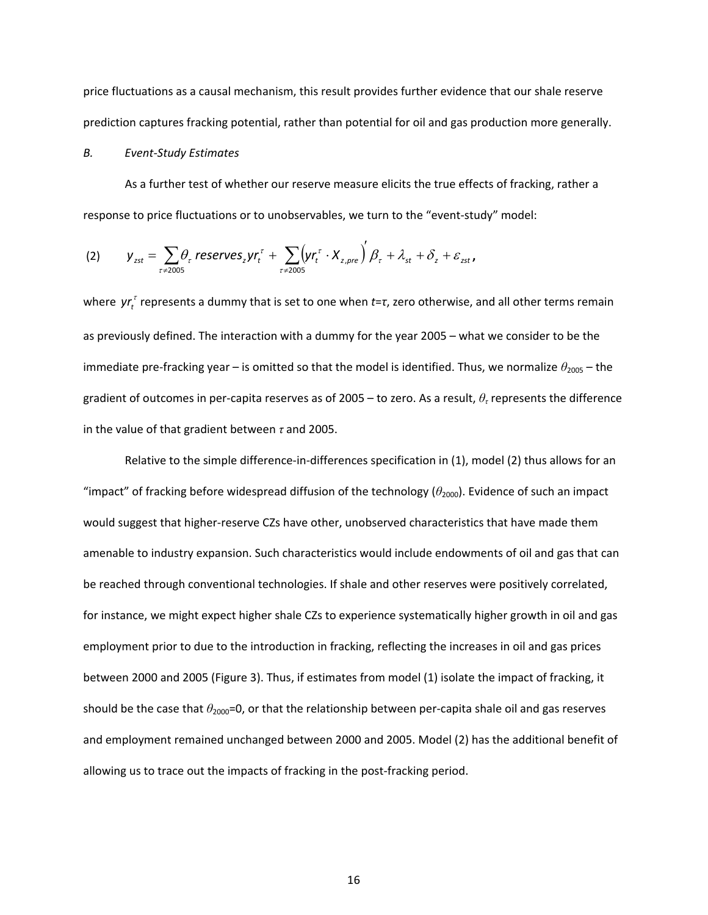price fluctuations as a causal mechanism, this result provides further evidence that our shale reserve prediction captures fracking potential, rather than potential for oil and gas production more generally.

#### *B. Event-Study Estimates*

As a further test of whether our reserve measure elicits the true effects of fracking, rather a response to price fluctuations or to unobservables, we turn to the "event-study" model:

(2) 
$$
y_{zst} = \sum_{\tau \neq 2005} \theta_{\tau} \text{ reserves}_{z} yr_{t}^{\tau} + \sum_{\tau \neq 2005} (yr_{t}^{\tau} \cdot X_{z,pre})^{'} \beta_{\tau} + \lambda_{st} + \delta_{z} + \varepsilon_{zst},
$$

where yr<sub>t</sub><sup>*t*</sup> represents a dummy that is set to one when *t*=τ, zero otherwise, and all other terms remain as previously defined. The interaction with a dummy for the year 2005 – what we consider to be the immediate pre-fracking year – is omitted so that the model is identified. Thus, we normalize  $\theta_{2005}$  – the gradient of outcomes in per-capita reserves as of 2005 – to zero. As a result, *θτ* represents the difference in the value of that gradient between *τ* and 2005.

Relative to the simple difference-in-differences specification in (1), model (2) thus allows for an "impact" of fracking before widespread diffusion of the technology  $(\theta_{2000})$ . Evidence of such an impact would suggest that higher-reserve CZs have other, unobserved characteristics that have made them amenable to industry expansion. Such characteristics would include endowments of oil and gas that can be reached through conventional technologies. If shale and other reserves were positively correlated, for instance, we might expect higher shale CZs to experience systematically higher growth in oil and gas employment prior to due to the introduction in fracking, reflecting the increases in oil and gas prices between 2000 and 2005 (Figure 3). Thus, if estimates from model (1) isolate the impact of fracking, it should be the case that  $θ_{2000}=0$ , or that the relationship between per-capita shale oil and gas reserves and employment remained unchanged between 2000 and 2005. Model (2) has the additional benefit of allowing us to trace out the impacts of fracking in the post-fracking period.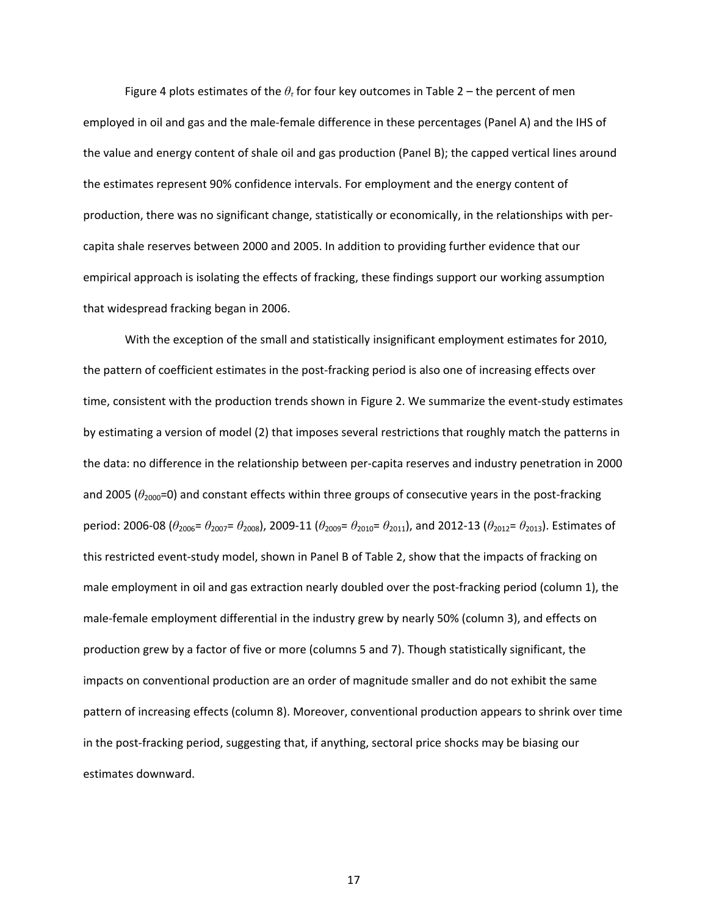Figure 4 plots estimates of the *θτ* for four key outcomes in Table 2 – the percent of men employed in oil and gas and the male-female difference in these percentages (Panel A) and the IHS of the value and energy content of shale oil and gas production (Panel B); the capped vertical lines around the estimates represent 90% confidence intervals. For employment and the energy content of production, there was no significant change, statistically or economically, in the relationships with percapita shale reserves between 2000 and 2005. In addition to providing further evidence that our empirical approach is isolating the effects of fracking, these findings support our working assumption that widespread fracking began in 2006.

With the exception of the small and statistically insignificant employment estimates for 2010, the pattern of coefficient estimates in the post-fracking period is also one of increasing effects over time, consistent with the production trends shown in Figure 2. We summarize the event-study estimates by estimating a version of model (2) that imposes several restrictions that roughly match the patterns in the data: no difference in the relationship between per-capita reserves and industry penetration in 2000 and 2005 ( $\theta_{2000}$ =0) and constant effects within three groups of consecutive years in the post-fracking period: 2006-08 ( $\theta_{2006}$ =  $\theta_{2007}$ =  $\theta_{2008}$ ), 2009-11 ( $\theta_{2009}$ =  $\theta_{2010}$ =  $\theta_{2011}$ ), and 2012-13 ( $\theta_{2012}$ =  $\theta_{2013}$ ). Estimates of this restricted event-study model, shown in Panel B of Table 2, show that the impacts of fracking on male employment in oil and gas extraction nearly doubled over the post-fracking period (column 1), the male-female employment differential in the industry grew by nearly 50% (column 3), and effects on production grew by a factor of five or more (columns 5 and 7). Though statistically significant, the impacts on conventional production are an order of magnitude smaller and do not exhibit the same pattern of increasing effects (column 8). Moreover, conventional production appears to shrink over time in the post-fracking period, suggesting that, if anything, sectoral price shocks may be biasing our estimates downward.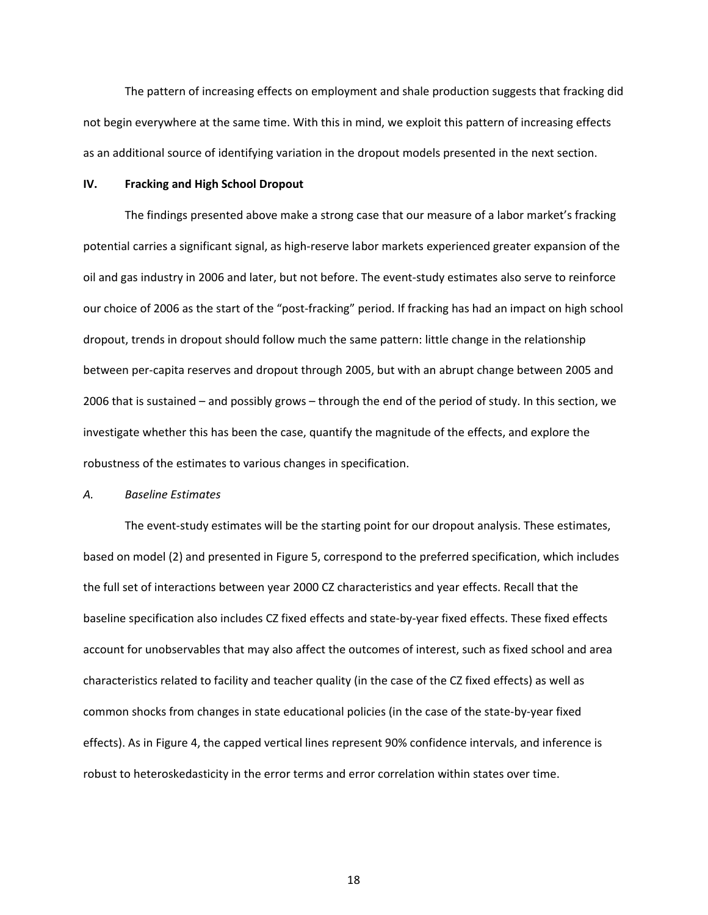The pattern of increasing effects on employment and shale production suggests that fracking did not begin everywhere at the same time. With this in mind, we exploit this pattern of increasing effects as an additional source of identifying variation in the dropout models presented in the next section.

### **IV. Fracking and High School Dropout**

The findings presented above make a strong case that our measure of a labor market's fracking potential carries a significant signal, as high-reserve labor markets experienced greater expansion of the oil and gas industry in 2006 and later, but not before. The event-study estimates also serve to reinforce our choice of 2006 as the start of the "post-fracking" period. If fracking has had an impact on high school dropout, trends in dropout should follow much the same pattern: little change in the relationship between per-capita reserves and dropout through 2005, but with an abrupt change between 2005 and 2006 that is sustained – and possibly grows – through the end of the period of study. In this section, we investigate whether this has been the case, quantify the magnitude of the effects, and explore the robustness of the estimates to various changes in specification.

#### *A. Baseline Estimates*

 The event-study estimates will be the starting point for our dropout analysis. These estimates, based on model (2) and presented in Figure 5, correspond to the preferred specification, which includes the full set of interactions between year 2000 CZ characteristics and year effects. Recall that the baseline specification also includes CZ fixed effects and state-by-year fixed effects. These fixed effects account for unobservables that may also affect the outcomes of interest, such as fixed school and area characteristics related to facility and teacher quality (in the case of the CZ fixed effects) as well as common shocks from changes in state educational policies (in the case of the state-by-year fixed effects). As in Figure 4, the capped vertical lines represent 90% confidence intervals, and inference is robust to heteroskedasticity in the error terms and error correlation within states over time.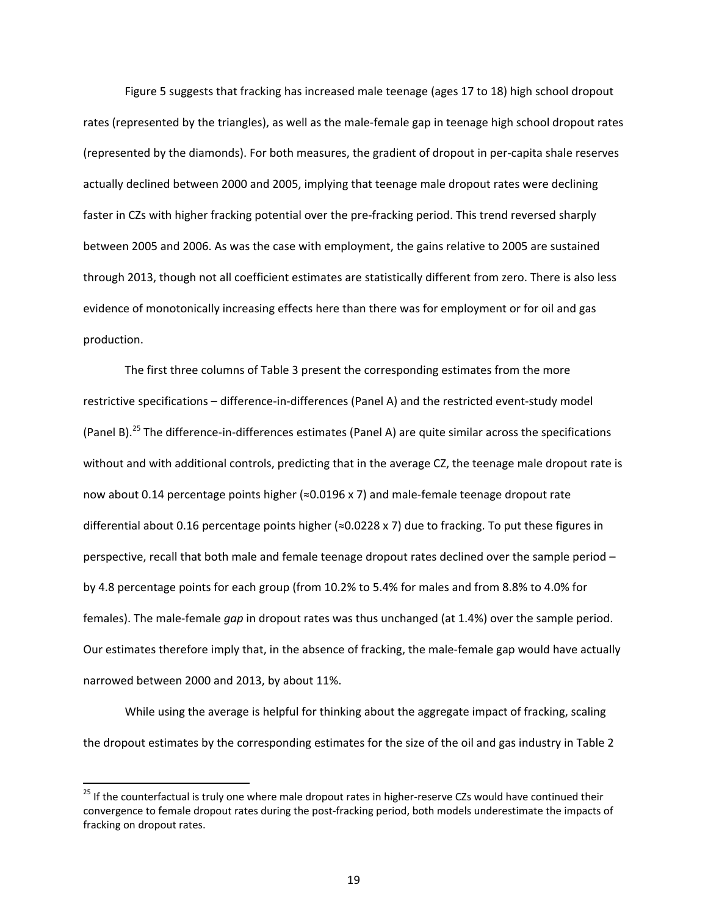Figure 5 suggests that fracking has increased male teenage (ages 17 to 18) high school dropout rates (represented by the triangles), as well as the male-female gap in teenage high school dropout rates (represented by the diamonds). For both measures, the gradient of dropout in per-capita shale reserves actually declined between 2000 and 2005, implying that teenage male dropout rates were declining faster in CZs with higher fracking potential over the pre-fracking period. This trend reversed sharply between 2005 and 2006. As was the case with employment, the gains relative to 2005 are sustained through 2013, though not all coefficient estimates are statistically different from zero. There is also less evidence of monotonically increasing effects here than there was for employment or for oil and gas production.

 The first three columns of Table 3 present the corresponding estimates from the more restrictive specifications – difference-in-differences (Panel A) and the restricted event-study model (Panel B).<sup>25</sup> The difference-in-differences estimates (Panel A) are quite similar across the specifications without and with additional controls, predicting that in the average CZ, the teenage male dropout rate is now about 0.14 percentage points higher  $(\approx 0.0196 \times 7)$  and male-female teenage dropout rate differential about 0.16 percentage points higher (≈0.0228 x 7) due to fracking. To put these figures in perspective, recall that both male and female teenage dropout rates declined over the sample period – by 4.8 percentage points for each group (from 10.2% to 5.4% for males and from 8.8% to 4.0% for females). The male-female *gap* in dropout rates was thus unchanged (at 1.4%) over the sample period. Our estimates therefore imply that, in the absence of fracking, the male-female gap would have actually narrowed between 2000 and 2013, by about 11%.

While using the average is helpful for thinking about the aggregate impact of fracking, scaling the dropout estimates by the corresponding estimates for the size of the oil and gas industry in Table 2

 $\overline{\phantom{a}}$ 

<sup>&</sup>lt;sup>25</sup> If the counterfactual is truly one where male dropout rates in higher-reserve CZs would have continued their convergence to female dropout rates during the post-fracking period, both models underestimate the impacts of fracking on dropout rates.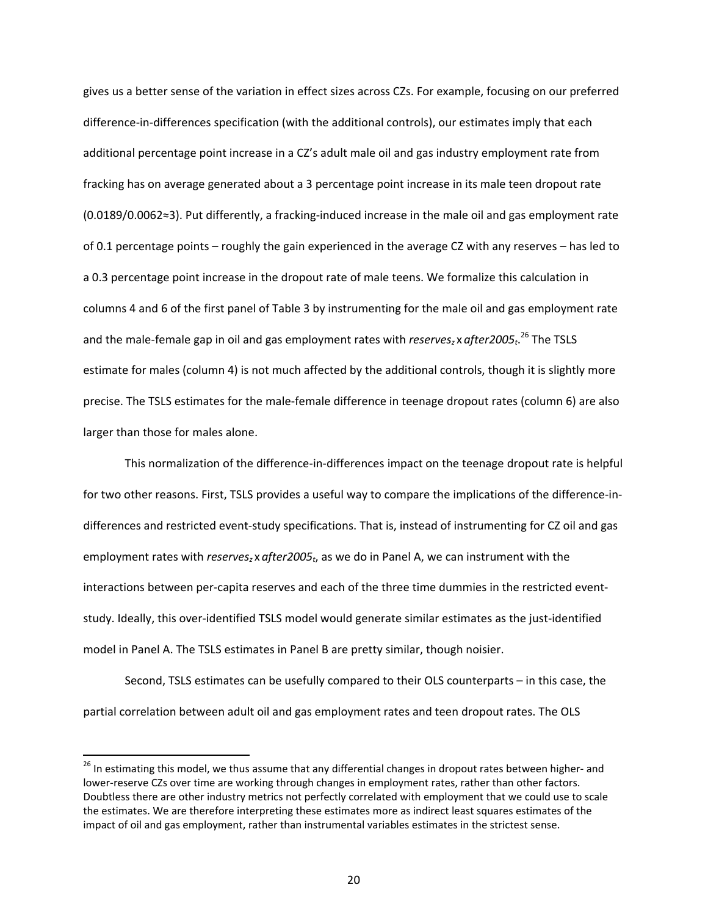gives us a better sense of the variation in effect sizes across CZs. For example, focusing on our preferred difference-in-differences specification (with the additional controls), our estimates imply that each additional percentage point increase in a CZ's adult male oil and gas industry employment rate from fracking has on average generated about a 3 percentage point increase in its male teen dropout rate (0.0189/0.0062≈3). Put differently, a fracking-induced increase in the male oil and gas employment rate of 0.1 percentage points – roughly the gain experienced in the average CZ with any reserves – has led to a 0.3 percentage point increase in the dropout rate of male teens. We formalize this calculation in columns 4 and 6 of the first panel of Table 3 by instrumenting for the male oil and gas employment rate and the male-female gap in oil and gas employment rates with *reserves*<sub>z</sub> x after2005<sub>t</sub>.<sup>26</sup> The TSLS estimate for males (column 4) is not much affected by the additional controls, though it is slightly more precise. The TSLS estimates for the male-female difference in teenage dropout rates (column 6) are also larger than those for males alone.

 This normalization of the difference-in-differences impact on the teenage dropout rate is helpful for two other reasons. First, TSLS provides a useful way to compare the implications of the difference-indifferences and restricted event-study specifications. That is, instead of instrumenting for CZ oil and gas employment rates with *reserves<sub>z</sub>* x after 2005<sub>t</sub>, as we do in Panel A, we can instrument with the interactions between per-capita reserves and each of the three time dummies in the restricted eventstudy. Ideally, this over-identified TSLS model would generate similar estimates as the just-identified model in Panel A. The TSLS estimates in Panel B are pretty similar, though noisier.

Second, TSLS estimates can be usefully compared to their OLS counterparts – in this case, the partial correlation between adult oil and gas employment rates and teen dropout rates. The OLS

<sup>&</sup>lt;sup>26</sup> In estimating this model, we thus assume that any differential changes in dropout rates between higher- and lower-reserve CZs over time are working through changes in employment rates, rather than other factors. Doubtless there are other industry metrics not perfectly correlated with employment that we could use to scale the estimates. We are therefore interpreting these estimates more as indirect least squares estimates of the impact of oil and gas employment, rather than instrumental variables estimates in the strictest sense.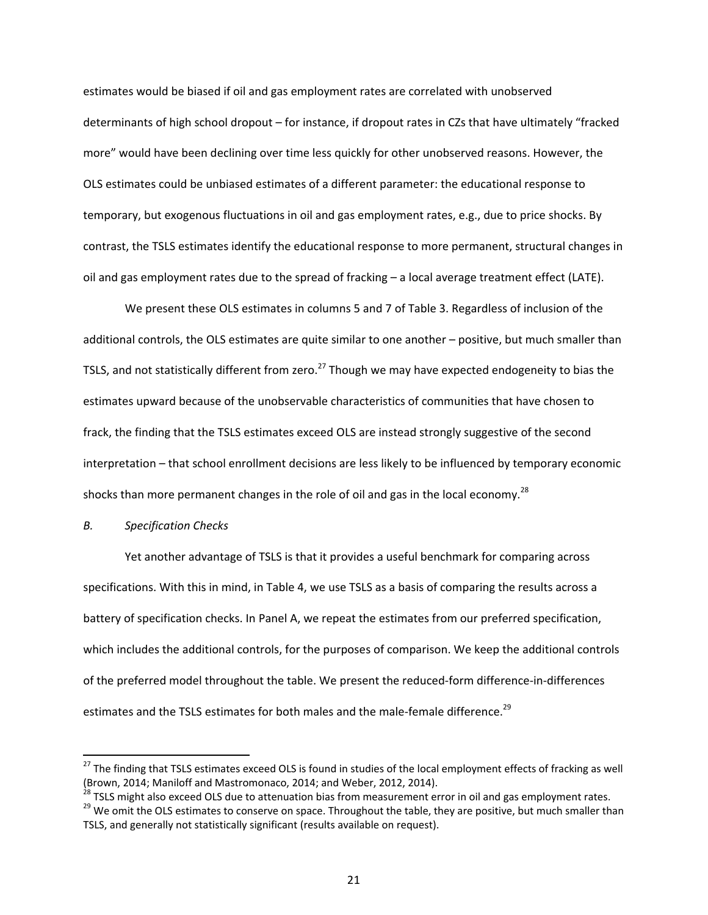estimates would be biased if oil and gas employment rates are correlated with unobserved determinants of high school dropout – for instance, if dropout rates in CZs that have ultimately "fracked more" would have been declining over time less quickly for other unobserved reasons. However, the OLS estimates could be unbiased estimates of a different parameter: the educational response to temporary, but exogenous fluctuations in oil and gas employment rates, e.g., due to price shocks. By contrast, the TSLS estimates identify the educational response to more permanent, structural changes in oil and gas employment rates due to the spread of fracking – a local average treatment effect (LATE).

We present these OLS estimates in columns 5 and 7 of Table 3. Regardless of inclusion of the additional controls, the OLS estimates are quite similar to one another – positive, but much smaller than TSLS, and not statistically different from zero.<sup>27</sup> Though we may have expected endogeneity to bias the estimates upward because of the unobservable characteristics of communities that have chosen to frack, the finding that the TSLS estimates exceed OLS are instead strongly suggestive of the second interpretation – that school enrollment decisions are less likely to be influenced by temporary economic shocks than more permanent changes in the role of oil and gas in the local economy.<sup>28</sup>

### *B. Specification Checks*

 $\overline{\phantom{a}}$ 

Yet another advantage of TSLS is that it provides a useful benchmark for comparing across specifications. With this in mind, in Table 4, we use TSLS as a basis of comparing the results across a battery of specification checks. In Panel A, we repeat the estimates from our preferred specification, which includes the additional controls, for the purposes of comparison. We keep the additional controls of the preferred model throughout the table. We present the reduced-form difference-in-differences estimates and the TSLS estimates for both males and the male-female difference.<sup>29</sup>

<sup>&</sup>lt;sup>27</sup> The finding that TSLS estimates exceed OLS is found in studies of the local employment effects of fracking as well (Brown, 2014; Maniloff and Mastromonaco, 2014; and Weber, 2012, 2014).<br><sup>28</sup> TSLS might also exceed OLS due to attenuation bias from measurement error in oil and gas employment rates.

<sup>&</sup>lt;sup>29</sup> We omit the OLS estimates to conserve on space. Throughout the table, they are positive, but much smaller than TSLS, and generally not statistically significant (results available on request).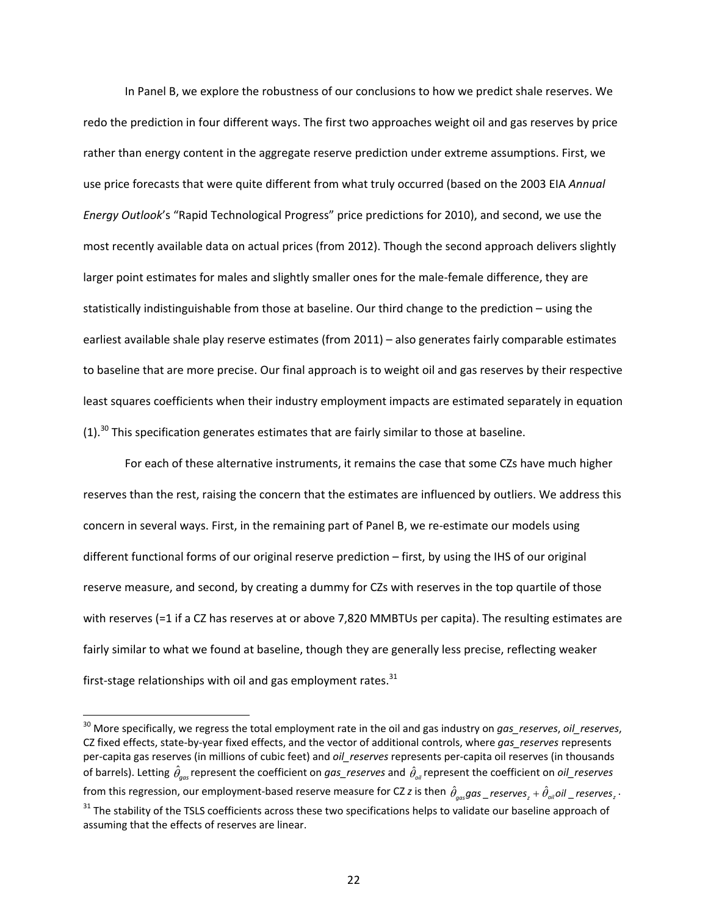In Panel B, we explore the robustness of our conclusions to how we predict shale reserves. We redo the prediction in four different ways. The first two approaches weight oil and gas reserves by price rather than energy content in the aggregate reserve prediction under extreme assumptions. First, we use price forecasts that were quite different from what truly occurred (based on the 2003 EIA *Annual Energy Outlook*'s "Rapid Technological Progress" price predictions for 2010), and second, we use the most recently available data on actual prices (from 2012). Though the second approach delivers slightly larger point estimates for males and slightly smaller ones for the male-female difference, they are statistically indistinguishable from those at baseline. Our third change to the prediction – using the earliest available shale play reserve estimates (from 2011) – also generates fairly comparable estimates to baseline that are more precise. Our final approach is to weight oil and gas reserves by their respective least squares coefficients when their industry employment impacts are estimated separately in equation  $(1).$ <sup>30</sup> This specification generates estimates that are fairly similar to those at baseline.

For each of these alternative instruments, it remains the case that some CZs have much higher reserves than the rest, raising the concern that the estimates are influenced by outliers. We address this concern in several ways. First, in the remaining part of Panel B, we re-estimate our models using different functional forms of our original reserve prediction – first, by using the IHS of our original reserve measure, and second, by creating a dummy for CZs with reserves in the top quartile of those with reserves (=1 if a CZ has reserves at or above 7,820 MMBTUs per capita). The resulting estimates are fairly similar to what we found at baseline, though they are generally less precise, reflecting weaker first-stage relationships with oil and gas employment rates. $31$ 

<sup>30</sup> More specifically, we regress the total employment rate in the oil and gas industry on *gas\_reserves*, *oil\_reserves*, CZ fixed effects, state-by-year fixed effects, and the vector of additional controls, where *gas\_reserves* represents per-capita gas reserves (in millions of cubic feet) and *oil\_reserves* represents per-capita oil reserves (in thousands of barrels). Letting  $\hat{\theta}_{gas}$  represent the coefficient on  $gas\_reserves$  and  $\hat{\theta}_{_{oil}}$  represent the coefficient on *oil\_reserves* from this regression, our employment-based reserve measure for CZ *z* is then  $\hat\theta_{gas}$ gas \_ *reserves*  $_z+\hat\theta_{oil}$ oil \_ *reserves*  $_z$  · <sup>31</sup> The stability of the TSLS coefficients across these two specifications helps to validate our baseline approach of assuming that the effects of reserves are linear.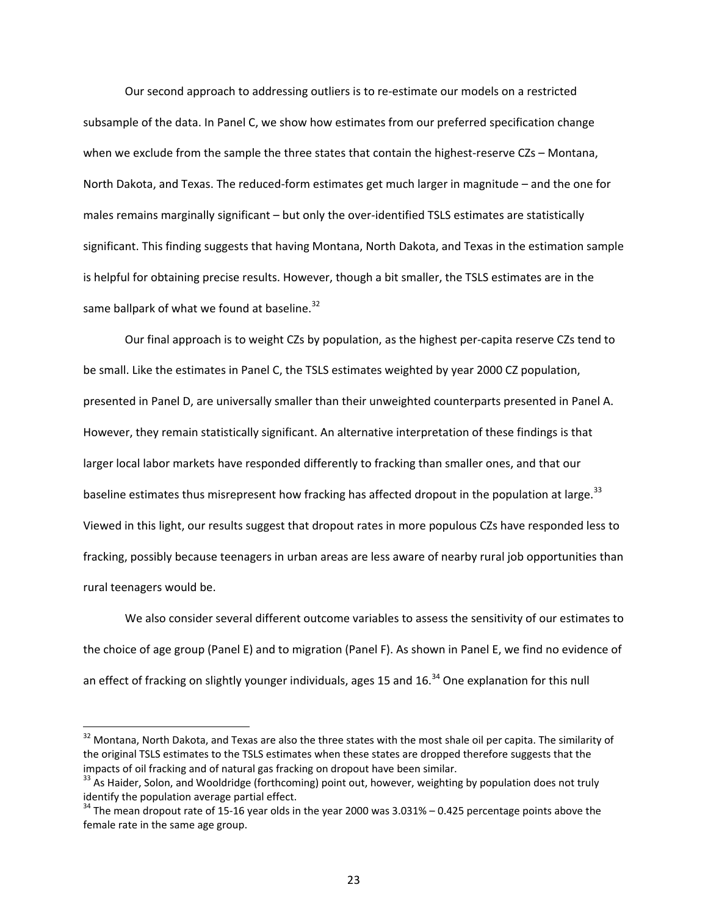Our second approach to addressing outliers is to re-estimate our models on a restricted subsample of the data. In Panel C, we show how estimates from our preferred specification change when we exclude from the sample the three states that contain the highest-reserve CZs – Montana, North Dakota, and Texas. The reduced-form estimates get much larger in magnitude – and the one for males remains marginally significant – but only the over-identified TSLS estimates are statistically significant. This finding suggests that having Montana, North Dakota, and Texas in the estimation sample is helpful for obtaining precise results. However, though a bit smaller, the TSLS estimates are in the same ballpark of what we found at baseline.<sup>32</sup>

Our final approach is to weight CZs by population, as the highest per-capita reserve CZs tend to be small. Like the estimates in Panel C, the TSLS estimates weighted by year 2000 CZ population, presented in Panel D, are universally smaller than their unweighted counterparts presented in Panel A. However, they remain statistically significant. An alternative interpretation of these findings is that larger local labor markets have responded differently to fracking than smaller ones, and that our baseline estimates thus misrepresent how fracking has affected dropout in the population at large.<sup>33</sup> Viewed in this light, our results suggest that dropout rates in more populous CZs have responded less to fracking, possibly because teenagers in urban areas are less aware of nearby rural job opportunities than rural teenagers would be.

We also consider several different outcome variables to assess the sensitivity of our estimates to the choice of age group (Panel E) and to migration (Panel F). As shown in Panel E, we find no evidence of an effect of fracking on slightly younger individuals, ages 15 and  $16<sup>34</sup>$  One explanation for this null

 $32$  Montana, North Dakota, and Texas are also the three states with the most shale oil per capita. The similarity of the original TSLS estimates to the TSLS estimates when these states are dropped therefore suggests that the impacts of oil fracking and of natural gas fracking on dropout have been similar.<br><sup>33</sup> As Haider, Solon, and Wooldridge (forthcoming) point out, however, weighting by population does not truly

identify the population average partial effect.<br><sup>34</sup> The mean dropout rate of 15-16 year olds in the year 2000 was 3.031% – 0.425 percentage points above the

female rate in the same age group.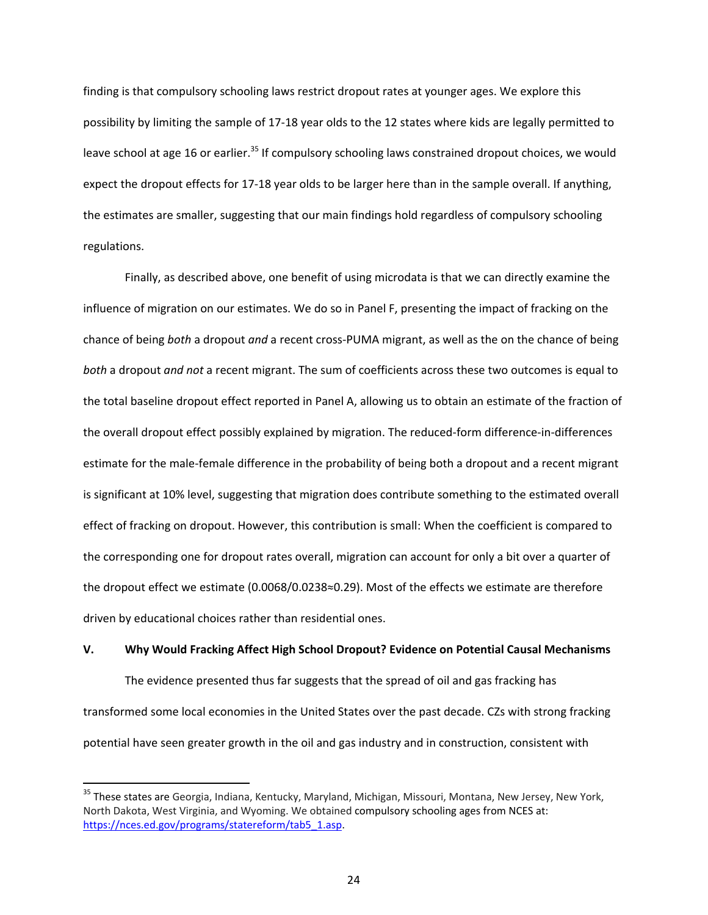finding is that compulsory schooling laws restrict dropout rates at younger ages. We explore this possibility by limiting the sample of 17-18 year olds to the 12 states where kids are legally permitted to leave school at age 16 or earlier.<sup>35</sup> If compulsory schooling laws constrained dropout choices, we would expect the dropout effects for 17-18 year olds to be larger here than in the sample overall. If anything, the estimates are smaller, suggesting that our main findings hold regardless of compulsory schooling regulations.

Finally, as described above, one benefit of using microdata is that we can directly examine the influence of migration on our estimates. We do so in Panel F, presenting the impact of fracking on the chance of being *both* a dropout *and* a recent cross-PUMA migrant, as well as the on the chance of being *both* a dropout *and not* a recent migrant. The sum of coefficients across these two outcomes is equal to the total baseline dropout effect reported in Panel A, allowing us to obtain an estimate of the fraction of the overall dropout effect possibly explained by migration. The reduced-form difference-in-differences estimate for the male-female difference in the probability of being both a dropout and a recent migrant is significant at 10% level, suggesting that migration does contribute something to the estimated overall effect of fracking on dropout. However, this contribution is small: When the coefficient is compared to the corresponding one for dropout rates overall, migration can account for only a bit over a quarter of the dropout effect we estimate (0.0068/0.0238≈0.29). Most of the effects we estimate are therefore driven by educational choices rather than residential ones.

#### **V. Why Would Fracking Affect High School Dropout? Evidence on Potential Causal Mechanisms**

The evidence presented thus far suggests that the spread of oil and gas fracking has transformed some local economies in the United States over the past decade. CZs with strong fracking potential have seen greater growth in the oil and gas industry and in construction, consistent with

<sup>&</sup>lt;sup>35</sup> These states are Georgia, Indiana, Kentucky, Maryland, Michigan, Missouri, Montana, New Jersey, New York, North Dakota, West Virginia, and Wyoming. We obtained compulsory schooling ages from NCES at: https://nces.ed.gov/programs/statereform/tab5\_1.asp.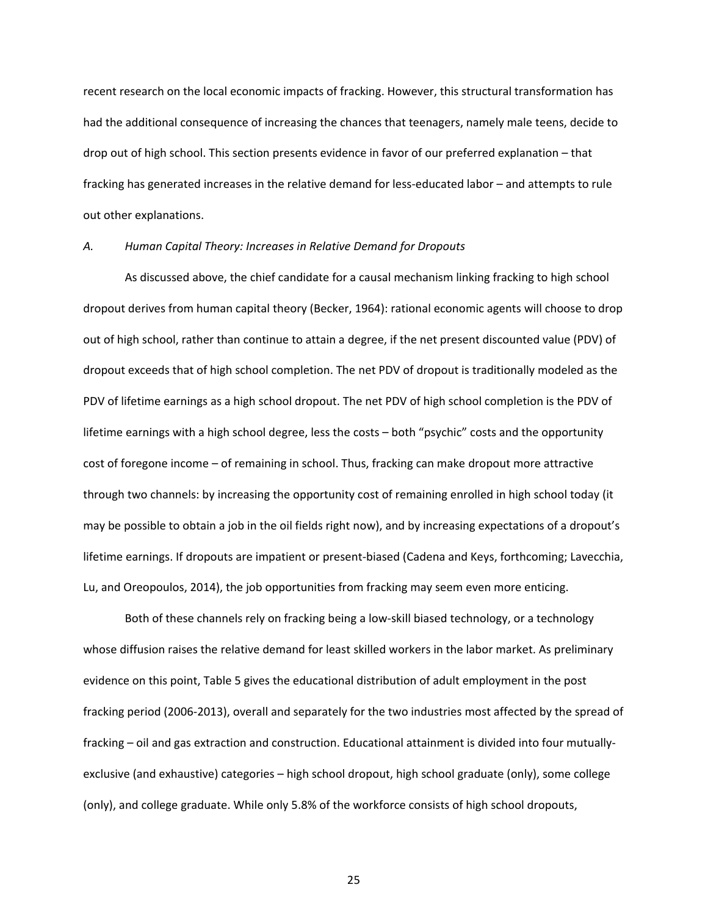recent research on the local economic impacts of fracking. However, this structural transformation has had the additional consequence of increasing the chances that teenagers, namely male teens, decide to drop out of high school. This section presents evidence in favor of our preferred explanation – that fracking has generated increases in the relative demand for less-educated labor – and attempts to rule out other explanations.

#### *A. Human Capital Theory: Increases in Relative Demand for Dropouts*

As discussed above, the chief candidate for a causal mechanism linking fracking to high school dropout derives from human capital theory (Becker, 1964): rational economic agents will choose to drop out of high school, rather than continue to attain a degree, if the net present discounted value (PDV) of dropout exceeds that of high school completion. The net PDV of dropout is traditionally modeled as the PDV of lifetime earnings as a high school dropout. The net PDV of high school completion is the PDV of lifetime earnings with a high school degree, less the costs – both "psychic" costs and the opportunity cost of foregone income – of remaining in school. Thus, fracking can make dropout more attractive through two channels: by increasing the opportunity cost of remaining enrolled in high school today (it may be possible to obtain a job in the oil fields right now), and by increasing expectations of a dropout's lifetime earnings. If dropouts are impatient or present-biased (Cadena and Keys, forthcoming; Lavecchia, Lu, and Oreopoulos, 2014), the job opportunities from fracking may seem even more enticing.

Both of these channels rely on fracking being a low-skill biased technology, or a technology whose diffusion raises the relative demand for least skilled workers in the labor market. As preliminary evidence on this point, Table 5 gives the educational distribution of adult employment in the post fracking period (2006-2013), overall and separately for the two industries most affected by the spread of fracking – oil and gas extraction and construction. Educational attainment is divided into four mutuallyexclusive (and exhaustive) categories – high school dropout, high school graduate (only), some college (only), and college graduate. While only 5.8% of the workforce consists of high school dropouts,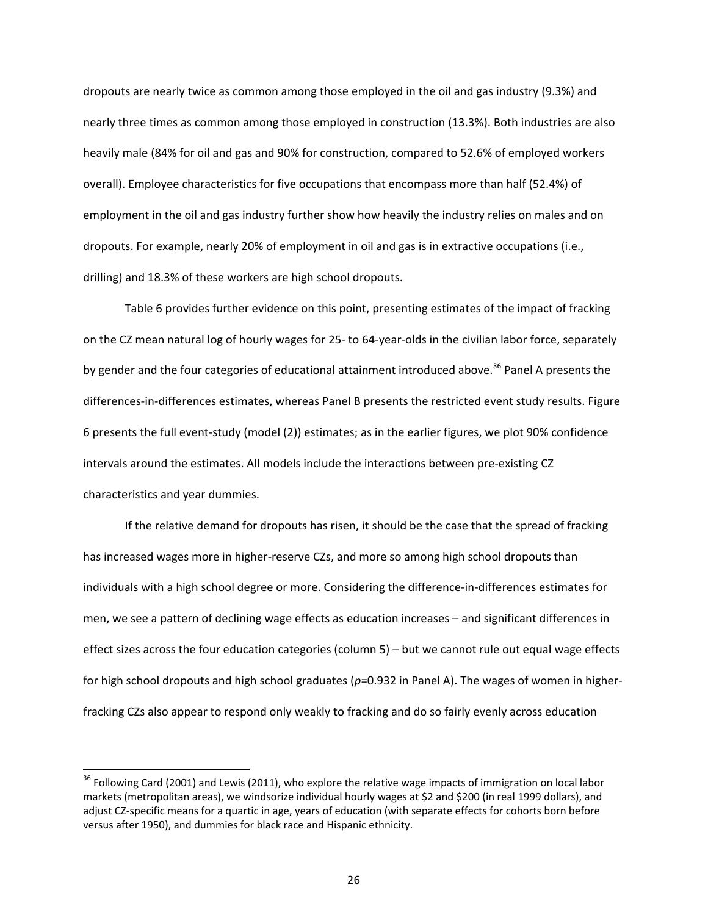dropouts are nearly twice as common among those employed in the oil and gas industry (9.3%) and nearly three times as common among those employed in construction (13.3%). Both industries are also heavily male (84% for oil and gas and 90% for construction, compared to 52.6% of employed workers overall). Employee characteristics for five occupations that encompass more than half (52.4%) of employment in the oil and gas industry further show how heavily the industry relies on males and on dropouts. For example, nearly 20% of employment in oil and gas is in extractive occupations (i.e., drilling) and 18.3% of these workers are high school dropouts.

Table 6 provides further evidence on this point, presenting estimates of the impact of fracking on the CZ mean natural log of hourly wages for 25- to 64-year-olds in the civilian labor force, separately by gender and the four categories of educational attainment introduced above.<sup>36</sup> Panel A presents the differences-in-differences estimates, whereas Panel B presents the restricted event study results. Figure 6 presents the full event-study (model (2)) estimates; as in the earlier figures, we plot 90% confidence intervals around the estimates. All models include the interactions between pre-existing CZ characteristics and year dummies.

If the relative demand for dropouts has risen, it should be the case that the spread of fracking has increased wages more in higher-reserve CZs, and more so among high school dropouts than individuals with a high school degree or more. Considering the difference-in-differences estimates for men, we see a pattern of declining wage effects as education increases – and significant differences in effect sizes across the four education categories (column 5) – but we cannot rule out equal wage effects for high school dropouts and high school graduates (p=0.932 in Panel A). The wages of women in higherfracking CZs also appear to respond only weakly to fracking and do so fairly evenly across education

 $\overline{a}$ 

<sup>&</sup>lt;sup>36</sup> Following Card (2001) and Lewis (2011), who explore the relative wage impacts of immigration on local labor markets (metropolitan areas), we windsorize individual hourly wages at \$2 and \$200 (in real 1999 dollars), and adjust CZ-specific means for a quartic in age, years of education (with separate effects for cohorts born before versus after 1950), and dummies for black race and Hispanic ethnicity.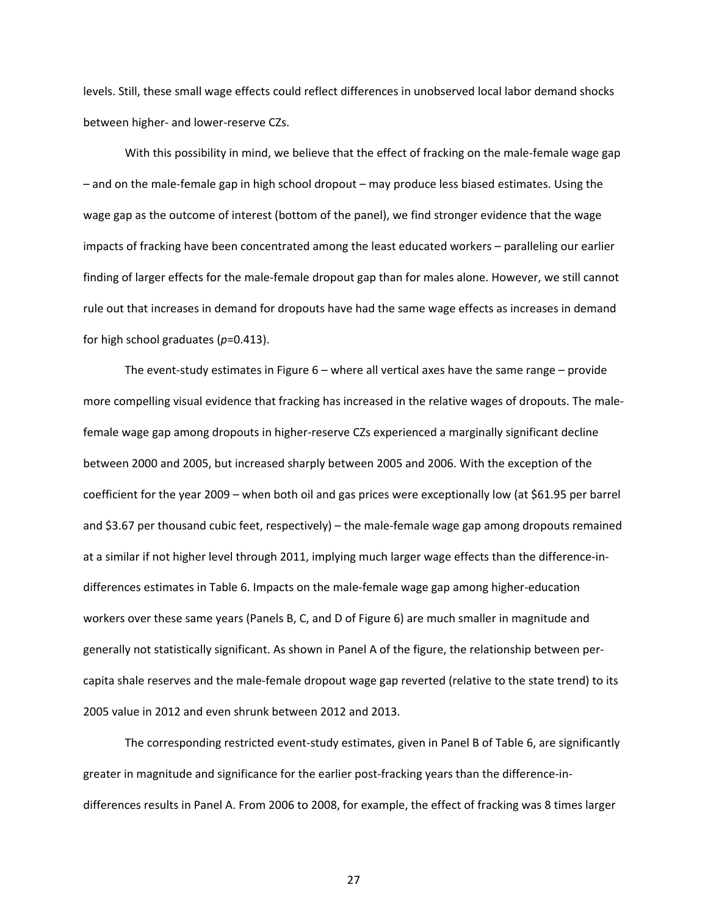levels. Still, these small wage effects could reflect differences in unobserved local labor demand shocks between higher- and lower-reserve CZs.

With this possibility in mind, we believe that the effect of fracking on the male-female wage gap – and on the male-female gap in high school dropout – may produce less biased estimates. Using the wage gap as the outcome of interest (bottom of the panel), we find stronger evidence that the wage impacts of fracking have been concentrated among the least educated workers – paralleling our earlier finding of larger effects for the male-female dropout gap than for males alone. However, we still cannot rule out that increases in demand for dropouts have had the same wage effects as increases in demand for high school graduates (*p*=0.413).

The event-study estimates in Figure 6 – where all vertical axes have the same range – provide more compelling visual evidence that fracking has increased in the relative wages of dropouts. The malefemale wage gap among dropouts in higher-reserve CZs experienced a marginally significant decline between 2000 and 2005, but increased sharply between 2005 and 2006. With the exception of the coefficient for the year 2009 – when both oil and gas prices were exceptionally low (at \$61.95 per barrel and \$3.67 per thousand cubic feet, respectively) – the male-female wage gap among dropouts remained at a similar if not higher level through 2011, implying much larger wage effects than the difference-indifferences estimates in Table 6. Impacts on the male-female wage gap among higher-education workers over these same years (Panels B, C, and D of Figure 6) are much smaller in magnitude and generally not statistically significant. As shown in Panel A of the figure, the relationship between percapita shale reserves and the male-female dropout wage gap reverted (relative to the state trend) to its 2005 value in 2012 and even shrunk between 2012 and 2013.

The corresponding restricted event-study estimates, given in Panel B of Table 6, are significantly greater in magnitude and significance for the earlier post-fracking years than the difference-indifferences results in Panel A. From 2006 to 2008, for example, the effect of fracking was 8 times larger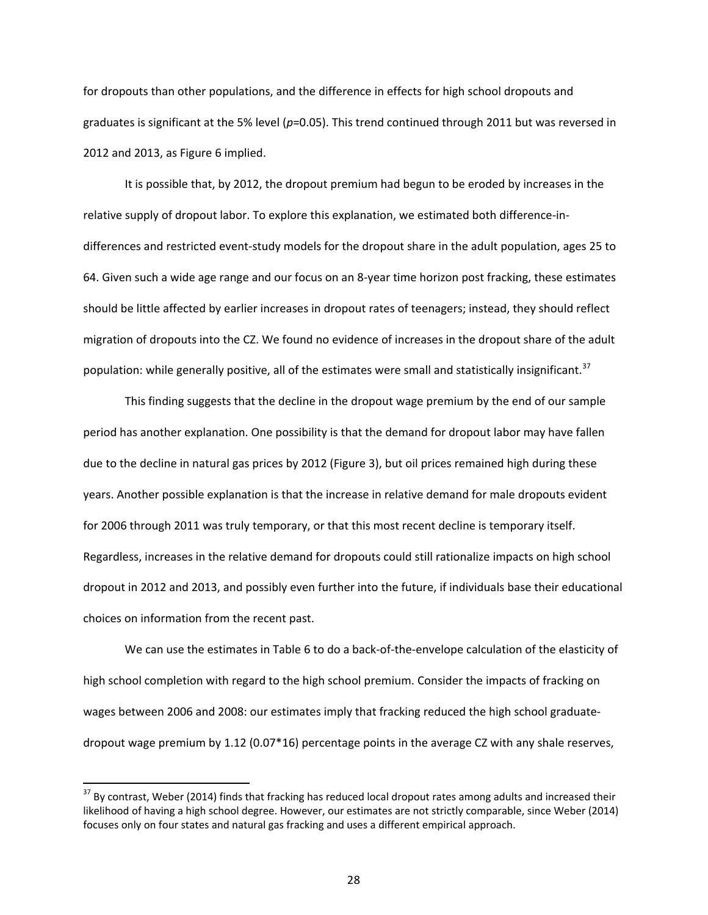for dropouts than other populations, and the difference in effects for high school dropouts and graduates is significant at the 5% level ( $p$ =0.05). This trend continued through 2011 but was reversed in 2012 and 2013, as Figure 6 implied.

It is possible that, by 2012, the dropout premium had begun to be eroded by increases in the relative supply of dropout labor. To explore this explanation, we estimated both difference-indifferences and restricted event-study models for the dropout share in the adult population, ages 25 to 64. Given such a wide age range and our focus on an 8-year time horizon post fracking, these estimates should be little affected by earlier increases in dropout rates of teenagers; instead, they should reflect migration of dropouts into the CZ. We found no evidence of increases in the dropout share of the adult population: while generally positive, all of the estimates were small and statistically insignificant.<sup>37</sup>

This finding suggests that the decline in the dropout wage premium by the end of our sample period has another explanation. One possibility is that the demand for dropout labor may have fallen due to the decline in natural gas prices by 2012 (Figure 3), but oil prices remained high during these years. Another possible explanation is that the increase in relative demand for male dropouts evident for 2006 through 2011 was truly temporary, or that this most recent decline is temporary itself. Regardless, increases in the relative demand for dropouts could still rationalize impacts on high school dropout in 2012 and 2013, and possibly even further into the future, if individuals base their educational choices on information from the recent past.

We can use the estimates in Table 6 to do a back-of-the-envelope calculation of the elasticity of high school completion with regard to the high school premium. Consider the impacts of fracking on wages between 2006 and 2008: our estimates imply that fracking reduced the high school graduatedropout wage premium by 1.12 (0.07\*16) percentage points in the average CZ with any shale reserves,

 $37$  By contrast, Weber (2014) finds that fracking has reduced local dropout rates among adults and increased their likelihood of having a high school degree. However, our estimates are not strictly comparable, since Weber (2014) focuses only on four states and natural gas fracking and uses a different empirical approach.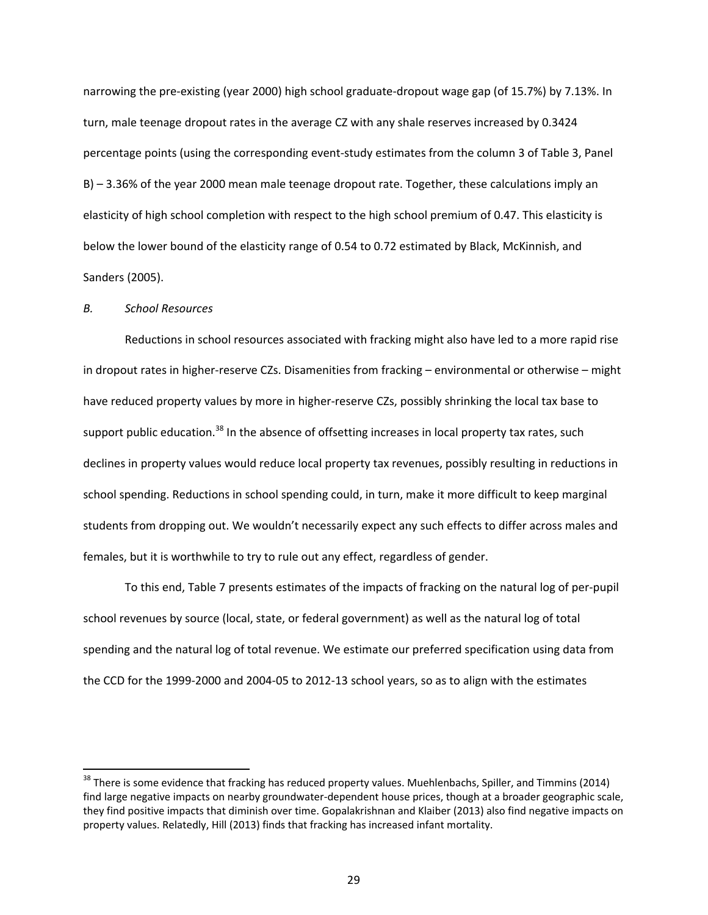narrowing the pre-existing (year 2000) high school graduate-dropout wage gap (of 15.7%) by 7.13%. In turn, male teenage dropout rates in the average CZ with any shale reserves increased by 0.3424 percentage points (using the corresponding event-study estimates from the column 3 of Table 3, Panel B) – 3.36% of the year 2000 mean male teenage dropout rate. Together, these calculations imply an elasticity of high school completion with respect to the high school premium of 0.47. This elasticity is below the lower bound of the elasticity range of 0.54 to 0.72 estimated by Black, McKinnish, and Sanders (2005).

### *B. School Resources*

 $\overline{a}$ 

Reductions in school resources associated with fracking might also have led to a more rapid rise in dropout rates in higher-reserve CZs. Disamenities from fracking – environmental or otherwise – might have reduced property values by more in higher-reserve CZs, possibly shrinking the local tax base to support public education.<sup>38</sup> In the absence of offsetting increases in local property tax rates, such declines in property values would reduce local property tax revenues, possibly resulting in reductions in school spending. Reductions in school spending could, in turn, make it more difficult to keep marginal students from dropping out. We wouldn't necessarily expect any such effects to differ across males and females, but it is worthwhile to try to rule out any effect, regardless of gender.

To this end, Table 7 presents estimates of the impacts of fracking on the natural log of per-pupil school revenues by source (local, state, or federal government) as well as the natural log of total spending and the natural log of total revenue. We estimate our preferred specification using data from the CCD for the 1999-2000 and 2004-05 to 2012-13 school years, so as to align with the estimates

<sup>&</sup>lt;sup>38</sup> There is some evidence that fracking has reduced property values. Muehlenbachs, Spiller, and Timmins (2014) find large negative impacts on nearby groundwater-dependent house prices, though at a broader geographic scale, they find positive impacts that diminish over time. Gopalakrishnan and Klaiber (2013) also find negative impacts on property values. Relatedly, Hill (2013) finds that fracking has increased infant mortality.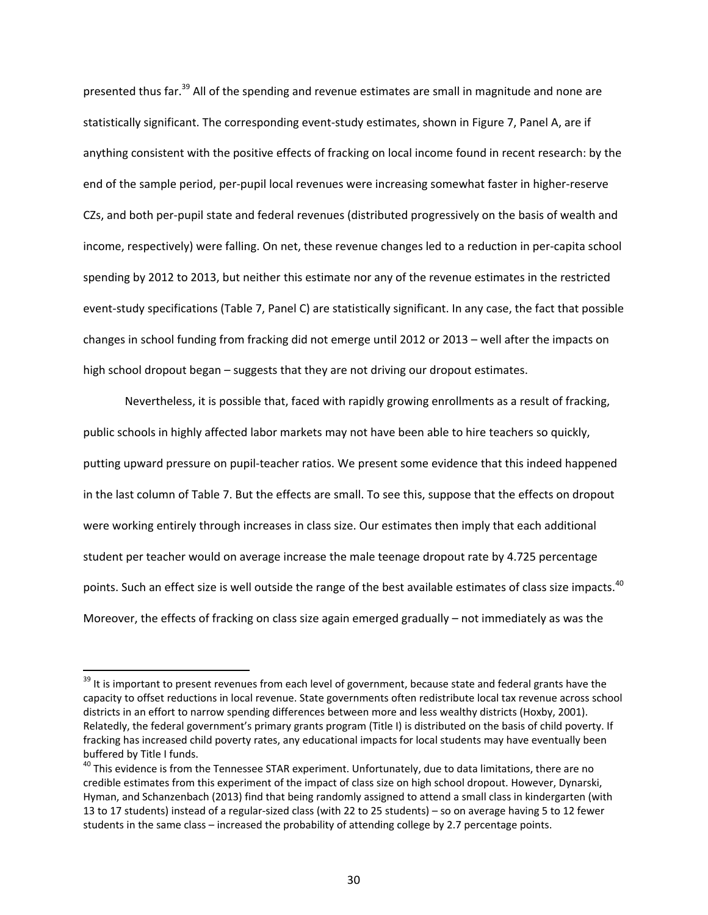presented thus far.<sup>39</sup> All of the spending and revenue estimates are small in magnitude and none are statistically significant. The corresponding event-study estimates, shown in Figure 7, Panel A, are if anything consistent with the positive effects of fracking on local income found in recent research: by the end of the sample period, per-pupil local revenues were increasing somewhat faster in higher-reserve CZs, and both per-pupil state and federal revenues (distributed progressively on the basis of wealth and income, respectively) were falling. On net, these revenue changes led to a reduction in per-capita school spending by 2012 to 2013, but neither this estimate nor any of the revenue estimates in the restricted event-study specifications (Table 7, Panel C) are statistically significant. In any case, the fact that possible changes in school funding from fracking did not emerge until 2012 or 2013 – well after the impacts on high school dropout began – suggests that they are not driving our dropout estimates.

Nevertheless, it is possible that, faced with rapidly growing enrollments as a result of fracking, public schools in highly affected labor markets may not have been able to hire teachers so quickly, putting upward pressure on pupil-teacher ratios. We present some evidence that this indeed happened in the last column of Table 7. But the effects are small. To see this, suppose that the effects on dropout were working entirely through increases in class size. Our estimates then imply that each additional student per teacher would on average increase the male teenage dropout rate by 4.725 percentage points. Such an effect size is well outside the range of the best available estimates of class size impacts.<sup>40</sup> Moreover, the effects of fracking on class size again emerged gradually – not immediately as was the

l

<sup>&</sup>lt;sup>39</sup> It is important to present revenues from each level of government, because state and federal grants have the capacity to offset reductions in local revenue. State governments often redistribute local tax revenue across school districts in an effort to narrow spending differences between more and less wealthy districts (Hoxby, 2001). Relatedly, the federal government's primary grants program (Title I) is distributed on the basis of child poverty. If fracking has increased child poverty rates, any educational impacts for local students may have eventually been buffered by Title I funds.

<sup>&</sup>lt;sup>40</sup> This evidence is from the Tennessee STAR experiment. Unfortunately, due to data limitations, there are no credible estimates from this experiment of the impact of class size on high school dropout. However, Dynarski, Hyman, and Schanzenbach (2013) find that being randomly assigned to attend a small class in kindergarten (with 13 to 17 students) instead of a regular-sized class (with 22 to 25 students) – so on average having 5 to 12 fewer students in the same class – increased the probability of attending college by 2.7 percentage points.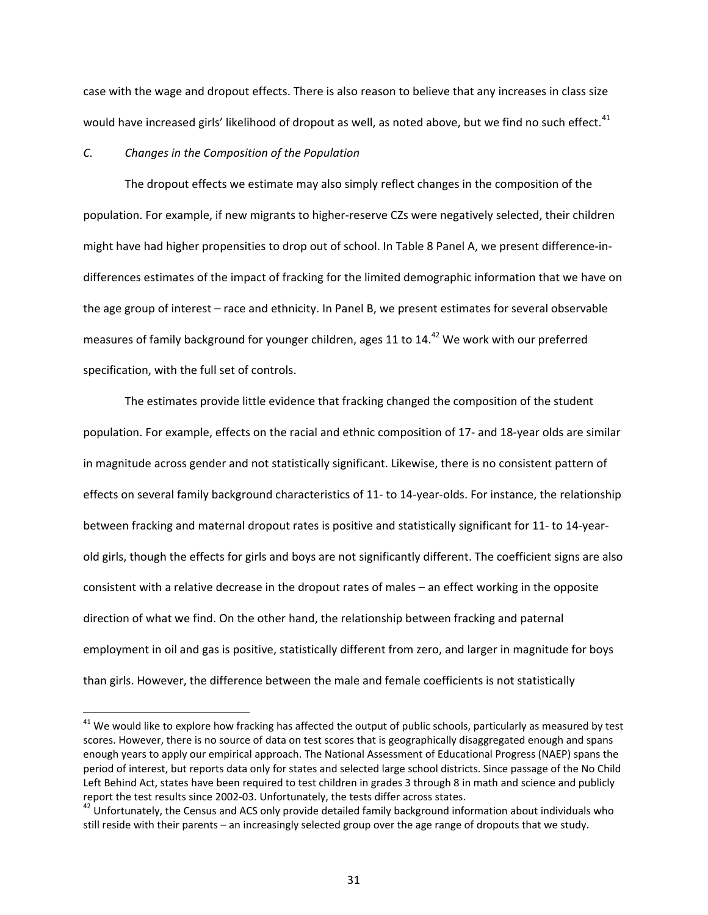case with the wage and dropout effects. There is also reason to believe that any increases in class size would have increased girls' likelihood of dropout as well, as noted above, but we find no such effect.<sup>41</sup>

#### *C. Changes in the Composition of the Population*

 $\overline{a}$ 

The dropout effects we estimate may also simply reflect changes in the composition of the population. For example, if new migrants to higher-reserve CZs were negatively selected, their children might have had higher propensities to drop out of school. In Table 8 Panel A, we present difference-indifferences estimates of the impact of fracking for the limited demographic information that we have on the age group of interest – race and ethnicity. In Panel B, we present estimates for several observable measures of family background for younger children, ages 11 to 14.<sup>42</sup> We work with our preferred specification, with the full set of controls.

The estimates provide little evidence that fracking changed the composition of the student population. For example, effects on the racial and ethnic composition of 17- and 18-year olds are similar in magnitude across gender and not statistically significant. Likewise, there is no consistent pattern of effects on several family background characteristics of 11- to 14-year-olds. For instance, the relationship between fracking and maternal dropout rates is positive and statistically significant for 11- to 14-yearold girls, though the effects for girls and boys are not significantly different. The coefficient signs are also consistent with a relative decrease in the dropout rates of males – an effect working in the opposite direction of what we find. On the other hand, the relationship between fracking and paternal employment in oil and gas is positive, statistically different from zero, and larger in magnitude for boys than girls. However, the difference between the male and female coefficients is not statistically

 $^{41}$  We would like to explore how fracking has affected the output of public schools, particularly as measured by test scores. However, there is no source of data on test scores that is geographically disaggregated enough and spans enough years to apply our empirical approach. The National Assessment of Educational Progress (NAEP) spans the period of interest, but reports data only for states and selected large school districts. Since passage of the No Child Left Behind Act, states have been required to test children in grades 3 through 8 in math and science and publicly report the test results since 2002-03. Unfortunately, the tests differ across states.<br><sup>42</sup> Unfortunately, the Census and ACS only provide detailed family background information about individuals who

still reside with their parents – an increasingly selected group over the age range of dropouts that we study.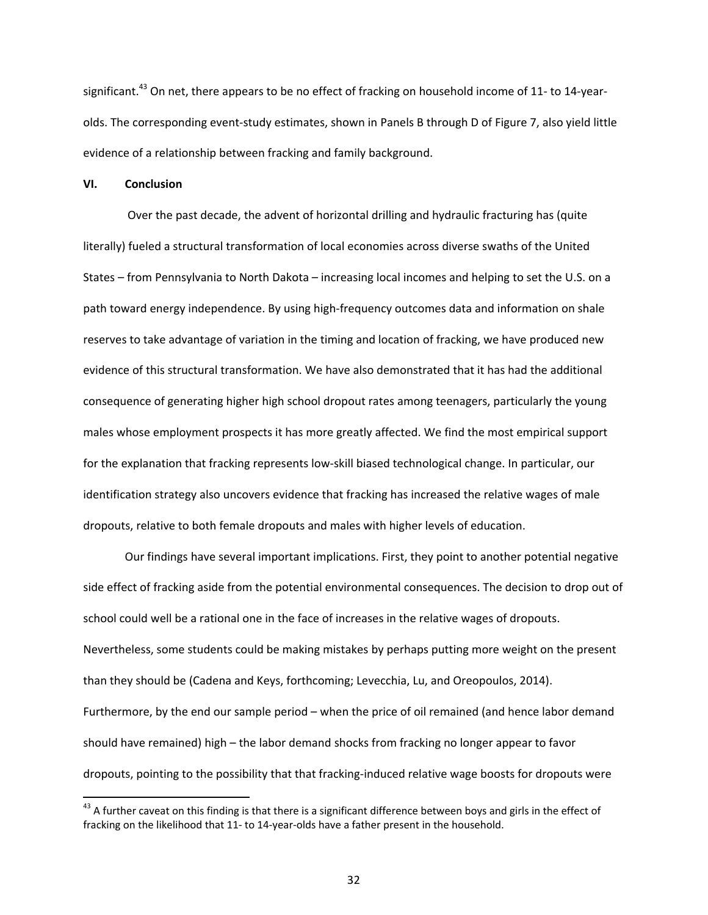significant.<sup>43</sup> On net, there appears to be no effect of fracking on household income of 11- to 14-yearolds. The corresponding event-study estimates, shown in Panels B through D of Figure 7, also yield little evidence of a relationship between fracking and family background.

### **VI. Conclusion**

 $\overline{a}$ 

 Over the past decade, the advent of horizontal drilling and hydraulic fracturing has (quite literally) fueled a structural transformation of local economies across diverse swaths of the United States – from Pennsylvania to North Dakota – increasing local incomes and helping to set the U.S. on a path toward energy independence. By using high-frequency outcomes data and information on shale reserves to take advantage of variation in the timing and location of fracking, we have produced new evidence of this structural transformation. We have also demonstrated that it has had the additional consequence of generating higher high school dropout rates among teenagers, particularly the young males whose employment prospects it has more greatly affected. We find the most empirical support for the explanation that fracking represents low-skill biased technological change. In particular, our identification strategy also uncovers evidence that fracking has increased the relative wages of male dropouts, relative to both female dropouts and males with higher levels of education.

Our findings have several important implications. First, they point to another potential negative side effect of fracking aside from the potential environmental consequences. The decision to drop out of school could well be a rational one in the face of increases in the relative wages of dropouts. Nevertheless, some students could be making mistakes by perhaps putting more weight on the present than they should be (Cadena and Keys, forthcoming; Levecchia, Lu, and Oreopoulos, 2014). Furthermore, by the end our sample period – when the price of oil remained (and hence labor demand should have remained) high – the labor demand shocks from fracking no longer appear to favor dropouts, pointing to the possibility that that fracking-induced relative wage boosts for dropouts were

 $43$  A further caveat on this finding is that there is a significant difference between boys and girls in the effect of fracking on the likelihood that 11- to 14-year-olds have a father present in the household.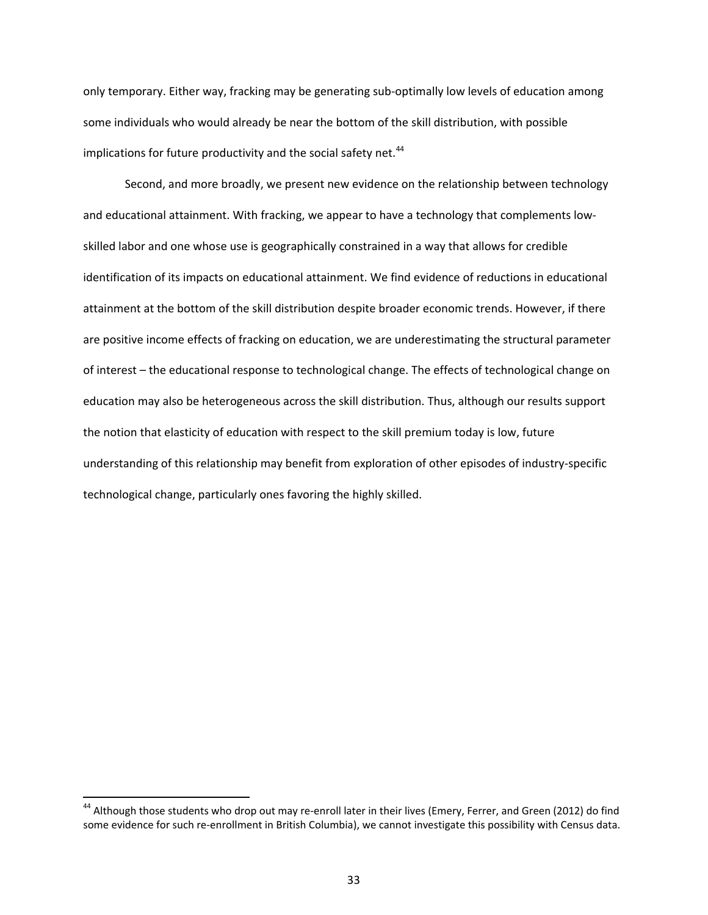only temporary. Either way, fracking may be generating sub-optimally low levels of education among some individuals who would already be near the bottom of the skill distribution, with possible implications for future productivity and the social safety net.<sup>44</sup>

 Second, and more broadly, we present new evidence on the relationship between technology and educational attainment. With fracking, we appear to have a technology that complements lowskilled labor and one whose use is geographically constrained in a way that allows for credible identification of its impacts on educational attainment. We find evidence of reductions in educational attainment at the bottom of the skill distribution despite broader economic trends. However, if there are positive income effects of fracking on education, we are underestimating the structural parameter of interest – the educational response to technological change. The effects of technological change on education may also be heterogeneous across the skill distribution. Thus, although our results support the notion that elasticity of education with respect to the skill premium today is low, future understanding of this relationship may benefit from exploration of other episodes of industry-specific technological change, particularly ones favoring the highly skilled.

 $\overline{a}$ 

<sup>&</sup>lt;sup>44</sup> Although those students who drop out may re-enroll later in their lives (Emery, Ferrer, and Green (2012) do find some evidence for such re-enrollment in British Columbia), we cannot investigate this possibility with Census data.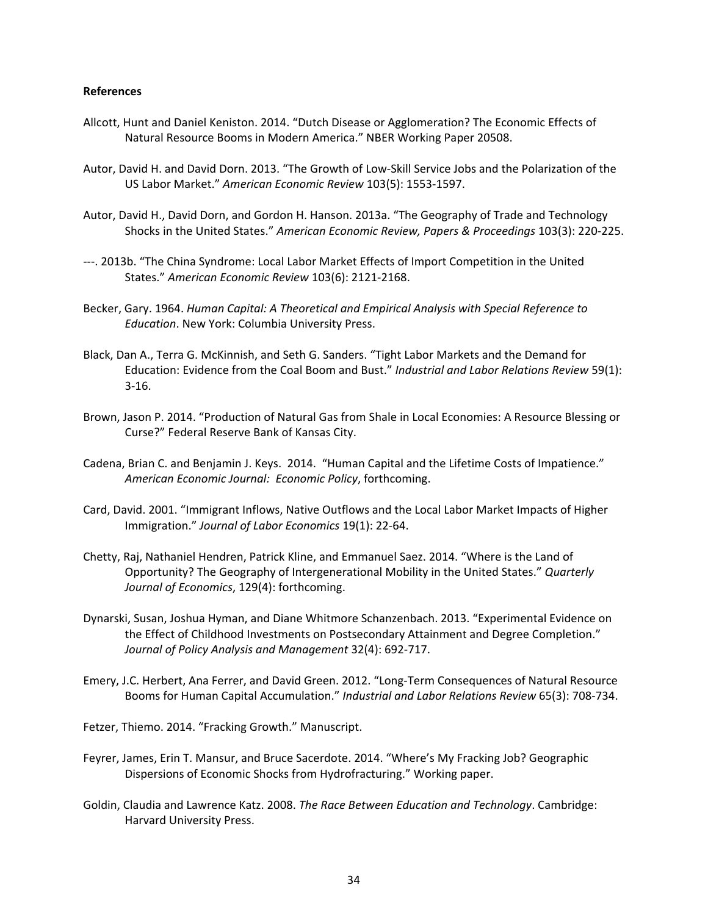### **References**

- Allcott, Hunt and Daniel Keniston. 2014. "Dutch Disease or Agglomeration? The Economic Effects of Natural Resource Booms in Modern America." NBER Working Paper 20508.
- Autor, David H. and David Dorn. 2013. "The Growth of Low-Skill Service Jobs and the Polarization of the US Labor Market." *American Economic Review* 103(5): 1553-1597.
- Autor, David H., David Dorn, and Gordon H. Hanson. 2013a. "The Geography of Trade and Technology Shocks in the United States." *American Economic Review, Papers & Proceedings* 103(3): 220-225.
- ---. 2013b. "The China Syndrome: Local Labor Market Effects of Import Competition in the United States." *American Economic Review* 103(6): 2121-2168.
- Becker, Gary. 1964. *Human Capital: A Theoretical and Empirical Analysis with Special Reference to Education*. New York: Columbia University Press.
- Black, Dan A., Terra G. McKinnish, and Seth G. Sanders. "Tight Labor Markets and the Demand for Education: Evidence from the Coal Boom and Bust." *Industrial and Labor Relations Review* 59(1): 3-16.
- Brown, Jason P. 2014. "Production of Natural Gas from Shale in Local Economies: A Resource Blessing or Curse?" Federal Reserve Bank of Kansas City.
- Cadena, Brian C. and Benjamin J. Keys. 2014. "Human Capital and the Lifetime Costs of Impatience." *American Economic Journal: Economic Policy*, forthcoming.
- Card, David. 2001. "Immigrant Inflows, Native Outflows and the Local Labor Market Impacts of Higher Immigration." *Journal of Labor Economics* 19(1): 22-64.
- Chetty, Raj, Nathaniel Hendren, Patrick Kline, and Emmanuel Saez. 2014. "Where is the Land of Opportunity? The Geography of Intergenerational Mobility in the United States." *Quarterly Journal of Economics*, 129(4): forthcoming.
- Dynarski, Susan, Joshua Hyman, and Diane Whitmore Schanzenbach. 2013. "Experimental Evidence on the Effect of Childhood Investments on Postsecondary Attainment and Degree Completion." *Journal of Policy Analysis and Management* 32(4): 692-717.
- Emery, J.C. Herbert, Ana Ferrer, and David Green. 2012. "Long-Term Consequences of Natural Resource Booms for Human Capital Accumulation." *Industrial and Labor Relations Review* 65(3): 708-734.

Fetzer, Thiemo. 2014. "Fracking Growth." Manuscript.

- Feyrer, James, Erin T. Mansur, and Bruce Sacerdote. 2014. "Where's My Fracking Job? Geographic Dispersions of Economic Shocks from Hydrofracturing." Working paper.
- Goldin, Claudia and Lawrence Katz. 2008. *The Race Between Education and Technology*. Cambridge: Harvard University Press.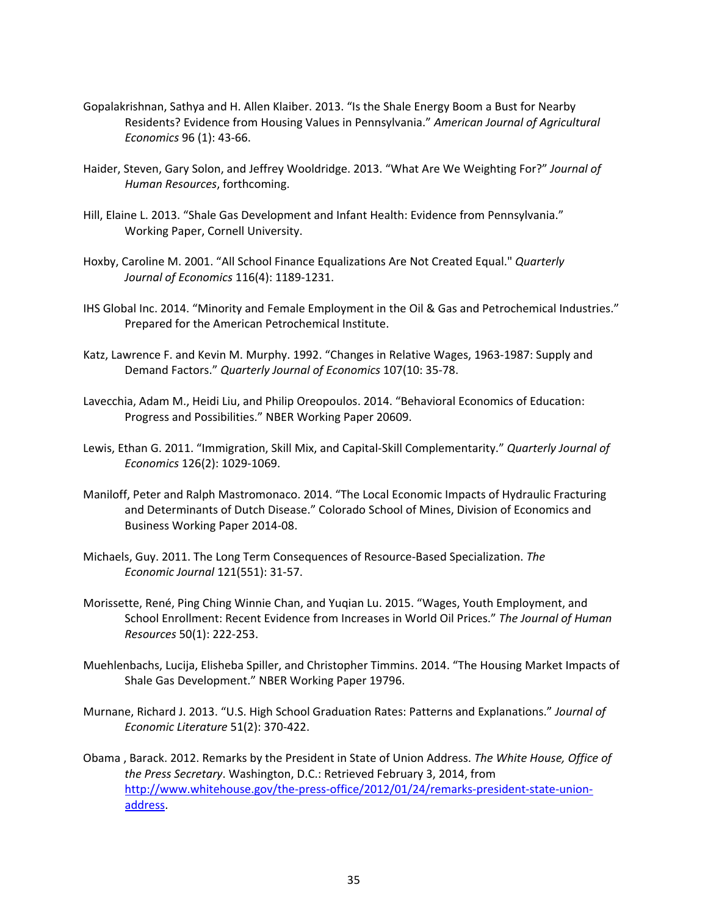- Gopalakrishnan, Sathya and H. Allen Klaiber. 2013. "Is the Shale Energy Boom a Bust for Nearby Residents? Evidence from Housing Values in Pennsylvania." *American Journal of Agricultural Economics* 96 (1): 43-66.
- Haider, Steven, Gary Solon, and Jeffrey Wooldridge. 2013. "What Are We Weighting For?" *Journal of Human Resources*, forthcoming.
- Hill, Elaine L. 2013. "Shale Gas Development and Infant Health: Evidence from Pennsylvania." Working Paper, Cornell University.
- Hoxby, Caroline M. 2001. "All School Finance Equalizations Are Not Created Equal." *Quarterly Journal of Economics* 116(4): 1189-1231.
- IHS Global Inc. 2014. "Minority and Female Employment in the Oil & Gas and Petrochemical Industries." Prepared for the American Petrochemical Institute.
- Katz, Lawrence F. and Kevin M. Murphy. 1992. "Changes in Relative Wages, 1963-1987: Supply and Demand Factors." *Quarterly Journal of Economics* 107(10: 35-78.
- Lavecchia, Adam M., Heidi Liu, and Philip Oreopoulos. 2014. "Behavioral Economics of Education: Progress and Possibilities." NBER Working Paper 20609.
- Lewis, Ethan G. 2011. "Immigration, Skill Mix, and Capital-Skill Complementarity." *Quarterly Journal of Economics* 126(2): 1029-1069.
- Maniloff, Peter and Ralph Mastromonaco. 2014. "The Local Economic Impacts of Hydraulic Fracturing and Determinants of Dutch Disease." Colorado School of Mines, Division of Economics and Business Working Paper 2014-08.
- Michaels, Guy. 2011. The Long Term Consequences of Resource-Based Specialization. *The Economic Journal* 121(551): 31-57.
- Morissette, René, Ping Ching Winnie Chan, and Yuqian Lu. 2015. "Wages, Youth Employment, and School Enrollment: Recent Evidence from Increases in World Oil Prices." *The Journal of Human Resources* 50(1): 222-253.
- Muehlenbachs, Lucija, Elisheba Spiller, and Christopher Timmins. 2014. "The Housing Market Impacts of Shale Gas Development." NBER Working Paper 19796.
- Murnane, Richard J. 2013. "U.S. High School Graduation Rates: Patterns and Explanations." *Journal of Economic Literature* 51(2): 370-422.
- Obama , Barack. 2012. Remarks by the President in State of Union Address. *The White House, Office of the Press Secretary*. Washington, D.C.: Retrieved February 3, 2014, from http://www.whitehouse.gov/the-press-office/2012/01/24/remarks-president-state-unionaddress.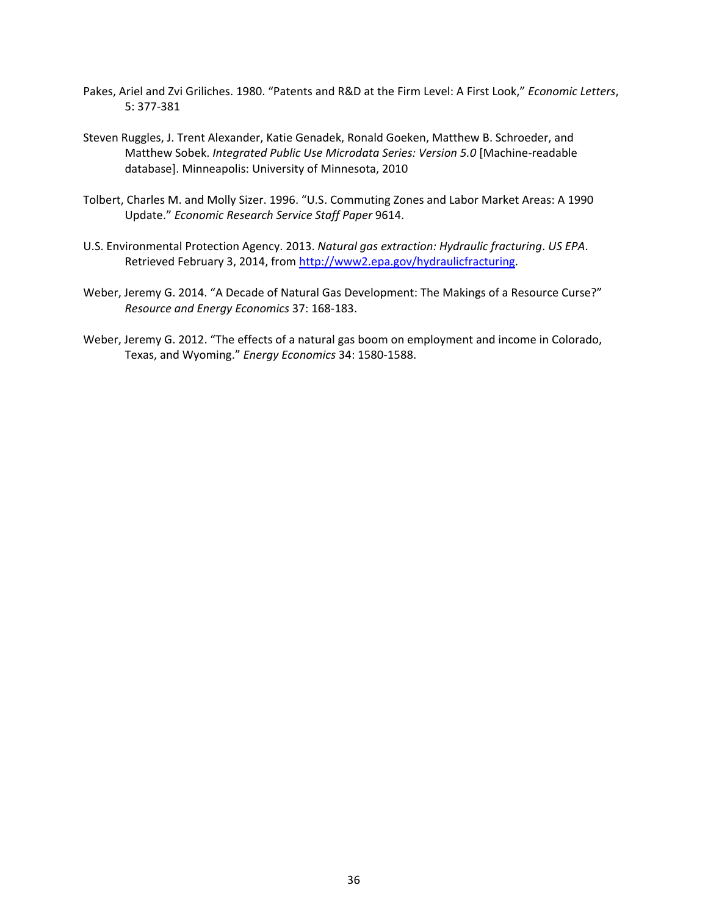- Pakes, Ariel and Zvi Griliches. 1980. "Patents and R&D at the Firm Level: A First Look," *Economic Letters*, 5: 377-381
- Steven Ruggles, J. Trent Alexander, Katie Genadek, Ronald Goeken, Matthew B. Schroeder, and Matthew Sobek. *Integrated Public Use Microdata Series: Version 5.0* [Machine-readable database]. Minneapolis: University of Minnesota, 2010
- Tolbert, Charles M. and Molly Sizer. 1996. "U.S. Commuting Zones and Labor Market Areas: A 1990 Update." *Economic Research Service Staff Paper* 9614.
- U.S. Environmental Protection Agency. 2013. *Natural gas extraction: Hydraulic fracturing*. *US EPA*. Retrieved February 3, 2014, from http://www2.epa.gov/hydraulicfracturing.
- Weber, Jeremy G. 2014. "A Decade of Natural Gas Development: The Makings of a Resource Curse?" *Resource and Energy Economics* 37: 168-183.
- Weber, Jeremy G. 2012. "The effects of a natural gas boom on employment and income in Colorado, Texas, and Wyoming." *Energy Economics* 34: 1580-1588.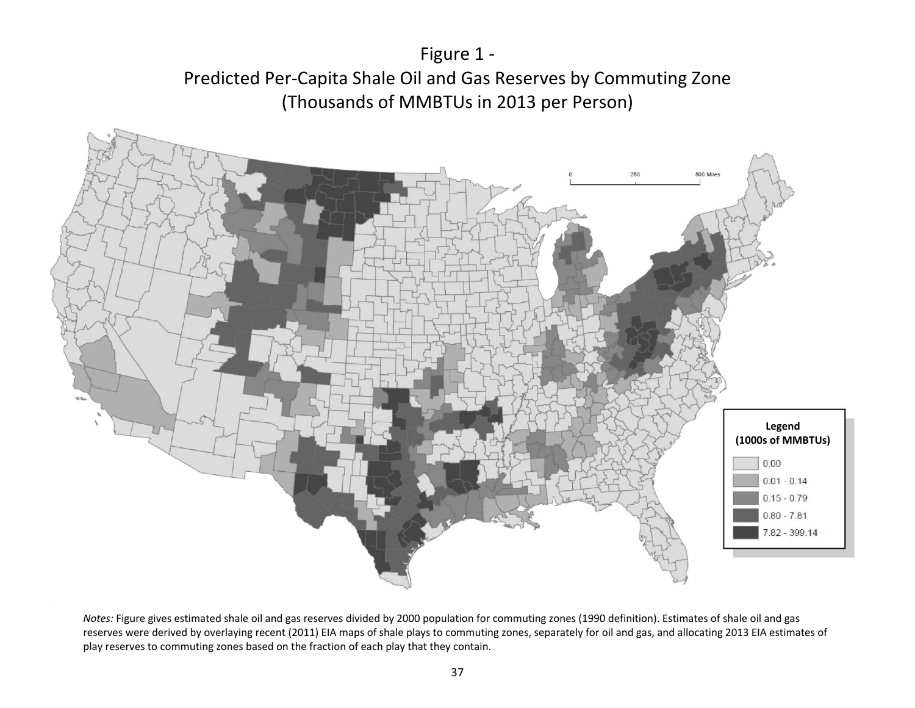



*Notes:* Figure gives estimated shale oil and gas reserves divided by 2000 population for commuting zones (1990 definition). Estimates of shale oil and gas reserves were derived by overlaying recent (2011) EIA maps of shale plays to commuting zones, separately for oil and gas, and allocating 2013 EIA estimates of play reserves to commuting zones based on the fraction of each play that they contain.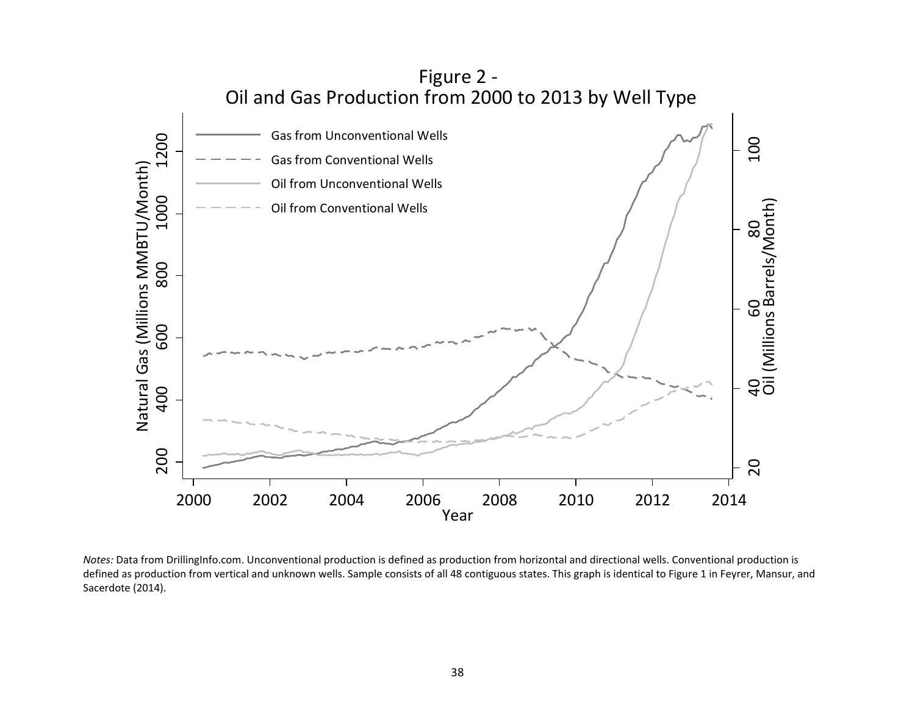

*Notes:* Data from DrillingInfo.com. Unconventional production is defined as production from horizontal and directional wells. Conventional production is defined as production from vertical and unknown wells. Sample consists of all 48 contiguous states. This graph is identical to Figure 1 in Feyrer, Mansur, and Sacerdote (2014).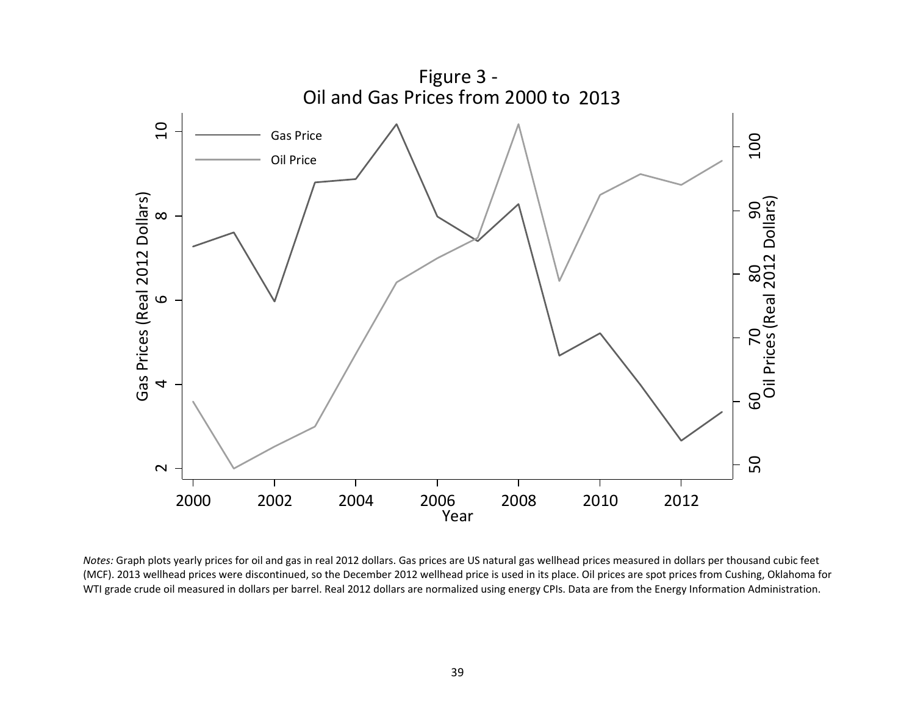

*Notes:* Graph plots yearly prices for oil and gas in real 2012 dollars. Gas prices are US natural gas wellhead prices measured in dollars per thousand cubic feet (MCF). 2013 wellhead prices were discontinued, so the December 2012 wellhead price is used in its place. Oil prices are spot prices from Cushing, Oklahoma for WTI grade crude oil measured in dollars per barrel. Real 2012 dollars are normalized using energy CPIs. Data are from the Energy Information Administration.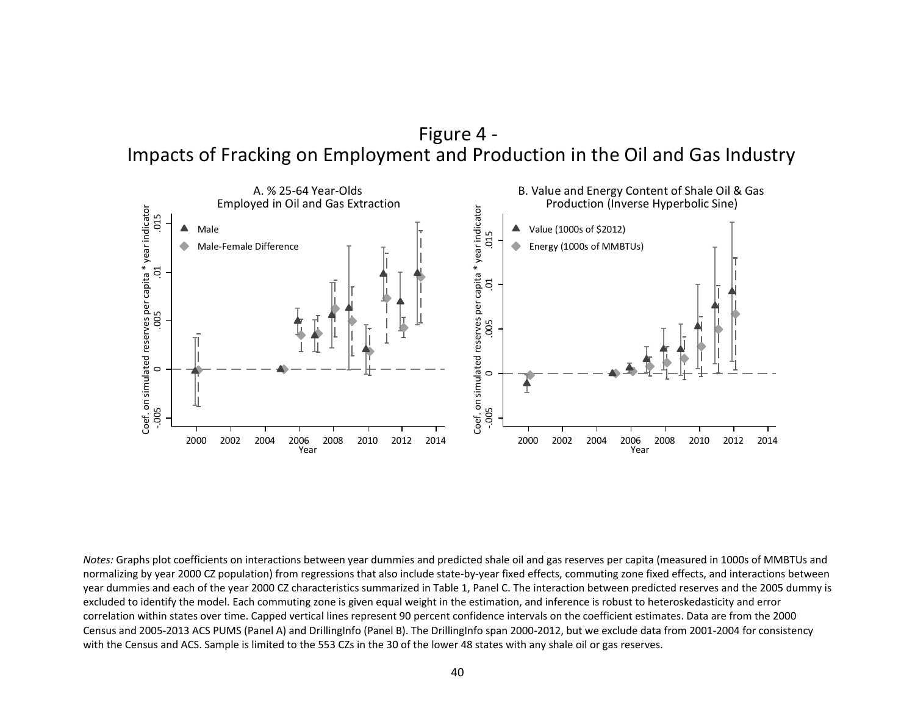



*Notes:* Graphs plot coefficients on interactions between year dummies and predicted shale oil and gas reserves per capita (measured in 1000s of MMBTUs and normalizing by year 2000 CZ population) from regressions that also include state-by-year fixed effects, commuting zone fixed effects, and interactions between year dummies and each of the year 2000 CZ characteristics summarized in Table 1, Panel C. The interaction between predicted reserves and the 2005 dummy is excluded to identify the model. Each commuting zone is given equal weight in the estimation, and inference is robust to heteroskedasticity and error correlation within states over time. Capped vertical lines represent 90 percent confidence intervals on the coefficient estimates. Data are from the 2000 Census and 2005-2013 ACS PUMS (Panel A) and DrillingInfo (Panel B). The DrillingInfo span 2000-2012, but we exclude data from 2001-2004 for consistency with the Census and ACS. Sample is limited to the 553 CZs in the 30 of the lower 48 states with any shale oil or gas reserves.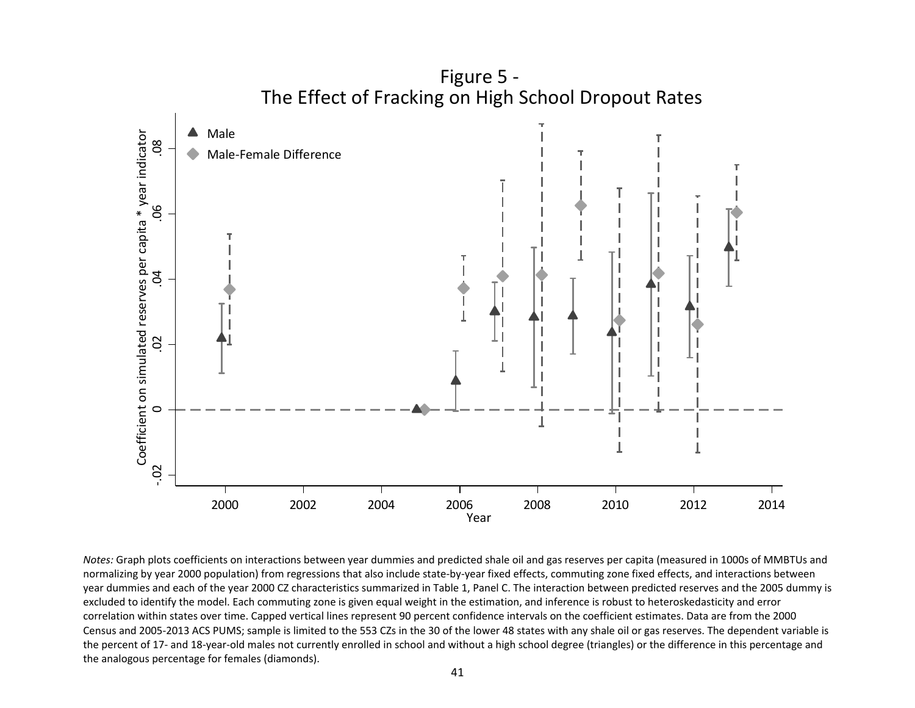

*Notes:* Graph plots coefficients on interactions between year dummies and predicted shale oil and gas reserves per capita (measured in 1000s of MMBTUs and normalizing by year 2000 population) from regressions that also include state-by-year fixed effects, commuting zone fixed effects, and interactions between year dummies and each of the year 2000 CZ characteristics summarized in Table 1, Panel C. The interaction between predicted reserves and the 2005 dummy is excluded to identify the model. Each commuting zone is given equal weight in the estimation, and inference is robust to heteroskedasticity and error correlation within states over time. Capped vertical lines represent 90 percent confidence intervals on the coefficient estimates. Data are from the 2000 Census and 2005-2013 ACS PUMS; sample is limited to the 553 CZs in the 30 of the lower 48 states with any shale oil or gas reserves. The dependent variable is the percent of 17- and 18-year-old males not currently enrolled in school and without a high school degree (triangles) or the difference in this percentage and the analogous percentage for females (diamonds).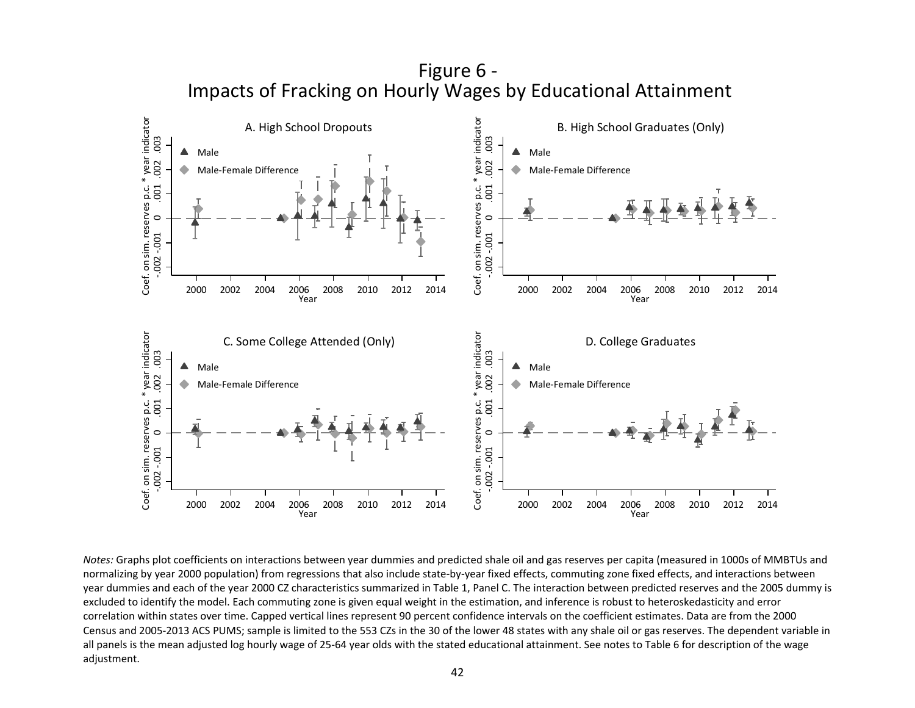

*Notes:* Graphs plot coefficients on interactions between year dummies and predicted shale oil and gas reserves per capita (measured in 1000s of MMBTUs and normalizing by year 2000 population) from regressions that also include state-by-year fixed effects, commuting zone fixed effects, and interactions between year dummies and each of the year 2000 CZ characteristics summarized in Table 1, Panel C. The interaction between predicted reserves and the 2005 dummy is excluded to identify the model. Each commuting zone is given equal weight in the estimation, and inference is robust to heteroskedasticity and error correlation within states over time. Capped vertical lines represent 90 percent confidence intervals on the coefficient estimates. Data are from the 2000 Census and 2005-2013 ACS PUMS; sample is limited to the 553 CZs in the 30 of the lower 48 states with any shale oil or gas reserves. The dependent variable in all panels is the mean adjusted log hourly wage of 25-64 year olds with the stated educational attainment. See notes to Table 6 for description of the wage adjustment.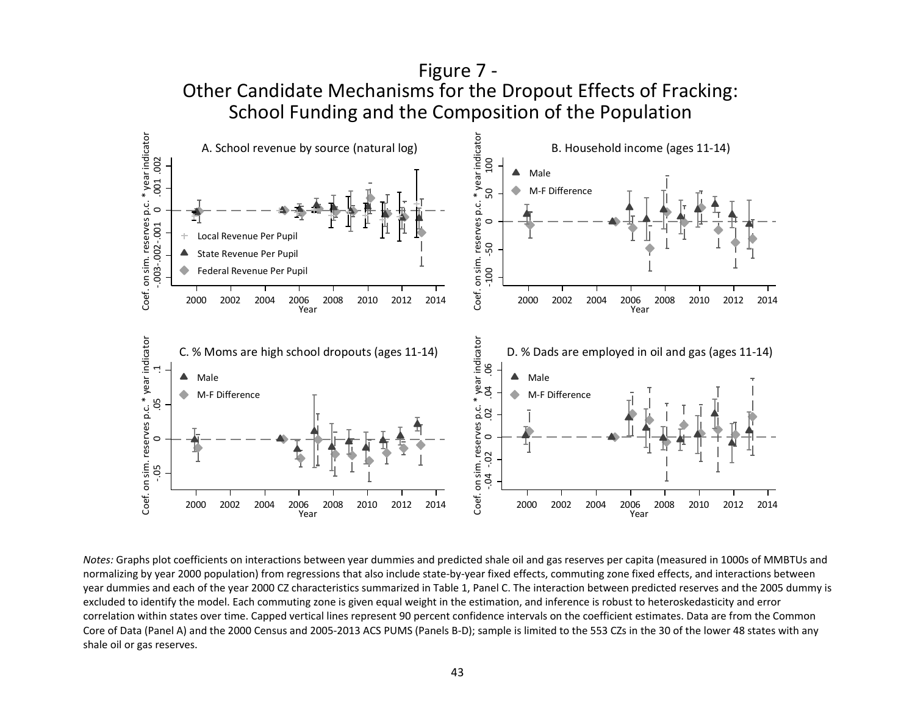

*Notes:* Graphs plot coefficients on interactions between year dummies and predicted shale oil and gas reserves per capita (measured in 1000s of MMBTUs and normalizing by year 2000 population) from regressions that also include state-by-year fixed effects, commuting zone fixed effects, and interactions between year dummies and each of the year 2000 CZ characteristics summarized in Table 1, Panel C. The interaction between predicted reserves and the 2005 dummy is excluded to identify the model. Each commuting zone is given equal weight in the estimation, and inference is robust to heteroskedasticity and error correlation within states over time. Capped vertical lines represent 90 percent confidence intervals on the coefficient estimates. Data are from the Common Core of Data (Panel A) and the 2000 Census and 2005-2013 ACS PUMS (Panels B-D); sample is limited to the 553 CZs in the 30 of the lower 48 states with any shale oil or gas reserves.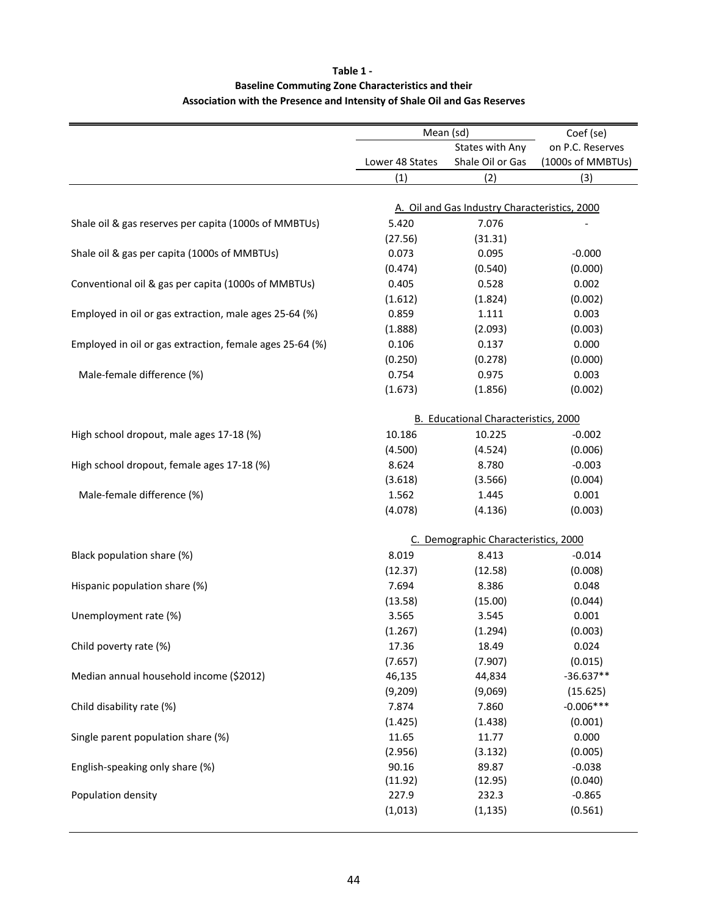## **Table 1 - Association with the Presence and Intensity of Shale Oil and Gas Reserves Baseline Commuting Zone Characteristics and their**

|                                                          |                  | Mean (sd)                                     | Coef (se)           |  |
|----------------------------------------------------------|------------------|-----------------------------------------------|---------------------|--|
|                                                          |                  | States with Any                               | on P.C. Reserves    |  |
|                                                          | Lower 48 States  | Shale Oil or Gas                              | (1000s of MMBTUs)   |  |
|                                                          | (1)              | (2)                                           | (3)                 |  |
|                                                          |                  | A. Oil and Gas Industry Characteristics, 2000 |                     |  |
| Shale oil & gas reserves per capita (1000s of MMBTUs)    | 5.420            | 7.076                                         |                     |  |
|                                                          | (27.56)          | (31.31)                                       |                     |  |
| Shale oil & gas per capita (1000s of MMBTUs)             | 0.073            | 0.095                                         | $-0.000$            |  |
|                                                          | (0.474)          | (0.540)                                       | (0.000)             |  |
| Conventional oil & gas per capita (1000s of MMBTUs)      | 0.405            | 0.528                                         | 0.002               |  |
|                                                          | (1.612)          | (1.824)                                       | (0.002)             |  |
| Employed in oil or gas extraction, male ages 25-64 (%)   | 0.859            | 1.111                                         | 0.003               |  |
|                                                          | (1.888)          | (2.093)                                       | (0.003)             |  |
| Employed in oil or gas extraction, female ages 25-64 (%) | 0.106            | 0.137                                         | 0.000               |  |
|                                                          | (0.250)          | (0.278)                                       | (0.000)             |  |
| Male-female difference (%)                               | 0.754            | 0.975                                         | 0.003               |  |
|                                                          | (1.673)          | (1.856)                                       | (0.002)             |  |
|                                                          |                  |                                               |                     |  |
|                                                          |                  | B. Educational Characteristics, 2000          |                     |  |
| High school dropout, male ages 17-18 (%)                 | 10.186           | 10.225                                        | $-0.002$            |  |
|                                                          | (4.500)          | (4.524)                                       | (0.006)             |  |
| High school dropout, female ages 17-18 (%)               | 8.624            | 8.780                                         | $-0.003$            |  |
|                                                          | (3.618)          | (3.566)                                       | (0.004)             |  |
| Male-female difference (%)                               | 1.562            | 1.445                                         | 0.001               |  |
|                                                          | (4.078)          | (4.136)                                       | (0.003)             |  |
|                                                          |                  | C. Demographic Characteristics, 2000          |                     |  |
|                                                          | 8.019            | 8.413                                         |                     |  |
| Black population share (%)                               |                  |                                               | $-0.014$            |  |
| Hispanic population share (%)                            | (12.37)<br>7.694 | (12.58)                                       | (0.008)             |  |
|                                                          | (13.58)          | 8.386                                         | 0.048<br>(0.044)    |  |
|                                                          |                  | (15.00)                                       |                     |  |
| Unemployment rate (%)                                    | 3.565            | 3.545<br>(1.294)                              | 0.001               |  |
|                                                          | (1.267)          |                                               | (0.003)             |  |
| Child poverty rate (%)                                   | 17.36            | 18.49                                         | 0.024               |  |
|                                                          | (7.657)          | (7.907)                                       | (0.015)             |  |
| Median annual household income (\$2012)                  | 46,135           | 44,834                                        | $-36.637**$         |  |
|                                                          | (9,209)          | (9,069)                                       | (15.625)            |  |
| Child disability rate (%)                                | 7.874            | 7.860                                         | $-0.006***$         |  |
|                                                          | (1.425)          | (1.438)                                       | (0.001)             |  |
| Single parent population share (%)                       | 11.65            | 11.77                                         | 0.000               |  |
|                                                          | (2.956)          | (3.132)                                       | (0.005)             |  |
| English-speaking only share (%)                          | 90.16            | 89.87                                         | $-0.038$            |  |
| Population density                                       | (11.92)          | (12.95)                                       | (0.040)             |  |
|                                                          | 227.9            | 232.3                                         | $-0.865$<br>(0.561) |  |
|                                                          | (1,013)          | (1, 135)                                      |                     |  |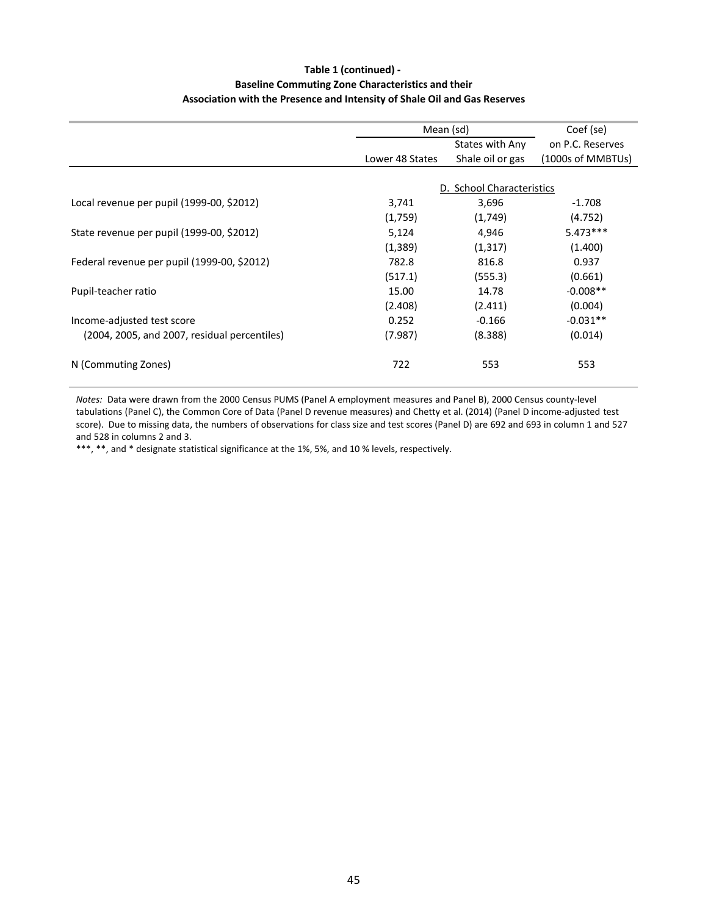## **Table 1 (continued) - Baseline Commuting Zone Characteristics and their Association with the Presence and Intensity of Shale Oil and Gas Reserves**

|                                              |                 | Mean (sd)                 | Coef (se)         |
|----------------------------------------------|-----------------|---------------------------|-------------------|
|                                              |                 | States with Any           | on P.C. Reserves  |
|                                              | Lower 48 States | Shale oil or gas          | (1000s of MMBTUs) |
|                                              |                 |                           |                   |
|                                              |                 | D. School Characteristics |                   |
| Local revenue per pupil (1999-00, \$2012)    | 3,741           | 3,696                     | $-1.708$          |
|                                              | (1,759)         | (1,749)                   | (4.752)           |
| State revenue per pupil (1999-00, \$2012)    | 5,124           | 4,946                     | $5.473***$        |
|                                              | (1, 389)        | (1, 317)                  | (1.400)           |
| Federal revenue per pupil (1999-00, \$2012)  | 782.8           | 816.8                     | 0.937             |
|                                              | (517.1)         | (555.3)                   | (0.661)           |
| Pupil-teacher ratio                          | 15.00           | 14.78                     | $-0.008**$        |
|                                              | (2.408)         | (2.411)                   | (0.004)           |
| Income-adjusted test score                   | 0.252           | $-0.166$                  | $-0.031**$        |
| (2004, 2005, and 2007, residual percentiles) | (7.987)         | (8.388)                   | (0.014)           |
| N (Commuting Zones)                          | 722             | 553                       | 553               |

*Notes:* Data were drawn from the 2000 Census PUMS (Panel A employment measures and Panel B), 2000 Census county-level tabulations (Panel C), the Common Core of Data (Panel D revenue measures) and Chetty et al. (2014) (Panel D income-adjusted test score). Due to missing data, the numbers of observations for class size and test scores (Panel D) are 692 and 693 in column 1 and 527 and 528 in columns 2 and 3.

\*\*\*, \*\*, and \* designate statistical significance at the 1%, 5%, and 10 % levels, respectively.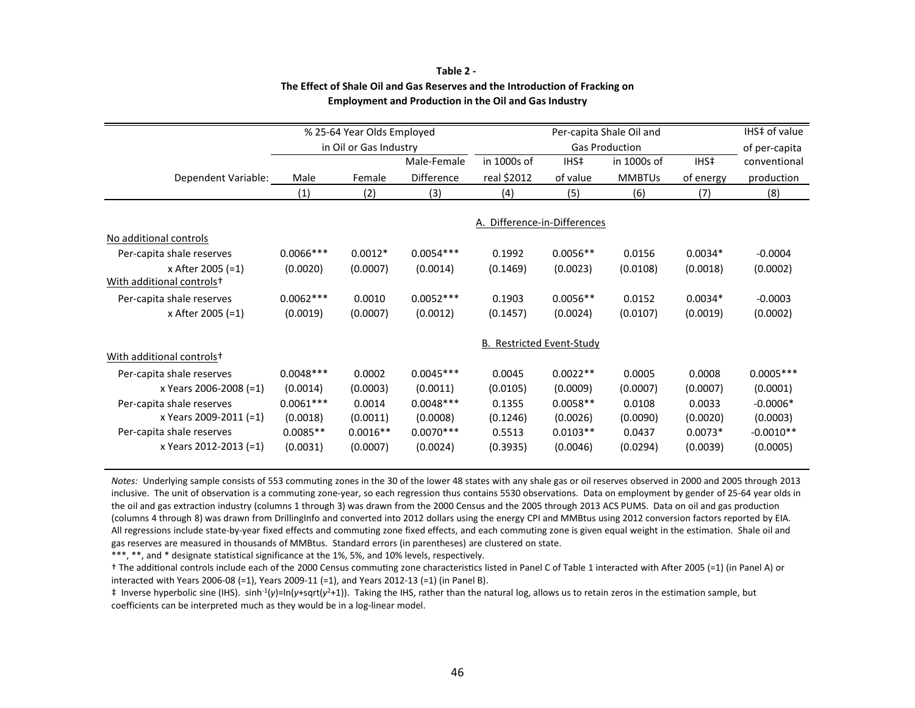|                                       |              | % 25-64 Year Olds Employed |             |                                  |            | Per-capita Shale Oil and |           | IHS‡ of value |
|---------------------------------------|--------------|----------------------------|-------------|----------------------------------|------------|--------------------------|-----------|---------------|
|                                       |              | in Oil or Gas Industry     |             |                                  |            | <b>Gas Production</b>    |           | of per-capita |
|                                       |              |                            | Male-Female | in 1000s of                      | IHS‡       | in 1000s of              | IHS‡      | conventional  |
| Dependent Variable:                   | Male         | Female                     | Difference  | real \$2012                      | of value   | <b>MMBTUs</b>            | of energy | production    |
|                                       | (1)          | (2)                        | (3)         | (4)                              | (5)        | (6)                      | (7)       | (8)           |
|                                       |              |                            |             |                                  |            |                          |           |               |
|                                       |              |                            |             | A. Difference-in-Differences     |            |                          |           |               |
| No additional controls                |              |                            |             |                                  |            |                          |           |               |
| Per-capita shale reserves             | $0.0066$ *** | $0.0012*$                  | $0.0054***$ | 0.1992                           | $0.0056**$ | 0.0156                   | $0.0034*$ | $-0.0004$     |
| x After 2005 (=1)                     | (0.0020)     | (0.0007)                   | (0.0014)    | (0.1469)                         | (0.0023)   | (0.0108)                 | (0.0018)  | (0.0002)      |
| With additional controls <sup>+</sup> |              |                            |             |                                  |            |                          |           |               |
| Per-capita shale reserves             | $0.0062***$  | 0.0010                     | $0.0052***$ | 0.1903                           | $0.0056**$ | 0.0152                   | $0.0034*$ | $-0.0003$     |
| x After 2005 (=1)                     | (0.0019)     | (0.0007)                   | (0.0012)    | (0.1457)                         | (0.0024)   | (0.0107)                 | (0.0019)  | (0.0002)      |
|                                       |              |                            |             | <b>B. Restricted Event-Study</b> |            |                          |           |               |
| With additional controls <sup>+</sup> |              |                            |             |                                  |            |                          |           |               |
| Per-capita shale reserves             | $0.0048***$  | 0.0002                     | $0.0045***$ | 0.0045                           | $0.0022**$ | 0.0005                   | 0.0008    | $0.0005***$   |
| x Years 2006-2008 (=1)                | (0.0014)     | (0.0003)                   | (0.0011)    | (0.0105)                         | (0.0009)   | (0.0007)                 | (0.0007)  | (0.0001)      |
| Per-capita shale reserves             | $0.0061***$  | 0.0014                     | $0.0048***$ | 0.1355                           | $0.0058**$ | 0.0108                   | 0.0033    | $-0.0006*$    |
| x Years 2009-2011 (=1)                | (0.0018)     | (0.0011)                   | (0.0008)    | (0.1246)                         | (0.0026)   | (0.0090)                 | (0.0020)  | (0.0003)      |
| Per-capita shale reserves             | $0.0085**$   | $0.0016**$                 | $0.0070***$ | 0.5513                           | $0.0103**$ | 0.0437                   | $0.0073*$ | $-0.0010**$   |
| x Years 2012-2013 (=1)                | (0.0031)     | (0.0007)                   | (0.0024)    | (0.3935)                         | (0.0046)   | (0.0294)                 | (0.0039)  | (0.0005)      |

### **Table 2 - The Effect of Shale Oil and Gas Reserves and the Introduction of Fracking on Employment and Production in the Oil and Gas Industry**

*Notes:* Underlying sample consists of 553 commuting zones in the 30 of the lower 48 states with any shale gas or oil reserves observed in 2000 and 2005 through 2013 inclusive. The unit of observation is a commuting zone-year, so each regression thus contains 5530 observations. Data on employment by gender of 25-64 year olds in the oil and gas extraction industry (columns 1 through 3) was drawn from the 2000 Census and the 2005 through 2013 ACS PUMS. Data on oil and gas production (columns 4 through 8) was drawn from DrillingInfo and converted into 2012 dollars using the energy CPI and MMBtus using 2012 conversion factors reported by EIA. All regressions include state-by-year fixed effects and commuting zone fixed effects, and each commuting zone is given equal weight in the estimation. Shale oil and gas reserves are measured in thousands of MMBtus. Standard errors (in parentheses) are clustered on state.

\*\*\*, \*\*, and \* designate statistical significance at the 1%, 5%, and 10% levels, respectively.

† The addiƟonal controls include each of the 2000 Census commuƟng zone characterisƟcs listed in Panel C of Table 1 interacted with After 2005 (=1) (in Panel A) or interacted with Years 2006-08 (=1), Years 2009-11 (=1), and Years 2012-13 (=1) (in Panel B).

‡ Inverse hyperbolic sine (IHS). sinh-1(*y*)=ln(*y*+sqrt(*y*2+1)). Taking the IHS, rather than the natural log, allows us to retain zeros in the estimation sample, but coefficients can be interpreted much as they would be in a log-linear model.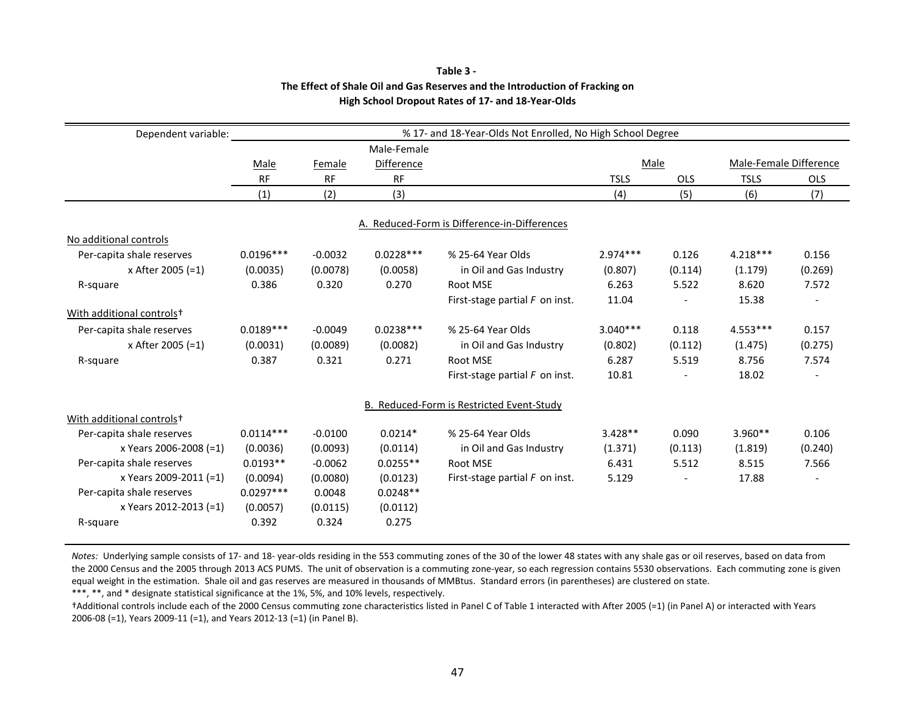| Dependent variable:                   |             |           |                   | % 17- and 18-Year-Olds Not Enrolled, No High School Degree |             |            |                        |            |
|---------------------------------------|-------------|-----------|-------------------|------------------------------------------------------------|-------------|------------|------------------------|------------|
|                                       |             |           | Male-Female       |                                                            |             |            |                        |            |
|                                       | Male        | Female    | <b>Difference</b> |                                                            | Male        |            | Male-Female Difference |            |
|                                       | <b>RF</b>   | <b>RF</b> | <b>RF</b>         |                                                            | <b>TSLS</b> | <b>OLS</b> | <b>TSLS</b>            | <b>OLS</b> |
|                                       | (1)         | (2)       | (3)               |                                                            | (4)         | (5)        | (6)                    | (7)        |
|                                       |             |           |                   | A. Reduced-Form is Difference-in-Differences               |             |            |                        |            |
| No additional controls                |             |           |                   |                                                            |             |            |                        |            |
| Per-capita shale reserves             | $0.0196***$ | $-0.0032$ | $0.0228***$       | % 25-64 Year Olds                                          | $2.974***$  | 0.126      | $4.218***$             | 0.156      |
| x After 2005 (=1)                     | (0.0035)    | (0.0078)  | (0.0058)          | in Oil and Gas Industry                                    | (0.807)     | (0.114)    | (1.179)                | (0.269)    |
| R-square                              | 0.386       | 0.320     | 0.270             | Root MSE                                                   | 6.263       | 5.522      | 8.620                  | 7.572      |
|                                       |             |           |                   | First-stage partial $F$ on inst.                           | 11.04       |            | 15.38                  |            |
| With additional controls <sup>+</sup> |             |           |                   |                                                            |             |            |                        |            |
| Per-capita shale reserves             | $0.0189***$ | $-0.0049$ | $0.0238***$       | % 25-64 Year Olds                                          | $3.040***$  | 0.118      | $4.553***$             | 0.157      |
| x After 2005 (=1)                     | (0.0031)    | (0.0089)  | (0.0082)          | in Oil and Gas Industry                                    | (0.802)     | (0.112)    | (1.475)                | (0.275)    |
| R-square                              | 0.387       | 0.321     | 0.271             | Root MSE                                                   | 6.287       | 5.519      | 8.756                  | 7.574      |
|                                       |             |           |                   | First-stage partial $F$ on inst.                           | 10.81       |            | 18.02                  |            |
|                                       |             |           |                   | <b>B. Reduced-Form is Restricted Event-Study</b>           |             |            |                        |            |
| With additional controls <sup>+</sup> |             |           |                   |                                                            |             |            |                        |            |
| Per-capita shale reserves             | $0.0114***$ | $-0.0100$ | $0.0214*$         | % 25-64 Year Olds                                          | $3.428**$   | 0.090      | $3.960**$              | 0.106      |
| x Years 2006-2008 (=1)                | (0.0036)    | (0.0093)  | (0.0114)          | in Oil and Gas Industry                                    | (1.371)     | (0.113)    | (1.819)                | (0.240)    |
| Per-capita shale reserves             | $0.0193**$  | $-0.0062$ | $0.0255**$        | Root MSE                                                   | 6.431       | 5.512      | 8.515                  | 7.566      |
| x Years 2009-2011 (=1)                | (0.0094)    | (0.0080)  | (0.0123)          | First-stage partial $F$ on inst.                           | 5.129       |            | 17.88                  |            |
| Per-capita shale reserves             | $0.0297***$ | 0.0048    | $0.0248**$        |                                                            |             |            |                        |            |
| x Years 2012-2013 (=1)                | (0.0057)    | (0.0115)  | (0.0112)          |                                                            |             |            |                        |            |
| R-square                              | 0.392       | 0.324     | 0.275             |                                                            |             |            |                        |            |

### **Table 3 - The Effect of Shale Oil and Gas Reserves and the Introduction of Fracking on High School Dropout Rates of 17- and 18-Year-Olds**

*Notes:* Underlying sample consists of 17- and 18- year-olds residing in the 553 commuting zones of the 30 of the lower 48 states with any shale gas or oil reserves, based on data from the 2000 Census and the 2005 through 2013 ACS PUMS. The unit of observation is a commuting zone-year, so each regression contains 5530 observations. Each commuting zone is given equal weight in the estimation. Shale oil and gas reserves are measured in thousands of MMBtus. Standard errors (in parentheses) are clustered on state.

\*\*\*, \*\*, and \* designate statistical significance at the 1%, 5%, and 10% levels, respectively.

†AddiƟonal controls include each of the 2000 Census commuƟng zone characterisƟcs listed in Panel C of Table 1 interacted with After 2005 (=1) (in Panel A) or interacted with Years 2006-08 (=1), Years 2009-11 (=1), and Years 2012-13 (=1) (in Panel B).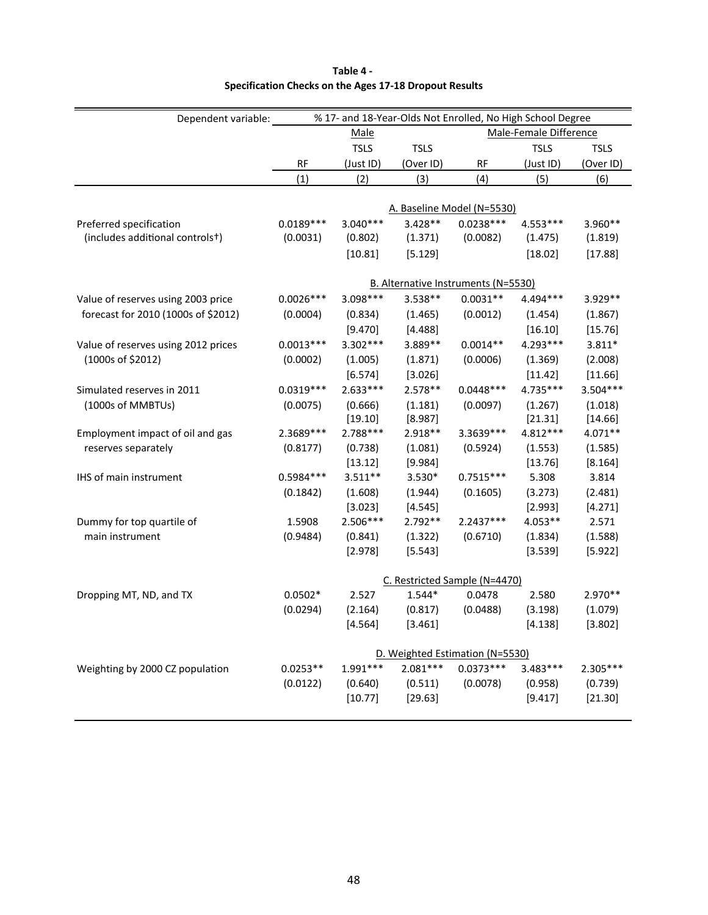| Dependent variable:                 | % 17- and 18-Year-Olds Not Enrolled, No High School Degree |             |             |                                     |                        |             |
|-------------------------------------|------------------------------------------------------------|-------------|-------------|-------------------------------------|------------------------|-------------|
|                                     |                                                            | <b>Male</b> |             |                                     | Male-Female Difference |             |
|                                     |                                                            | <b>TSLS</b> | <b>TSLS</b> |                                     | <b>TSLS</b>            | <b>TSLS</b> |
|                                     | <b>RF</b>                                                  | (Just ID)   | (Over ID)   | RF                                  | (Just ID)              | (Over ID)   |
|                                     | (1)                                                        | (2)         | (3)         | (4)                                 | (5)                    | (6)         |
|                                     |                                                            |             |             |                                     |                        |             |
|                                     |                                                            |             |             | A. Baseline Model (N=5530)          |                        |             |
| Preferred specification             | $0.0189***$                                                | $3.040***$  | $3.428**$   | $0.0238***$                         | 4.553***               | 3.960**     |
| (includes additional controls+)     | (0.0031)                                                   | (0.802)     | (1.371)     | (0.0082)                            | (1.475)                | (1.819)     |
|                                     |                                                            | [10.81]     | [5.129]     |                                     | [18.02]                | [17.88]     |
|                                     |                                                            |             |             | B. Alternative Instruments (N=5530) |                        |             |
| Value of reserves using 2003 price  | $0.0026***$                                                | 3.098 ***   | 3.538**     | $0.0031**$                          | 4.494***               | 3.929 **    |
| forecast for 2010 (1000s of \$2012) | (0.0004)                                                   | (0.834)     | (1.465)     | (0.0012)                            | (1.454)                | (1.867)     |
|                                     |                                                            | [9.470]     | [4.488]     |                                     | [16.10]                | [15.76]     |
| Value of reserves using 2012 prices | $0.0013***$                                                | 3.302 ***   | 3.889**     | $0.0014**$                          | 4.293 ***              | $3.811*$    |
| (1000s of \$2012)                   | (0.0002)                                                   | (1.005)     | (1.871)     | (0.0006)                            | (1.369)                | (2.008)     |
|                                     |                                                            | [6.574]     | [3.026]     |                                     | [11.42]                | [11.66]     |
| Simulated reserves in 2011          | $0.0319***$                                                | $2.633***$  | 2.578**     | $0.0448***$                         | 4.735***               | $3.504***$  |
| (1000s of MMBTUs)                   | (0.0075)                                                   | (0.666)     | (1.181)     | (0.0097)                            | (1.267)                | (1.018)     |
|                                     |                                                            | [19.10]     | [8.987]     |                                     | [21.31]                | [14.66]     |
| Employment impact of oil and gas    | 2.3689***                                                  | $2.788***$  | 2.918**     | 3.3639 ***                          | 4.812 ***              | 4.071**     |
| reserves separately                 | (0.8177)                                                   | (0.738)     | (1.081)     | (0.5924)                            | (1.553)                | (1.585)     |
|                                     |                                                            | [13.12]     | [9.984]     |                                     | [13.76]                | [8.164]     |
| IHS of main instrument              | 0.5984 ***                                                 | $3.511**$   | 3.530*      | $0.7515***$                         | 5.308                  | 3.814       |
|                                     | (0.1842)                                                   | (1.608)     | (1.944)     | (0.1605)                            | (3.273)                | (2.481)     |
|                                     |                                                            | [3.023]     | [4.545]     |                                     | [2.993]                | [4.271]     |
| Dummy for top quartile of           | 1.5908                                                     | 2.506***    | 2.792**     | 2.2437***                           | 4.053**                | 2.571       |
| main instrument                     | (0.9484)                                                   | (0.841)     | (1.322)     | (0.6710)                            | (1.834)                | (1.588)     |
|                                     |                                                            | [2.978]     | [5.543]     |                                     | [3.539]                | [5.922]     |
|                                     |                                                            |             |             | C. Restricted Sample (N=4470)       |                        |             |
| Dropping MT, ND, and TX             | $0.0502*$                                                  | 2.527       | 1.544*      | 0.0478                              | 2.580                  | 2.970**     |
|                                     | (0.0294)                                                   | (2.164)     | (0.817)     | (0.0488)                            | (3.198)                | (1.079)     |
|                                     |                                                            | [4.564]     | [3.461]     |                                     | [4.138]                | [3.802]     |
|                                     |                                                            |             |             | D. Weighted Estimation (N=5530)     |                        |             |
| Weighting by 2000 CZ population     | $0.0253**$                                                 | $1.991***$  | $2.081***$  | $0.0373***$                         | $3.483***$             | 2.305***    |
|                                     | (0.0122)                                                   | (0.640)     | (0.511)     | (0.0078)                            | (0.958)                | (0.739)     |
|                                     |                                                            | [10.77]     | [29.63]     |                                     | [9.417]                | [21.30]     |
|                                     |                                                            |             |             |                                     |                        |             |

## **Table 4 - Specification Checks on the Ages 17-18 Dropout Results**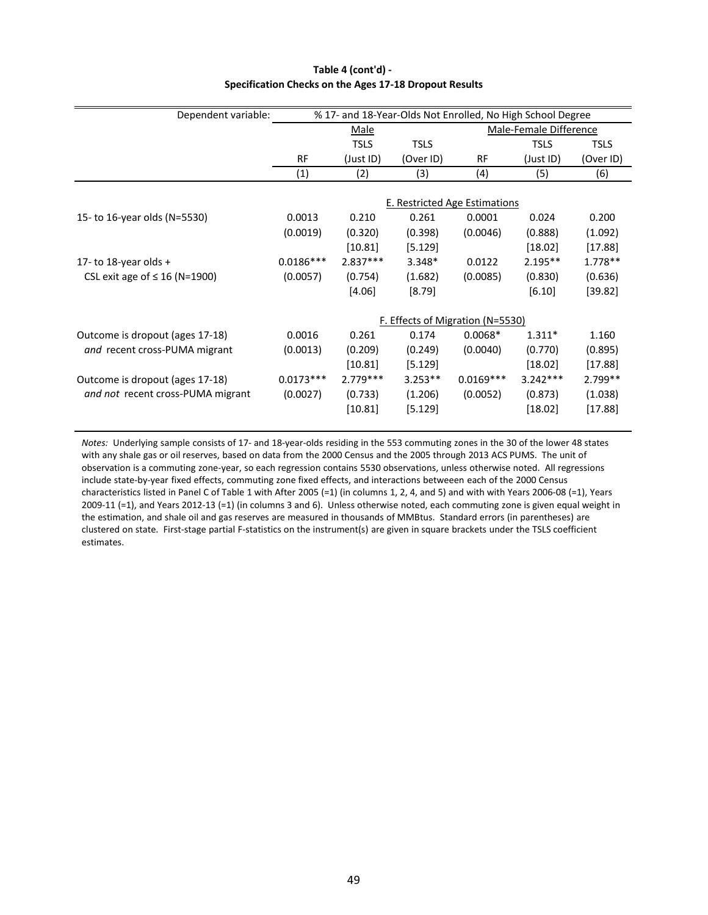| % 17- and 18-Year-Olds Not Enrolled, No High School Degree<br>Dependent variable: |             |             |             |                                         |                        |             |
|-----------------------------------------------------------------------------------|-------------|-------------|-------------|-----------------------------------------|------------------------|-------------|
|                                                                                   |             | Male        |             |                                         | Male-Female Difference |             |
|                                                                                   |             | <b>TSLS</b> | <b>TSLS</b> |                                         | <b>TSLS</b>            | <b>TSLS</b> |
|                                                                                   | <b>RF</b>   | (Just ID)   | (Over ID)   | RF                                      | (Just ID)              | (Over ID)   |
|                                                                                   | (1)         | (2)         | (3)         | (4)                                     | (5)                    | (6)         |
|                                                                                   |             |             |             |                                         |                        |             |
|                                                                                   |             |             |             | <b>E. Restricted Age Estimations</b>    |                        |             |
| 15- to 16-year olds (N=5530)                                                      | 0.0013      | 0.210       | 0.261       | 0.0001                                  | 0.024                  | 0.200       |
|                                                                                   | (0.0019)    | (0.320)     | (0.398)     | (0.0046)                                | (0.888)                | (1.092)     |
|                                                                                   |             | [10.81]     | [5.129]     |                                         | [18.02]                | [17.88]     |
| 17- to 18-year olds +                                                             | $0.0186***$ | $2.837***$  | 3.348*      | 0.0122                                  | $2.195**$              | $1.778**$   |
| CSL exit age of $\leq 16$ (N=1900)                                                | (0.0057)    | (0.754)     | (1.682)     | (0.0085)                                | (0.830)                | (0.636)     |
|                                                                                   |             | $[4.06]$    | $[8.79]$    |                                         | $[6.10]$               | [39.82]     |
|                                                                                   |             |             |             | <u>F. Effects of Migration (N=5530)</u> |                        |             |
| Outcome is dropout (ages 17-18)                                                   | 0.0016      | 0.261       | 0.174       | $0.0068*$                               | $1.311*$               | 1.160       |
|                                                                                   |             |             |             |                                         |                        |             |
| and recent cross-PUMA migrant                                                     | (0.0013)    | (0.209)     | (0.249)     | (0.0040)                                | (0.770)                | (0.895)     |
|                                                                                   |             | [10.81]     | [5.129]     |                                         | [18.02]                | [17.88]     |
| Outcome is dropout (ages 17-18)                                                   | $0.0173***$ | $2.779***$  | $3.253**$   | $0.0169***$                             | $3.242***$             | 2.799**     |
| and not recent cross-PUMA migrant                                                 | (0.0027)    | (0.733)     | (1.206)     | (0.0052)                                | (0.873)                | (1.038)     |
|                                                                                   |             | [10.81]     | [5.129]     |                                         | [18.02]                | [17.88]     |

## **Table 4 (cont'd) - Specification Checks on the Ages 17-18 Dropout Results**

*Notes:* Underlying sample consists of 17- and 18-year-olds residing in the 553 commuting zones in the 30 of the lower 48 states with any shale gas or oil reserves, based on data from the 2000 Census and the 2005 through 2013 ACS PUMS. The unit of observation is a commuting zone-year, so each regression contains 5530 observations, unless otherwise noted. All regressions include state-by-year fixed effects, commuting zone fixed effects, and interactions betweeen each of the 2000 Census characteristics listed in Panel C of Table 1 with After 2005 (=1) (in columns 1, 2, 4, and 5) and with with Years 2006-08 (=1), Years 2009-11 (=1), and Years 2012-13 (=1) (in columns 3 and 6). Unless otherwise noted, each commuting zone is given equal weight in the estimation, and shale oil and gas reserves are measured in thousands of MMBtus. Standard errors (in parentheses) are clustered on state. First-stage partial F-statistics on the instrument(s) are given in square brackets under the TSLS coefficient estimates.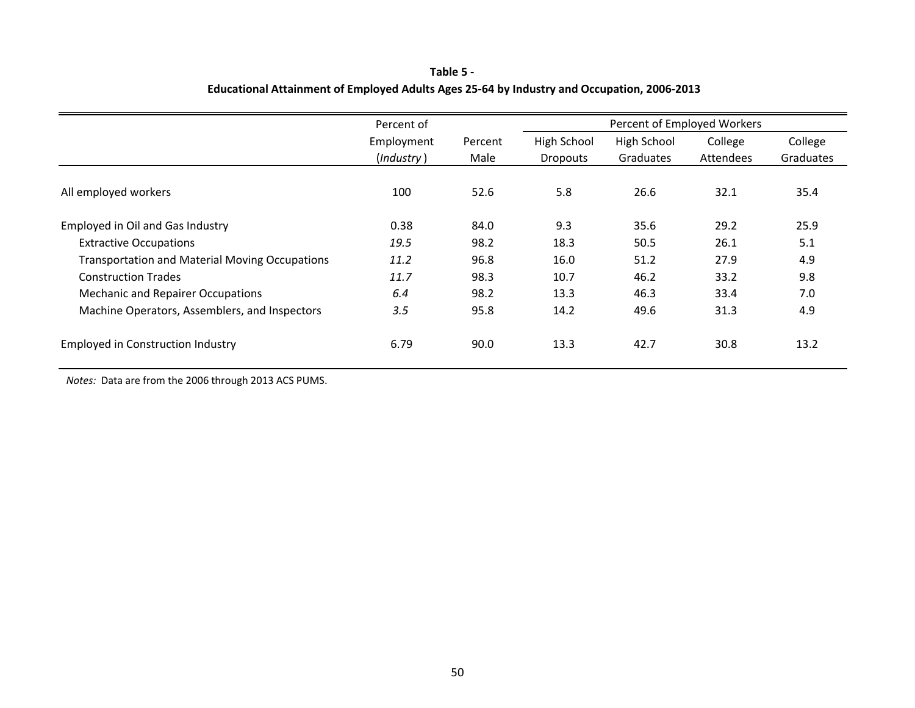## **Table 5 - Educational Attainment of Employed Adults Ages 25-64 by Industry and Occupation, 2006-2013**

|                                                       | Percent of |         |                 | Percent of Employed Workers |           |           |
|-------------------------------------------------------|------------|---------|-----------------|-----------------------------|-----------|-----------|
|                                                       | Employment | Percent | High School     | High School                 | College   | College   |
|                                                       | (Industry) | Male    | <b>Dropouts</b> | Graduates                   | Attendees | Graduates |
| All employed workers                                  | 100        | 52.6    | 5.8             | 26.6                        | 32.1      | 35.4      |
| Employed in Oil and Gas Industry                      | 0.38       | 84.0    | 9.3             | 35.6                        | 29.2      | 25.9      |
| <b>Extractive Occupations</b>                         | 19.5       | 98.2    | 18.3            | 50.5                        | 26.1      | 5.1       |
| <b>Transportation and Material Moving Occupations</b> | 11.2       | 96.8    | 16.0            | 51.2                        | 27.9      | 4.9       |
| <b>Construction Trades</b>                            | 11.7       | 98.3    | 10.7            | 46.2                        | 33.2      | 9.8       |
| <b>Mechanic and Repairer Occupations</b>              | 6.4        | 98.2    | 13.3            | 46.3                        | 33.4      | 7.0       |
| Machine Operators, Assemblers, and Inspectors         | 3.5        | 95.8    | 14.2            | 49.6                        | 31.3      | 4.9       |
| <b>Employed in Construction Industry</b>              | 6.79       | 90.0    | 13.3            | 42.7                        | 30.8      | 13.2      |

*Notes:* Data are from the 2006 through 2013 ACS PUMS.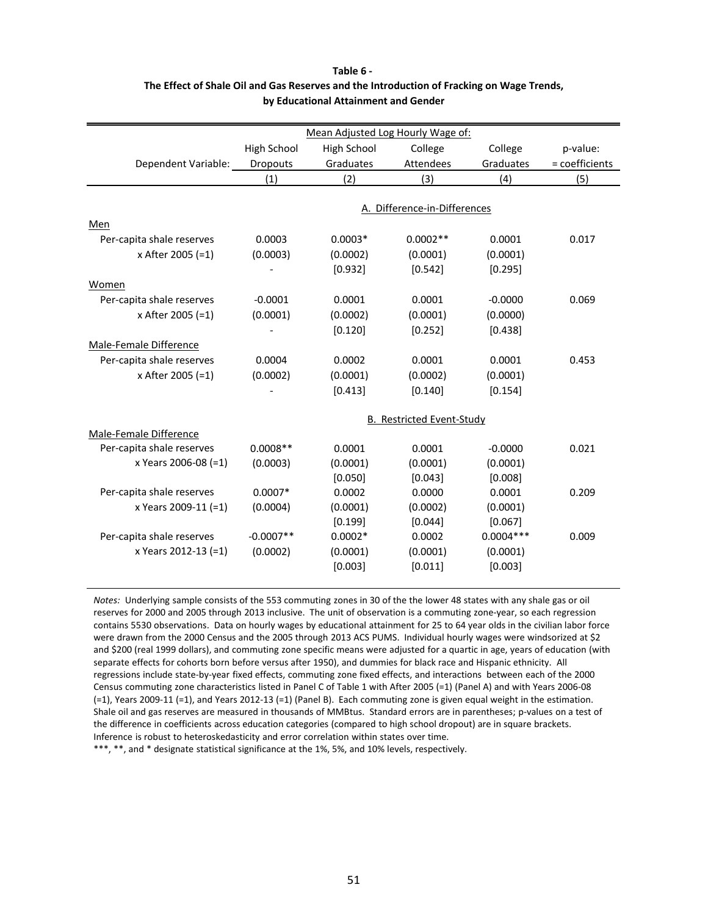|                           |             | Mean Adjusted Log Hourly Wage of: |                                  |             |                |
|---------------------------|-------------|-----------------------------------|----------------------------------|-------------|----------------|
|                           | High School | High School                       | College                          | College     | p-value:       |
| Dependent Variable:       | Dropouts    | Graduates                         | Attendees                        | Graduates   | = coefficients |
|                           | (1)         | (2)                               | (3)                              | (4)         | (5)            |
|                           |             |                                   |                                  |             |                |
|                           |             |                                   | A. Difference-in-Differences     |             |                |
| Men                       |             |                                   |                                  |             |                |
| Per-capita shale reserves | 0.0003      | $0.0003*$                         | $0.0002**$                       | 0.0001      | 0.017          |
| x After 2005 (=1)         | (0.0003)    | (0.0002)                          | (0.0001)                         | (0.0001)    |                |
|                           |             | [0.932]                           | [0.542]                          | [0.295]     |                |
| <b>Women</b>              |             |                                   |                                  |             |                |
| Per-capita shale reserves | $-0.0001$   | 0.0001                            | 0.0001                           | $-0.0000$   | 0.069          |
| x After 2005 (=1)         | (0.0001)    | (0.0002)                          | (0.0001)                         | (0.0000)    |                |
|                           |             | [0.120]                           | [0.252]                          | [0.438]     |                |
| Male-Female Difference    |             |                                   |                                  |             |                |
| Per-capita shale reserves | 0.0004      | 0.0002                            | 0.0001                           | 0.0001      | 0.453          |
| x After 2005 (=1)         | (0.0002)    | (0.0001)                          | (0.0002)                         | (0.0001)    |                |
|                           |             | [0.413]                           | [0.140]                          | [0.154]     |                |
|                           |             |                                   |                                  |             |                |
|                           |             |                                   | <b>B. Restricted Event-Study</b> |             |                |
| Male-Female Difference    |             |                                   |                                  |             |                |
| Per-capita shale reserves | $0.0008**$  | 0.0001                            | 0.0001                           | $-0.0000$   | 0.021          |
| x Years 2006-08 (=1)      | (0.0003)    | (0.0001)                          | (0.0001)                         | (0.0001)    |                |
|                           |             | [0.050]                           | [0.043]                          | [0.008]     |                |
| Per-capita shale reserves | $0.0007*$   | 0.0002                            | 0.0000                           | 0.0001      | 0.209          |
| x Years 2009-11 (=1)      | (0.0004)    | (0.0001)                          | (0.0002)                         | (0.0001)    |                |
|                           |             | [0.199]                           | [0.044]                          | [0.067]     |                |
| Per-capita shale reserves | $-0.0007**$ | $0.0002*$                         | 0.0002                           | $0.0004***$ | 0.009          |
| x Years 2012-13 (=1)      | (0.0002)    | (0.0001)                          | (0.0001)                         | (0.0001)    |                |
|                           |             | [0.003]                           | [0.011]                          | [0.003]     |                |

## **Table 6 - The Effect of Shale Oil and Gas Reserves and the Introduction of Fracking on Wage Trends, by Educational Attainment and Gender**

*Notes:* Underlying sample consists of the 553 commuting zones in 30 of the the lower 48 states with any shale gas or oil reserves for 2000 and 2005 through 2013 inclusive. The unit of observation is a commuting zone-year, so each regression contains 5530 observations. Data on hourly wages by educational attainment for 25 to 64 year olds in the civilian labor force were drawn from the 2000 Census and the 2005 through 2013 ACS PUMS. Individual hourly wages were windsorized at \$2 and \$200 (real 1999 dollars), and commuting zone specific means were adjusted for a quartic in age, years of education (with separate effects for cohorts born before versus after 1950), and dummies for black race and Hispanic ethnicity. All regressions include state-by-year fixed effects, commuting zone fixed effects, and interactions between each of the 2000 Census commuting zone characteristics listed in Panel C of Table 1 with After 2005 (=1) (Panel A) and with Years 2006-08 (=1), Years 2009-11 (=1), and Years 2012-13 (=1) (Panel B). Each commuting zone is given equal weight in the estimation. Shale oil and gas reserves are measured in thousands of MMBtus. Standard errors are in parentheses; p-values on a test of the difference in coefficients across education categories (compared to high school dropout) are in square brackets. Inference is robust to heteroskedasticity and error correlation within states over time. \*\*\*, \*\*, and \* designate statistical significance at the 1%, 5%, and 10% levels, respectively.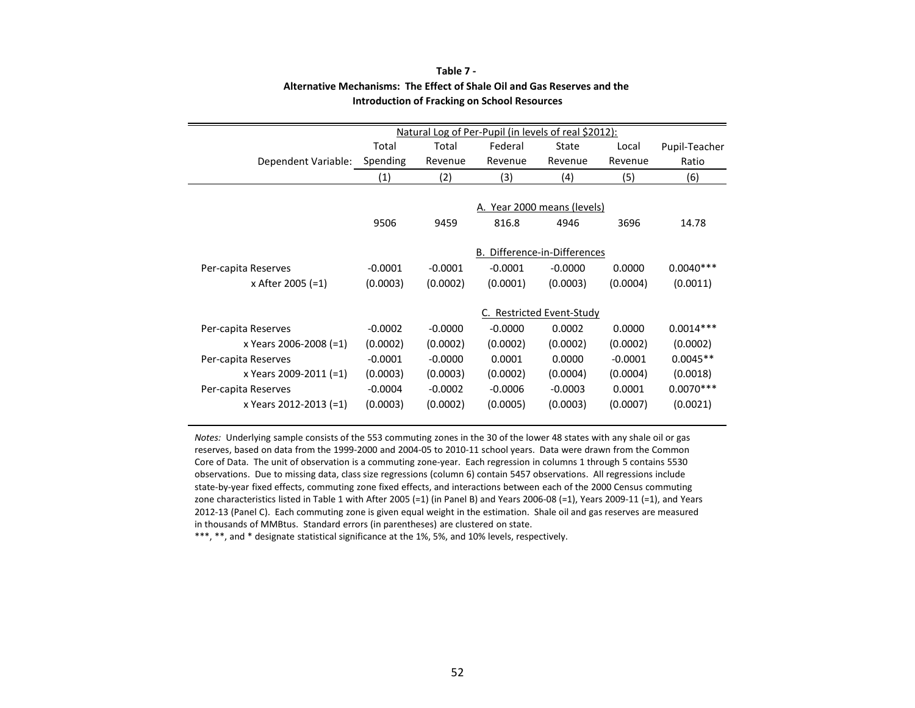|                        | Natural Log of Per-Pupil (in levels of real \$2012): |           |           |                              |           |               |  |
|------------------------|------------------------------------------------------|-----------|-----------|------------------------------|-----------|---------------|--|
|                        | Total                                                | Total     | Federal   | State                        | Local     | Pupil-Teacher |  |
| Dependent Variable:    | Spending                                             | Revenue   | Revenue   | Revenue                      | Revenue   | Ratio         |  |
|                        | (1)                                                  | (2)       | (3)       | (4)                          | (5)       | (6)           |  |
|                        |                                                      |           |           |                              |           |               |  |
|                        |                                                      |           |           | A. Year 2000 means (levels)  |           |               |  |
|                        | 9506                                                 | 9459      | 816.8     | 4946                         | 3696      | 14.78         |  |
|                        |                                                      |           |           |                              |           |               |  |
|                        |                                                      |           |           | B. Difference-in-Differences |           |               |  |
| Per-capita Reserves    | $-0.0001$                                            | $-0.0001$ | $-0.0001$ | $-0.0000$                    | 0.0000    | $0.0040***$   |  |
| x After 2005 (=1)      | (0.0003)                                             | (0.0002)  | (0.0001)  | (0.0003)                     | (0.0004)  | (0.0011)      |  |
|                        |                                                      |           |           |                              |           |               |  |
|                        |                                                      |           |           | C. Restricted Event-Study    |           |               |  |
| Per-capita Reserves    | $-0.0002$                                            | $-0.0000$ | $-0.0000$ | 0.0002                       | 0.0000    | $0.0014***$   |  |
| x Years 2006-2008 (=1) | (0.0002)                                             | (0.0002)  | (0.0002)  | (0.0002)                     | (0.0002)  | (0.0002)      |  |
| Per-capita Reserves    | $-0.0001$                                            | $-0.0000$ | 0.0001    | 0.0000                       | $-0.0001$ | $0.0045**$    |  |
| x Years 2009-2011 (=1) | (0.0003)                                             | (0.0003)  | (0.0002)  | (0.0004)                     | (0.0004)  | (0.0018)      |  |
| Per-capita Reserves    | $-0.0004$                                            | $-0.0002$ | $-0.0006$ | $-0.0003$                    | 0.0001    | $0.0070***$   |  |
| x Years 2012-2013 (=1) | (0.0003)                                             | (0.0002)  | (0.0005)  | (0.0003)                     | (0.0007)  | (0.0021)      |  |
|                        |                                                      |           |           |                              |           |               |  |

### **Table 7 - Alternative Mechanisms: The Effect of Shale Oil and Gas Reserves and the Introduction of Fracking on School Resources**

*Notes:* Underlying sample consists of the 553 commuting zones in the 30 of the lower 48 states with any shale oil or gas reserves, based on data from the 1999-2000 and 2004-05 to 2010-11 school years. Data were drawn from the Common Core of Data. The unit of observation is a commuting zone-year. Each regression in columns 1 through 5 contains 5530 observations. Due to missing data, class size regressions (column 6) contain 5457 observations. All regressions include state-by-year fixed effects, commuting zone fixed effects, and interactions between each of the 2000 Census commuting zone characteristics listed in Table 1 with After 2005 (=1) (in Panel B) and Years 2006-08 (=1), Years 2009-11 (=1), and Years 2012-13 (Panel C). Each commuting zone is given equal weight in the estimation. Shale oil and gas reserves are measured in thousands of MMBtus. Standard errors (in parentheses) are clustered on state.

\*\*\*, \*\*, and \* designate statistical significance at the 1%, 5%, and 10% levels, respectively.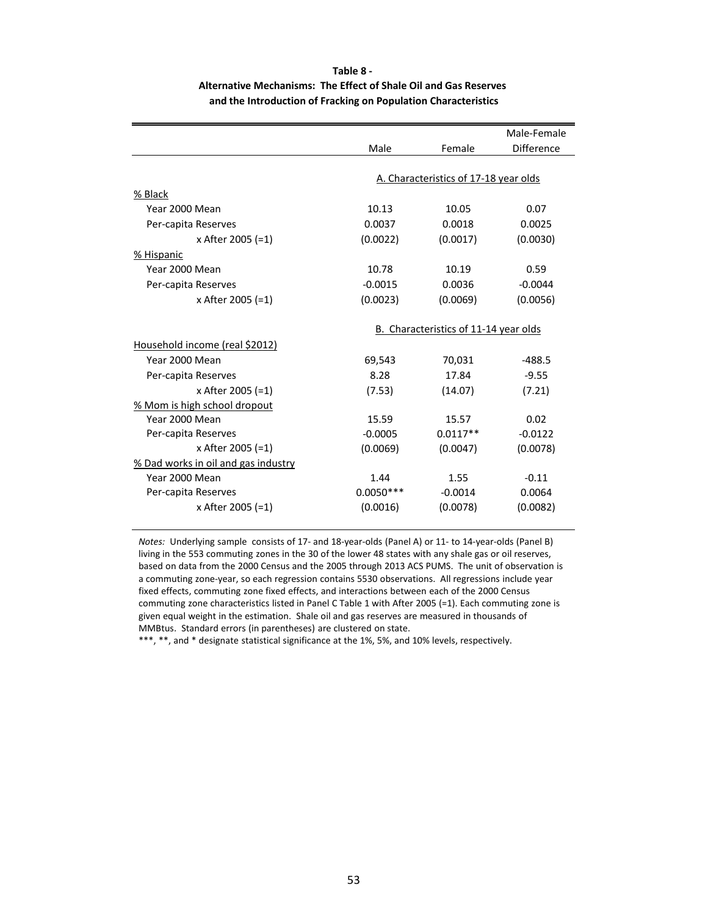## **Table 8 - Alternative Mechanisms: The Effect of Shale Oil and Gas Reserves and the Introduction of Fracking on Population Characteristics**

|                                     |             |                                       | Male-Female       |
|-------------------------------------|-------------|---------------------------------------|-------------------|
|                                     | Male        | Female                                | <b>Difference</b> |
|                                     |             |                                       |                   |
|                                     |             | A. Characteristics of 17-18 year olds |                   |
| % Black                             |             |                                       |                   |
| Year 2000 Mean                      | 10.13       | 10.05                                 | 0.07              |
| Per-capita Reserves                 | 0.0037      | 0.0018                                | 0.0025            |
| x After 2005 (=1)                   | (0.0022)    | (0.0017)                              | (0.0030)          |
| % Hispanic                          |             |                                       |                   |
| Year 2000 Mean                      | 10.78       | 10.19                                 | 0.59              |
| Per-capita Reserves                 | $-0.0015$   | 0.0036                                | $-0.0044$         |
| x After 2005 (=1)                   | (0.0023)    | (0.0069)                              | (0.0056)          |
|                                     |             |                                       |                   |
|                                     |             | B. Characteristics of 11-14 year olds |                   |
| Household income (real \$2012)      |             |                                       |                   |
| Year 2000 Mean                      | 69,543      | 70,031                                | $-488.5$          |
| Per-capita Reserves                 | 8.28        | 17.84                                 | $-9.55$           |
| x After 2005 (=1)                   | (7.53)      | (14.07)                               | (7.21)            |
| % Mom is high school dropout        |             |                                       |                   |
| Year 2000 Mean                      | 15.59       | 15.57                                 | 0.02              |
| Per-capita Reserves                 | $-0.0005$   | $0.0117**$                            | $-0.0122$         |
| x After 2005 (=1)                   | (0.0069)    | (0.0047)                              | (0.0078)          |
| % Dad works in oil and gas industry |             |                                       |                   |
| Year 2000 Mean                      | 1.44        | 1.55                                  | $-0.11$           |
| Per-capita Reserves                 | $0.0050***$ | $-0.0014$                             | 0.0064            |
| x After 2005 (=1)                   | (0.0016)    | (0.0078)                              | (0.0082)          |
|                                     |             |                                       |                   |

*Notes:* Underlying sample consists of 17- and 18-year-olds (Panel A) or 11- to 14-year-olds (Panel B) living in the 553 commuting zones in the 30 of the lower 48 states with any shale gas or oil reserves, based on data from the 2000 Census and the 2005 through 2013 ACS PUMS. The unit of observation is a commuting zone-year, so each regression contains 5530 observations. All regressions include year fixed effects, commuting zone fixed effects, and interactions between each of the 2000 Census commuting zone characteristics listed in Panel C Table 1 with After 2005 (=1). Each commuting zone is given equal weight in the estimation. Shale oil and gas reserves are measured in thousands of MMBtus. Standard errors (in parentheses) are clustered on state.

\*\*\*, \*\*, and \* designate statistical significance at the 1%, 5%, and 10% levels, respectively.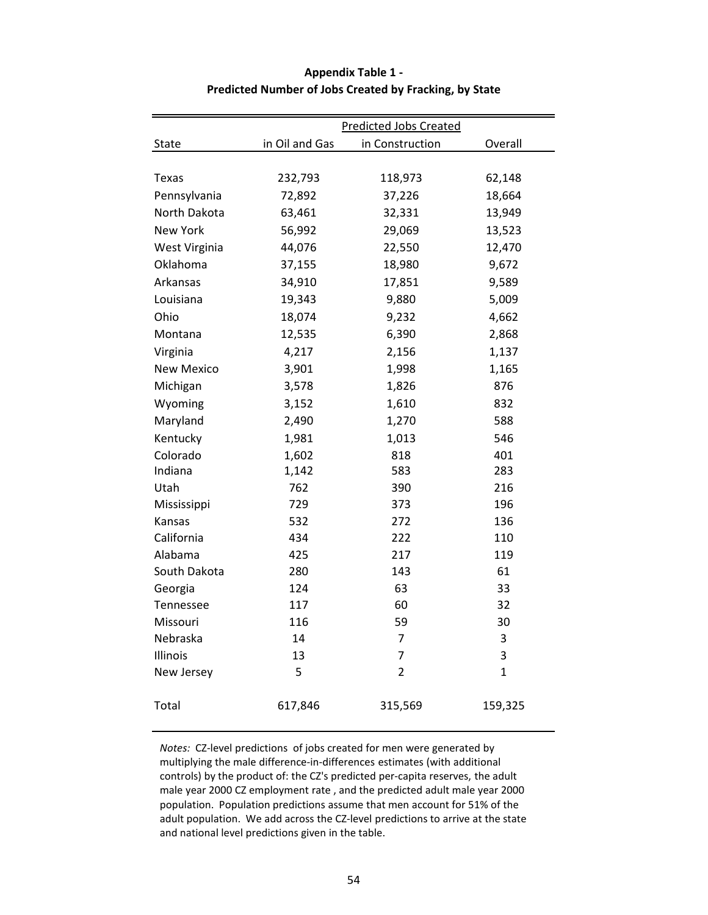|                   | <b>Predicted Jobs Created</b> |                 |              |  |  |  |  |
|-------------------|-------------------------------|-----------------|--------------|--|--|--|--|
| State             | in Oil and Gas                | in Construction | Overall      |  |  |  |  |
|                   |                               |                 |              |  |  |  |  |
| Texas             | 232,793                       | 118,973         | 62,148       |  |  |  |  |
| Pennsylvania      | 72,892                        | 37,226          | 18,664       |  |  |  |  |
| North Dakota      | 63,461                        | 32,331          | 13,949       |  |  |  |  |
| <b>New York</b>   | 56,992                        | 29,069          | 13,523       |  |  |  |  |
| West Virginia     | 44,076                        | 22,550          | 12,470       |  |  |  |  |
| Oklahoma          | 37,155                        | 18,980          | 9,672        |  |  |  |  |
| Arkansas          | 34,910                        | 17,851          | 9,589        |  |  |  |  |
| Louisiana         | 19,343                        | 9,880           | 5,009        |  |  |  |  |
| Ohio              | 18,074                        | 9,232           | 4,662        |  |  |  |  |
| Montana           | 12,535                        | 6,390           | 2,868        |  |  |  |  |
| Virginia          | 4,217                         | 2,156           | 1,137        |  |  |  |  |
| <b>New Mexico</b> | 3,901                         | 1,998           | 1,165        |  |  |  |  |
| Michigan          | 3,578                         | 1,826           | 876          |  |  |  |  |
| Wyoming           | 3,152                         | 1,610           | 832          |  |  |  |  |
| Maryland          | 2,490                         | 1,270           | 588          |  |  |  |  |
| Kentucky          | 1,981                         | 1,013           | 546          |  |  |  |  |
| Colorado          | 1,602                         | 818             | 401          |  |  |  |  |
| Indiana           | 1,142                         | 583             | 283          |  |  |  |  |
| Utah              | 762                           | 390             | 216          |  |  |  |  |
| Mississippi       | 729                           | 373             | 196          |  |  |  |  |
| Kansas            | 532                           | 272             | 136          |  |  |  |  |
| California        | 434                           | 222             | 110          |  |  |  |  |
| Alabama           | 425                           | 217             | 119          |  |  |  |  |
| South Dakota      | 280                           | 143             | 61           |  |  |  |  |
| Georgia           | 124                           | 63              | 33           |  |  |  |  |
| <b>Tennessee</b>  | 117                           | 60              | 32           |  |  |  |  |
| Missouri          | 116                           | 59              | 30           |  |  |  |  |
| Nebraska          | 14                            | 7               | 3            |  |  |  |  |
| Illinois          | 13                            | 7               | 3            |  |  |  |  |
| New Jersey        | 5                             | 2               | $\mathbf{1}$ |  |  |  |  |
| Total             | 617,846                       | 315,569         | 159,325      |  |  |  |  |

# **Appendix Table 1 - Predicted Number of Jobs Created by Fracking, by State**

*Notes:* CZ-level predictions of jobs created for men were generated by multiplying the male difference-in-differences estimates (with additional controls) by the product of: the CZ's predicted per-capita reserves, the adult male year 2000 CZ employment rate , and the predicted adult male year 2000 population. Population predictions assume that men account for 51% of the adult population. We add across the CZ-level predictions to arrive at the state and national level predictions given in the table.